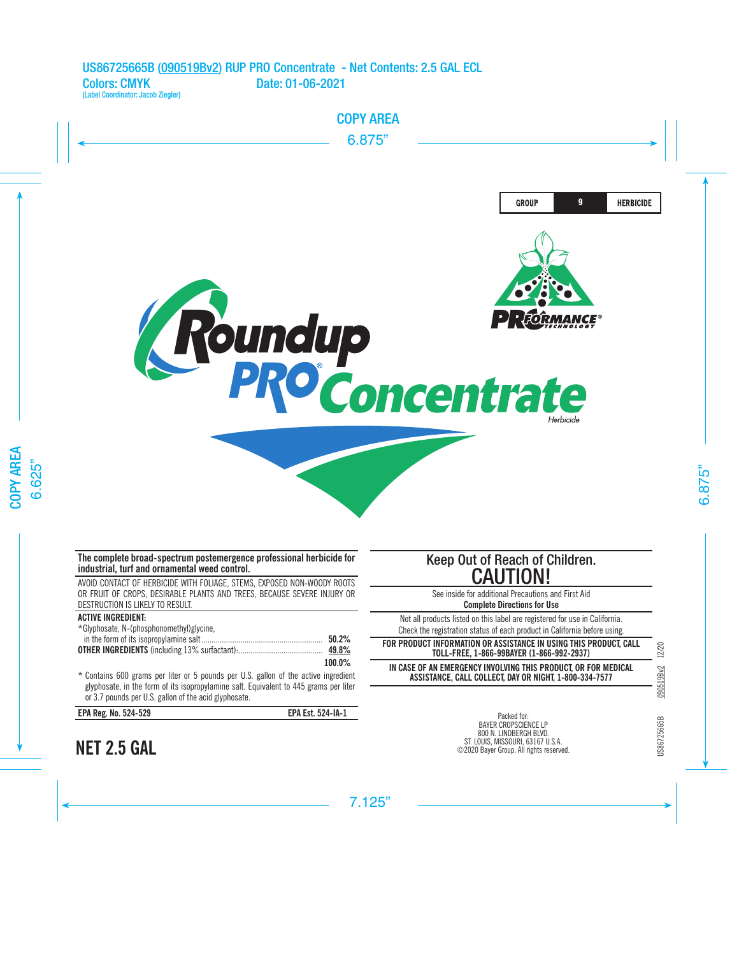

## **The complete broad-spectrum postemergence professional herbicide for industrial, turf and ornamental weed control.**

AVOID CONTACT OF HERBICIDE WITH FOLIAGE, STEMS, EXPOSED NON-WOODY ROOTS OR FRUIT OF CROPS, DESIRABLE PLANTS AND TREES, BECAUSE SEVERE INJURY OR DESTRUCTION IS LIKELY TO RESULT.

## **ACTIVE INGREDIENT:**

| *Glyphosate, N-(phosphonomethyl)glycine, |          |
|------------------------------------------|----------|
|                                          | $50.2\%$ |
|                                          | 49.8%    |
|                                          | 100.0%   |

\* Contains 600 grams per liter or 5 pounds per U.S. gallon of the active ingredient glyphosate, in the form of its isopropylamine salt. Equivalent to 445 grams per liter or 3.7 pounds per U.S. gallon of the acid glyphosate.

| EPA Reg. No. 524-529 |  |
|----------------------|--|
|----------------------|--|

**NET 2.5 GAL**

**EPA Reg. No. 524-529 EPA Est. 524-IA-1**

# Keep Out of Reach of Children. CAUTION!

See inside for additional Precautions and First Aid **Complete Directions for Use**

Not all products listed on this label are registered for use in California. Check the registration status of each product in California before using.

**FOR PRODUCT INFORMATION OR ASSISTANCE IN USING THIS PRODUCT, CALL TOLL-FREE, 1-866-99BAYER (1-866-992-2937)**

**IN CASE OF AN EMERGENCY INVOLVING THIS PRODUCT, OR FOR MEDICAL ASSISTANCE, CALL COLLECT, DAY OR NIGHT, 1-800-334-7577**

JS86725665B

Packed for: BAYER CROPSCIENCE LP 800 N. LINDBERGH BLVD. ST. LOUIS, MISSOURI, 63167 U.S.A. ©2020 Bayer Group. All rights reserved.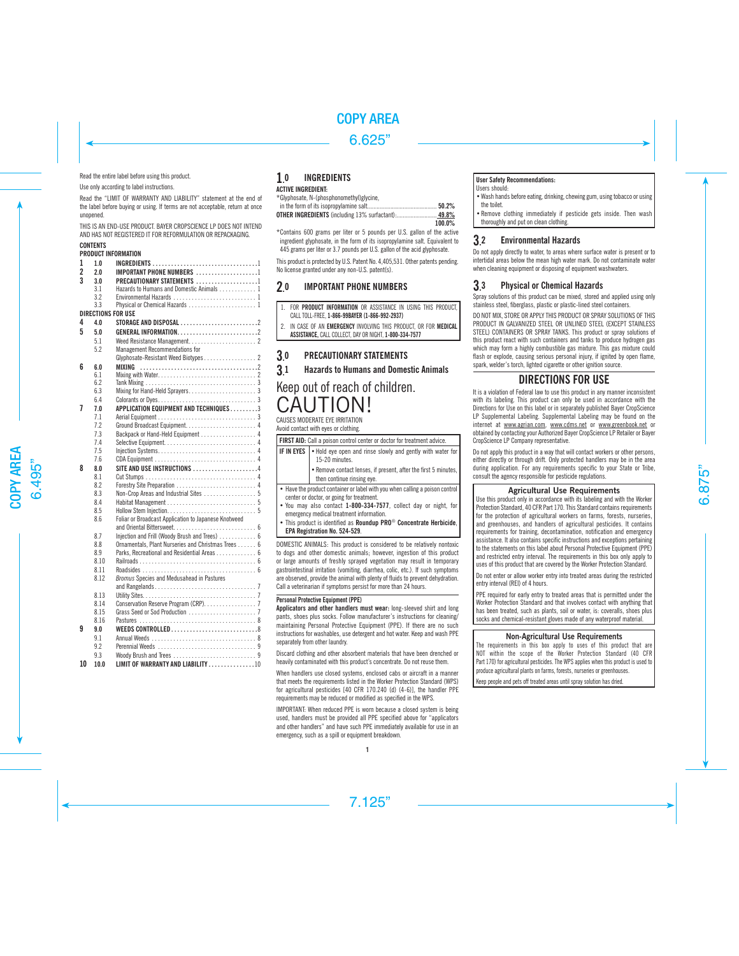Read the entire label before using this product.

Use only according to label instructions.

Read the "LIMIT OF WARRANTY AND LIABILITY" statement at the end of the label before buying or using. If terms are not acceptable, return at once unopened.

THIS IS AN END-LISE PRODUCT. BAYER CROPSCIENCE LP DOES NOT INTEND AND HAS NOT REGISTERED IT FOR REFORMULATION OR REPACKAGING.

## **CONTENTS**

## **PRODUCT INFORMATION**

| 1  | 1.0                | <b>INGREDIENTS</b> 1                                 |  |
|----|--------------------|------------------------------------------------------|--|
| 2  | 20                 | IMPORTANT PHONE NUMBERS 1                            |  |
| 3  | 3.0                | PRECAUTIONARY STATEMENTS 1                           |  |
|    | 3.1                | Hazards to Humans and Domestic Animals 1             |  |
|    | 3.2                | Environmental Hazards  1                             |  |
|    | 3.3                | Physical or Chemical Hazards  1                      |  |
|    | DIRECTIONS FOR USE |                                                      |  |
| 4  | 4.0                |                                                      |  |
| 5  | 50                 | GENERAL INFORMATION2                                 |  |
|    | 5.1                |                                                      |  |
|    | 5.2                | <b>Management Recommendations for</b>                |  |
|    |                    | Glyphosate-Resistant Weed Biotypes 2                 |  |
| 6  | 6.0                | <b>MIXING</b>                                        |  |
|    | 6.1                |                                                      |  |
|    | 6.2                |                                                      |  |
|    | 6.3                |                                                      |  |
|    | 6.4                |                                                      |  |
| 7  | 7.0                | APPLICATION EQUIPMENT AND TECHNIQUES 3               |  |
|    | 7.1                |                                                      |  |
|    | 7.2                |                                                      |  |
|    | 7.3                | Backpack or Hand-Held Equipment  4                   |  |
|    | 7.4                |                                                      |  |
|    | 7.5                |                                                      |  |
|    | 7.6                |                                                      |  |
| 8  | 8.0                | SITE AND USE INSTRUCTIONS 4                          |  |
|    |                    |                                                      |  |
|    | 81                 |                                                      |  |
|    | 8.2                |                                                      |  |
|    | 8.3                | Non-Crop Areas and Industrial Sites  5               |  |
|    | 8.4                |                                                      |  |
|    | 8.5                |                                                      |  |
|    | 8.6                | Foliar or Broadcast Application to Japanese Knotweed |  |
|    |                    |                                                      |  |
|    | 8.7                | Injection and Frill (Woody Brush and Trees)  6       |  |
|    | 8.8                | Ornamentals, Plant Nurseries and Christmas Trees 6   |  |
|    | 8.9                | Parks, Recreational and Residential Areas 6          |  |
|    | 8.10               |                                                      |  |
|    | 8.11               |                                                      |  |
|    | 8.12               | Bromus Species and Medusahead in Pastures            |  |
|    |                    |                                                      |  |
|    | 8.13               |                                                      |  |
|    | 8.14               | Conservation Reserve Program (CRP). 7                |  |
|    | 8.15               |                                                      |  |
|    | 8.16               |                                                      |  |
| 9  | 90                 |                                                      |  |
|    | 9.1                |                                                      |  |
|    | 9.2                |                                                      |  |
|    | 9.3                |                                                      |  |
| 10 | 10.0               | LIMIT OF WARRANTY AND LIABILITY 10                   |  |
|    |                    |                                                      |  |

#### 1. **INGREDIENTS ACTIVE INGREDIENT:**

## $*G$ lynhosate, N-(phosphonomethyl)glycine

| <b>OTHER INGREDIENTS</b> (including 13% surfactant): 49.8% |        |
|------------------------------------------------------------|--------|
|                                                            | 100.0% |

\*Contains 600 grams per liter or 5 pounds per U.S. gallon of the active ingredient glyphosate, in the form of its isopropylamine salt. Equivalent to 445 grams per liter or 3.7 pounds per U.S. gallon of the acid glyphosate.

This product is protected by U.S. Patent No. 4,405,531. Other patents pending. No license granted under any non-U.S. patent(s).

#### **2. IMPORTANT PHONE NUMBERS**

| 1. FOR PRODUCT INFORMATION OR ASSISTANCE IN USING THIS PRODUCT.                 |  |  |
|---------------------------------------------------------------------------------|--|--|
| CALL TOLL-FREE. 1-866-99BAYER (1-866-992-2937)                                  |  |  |
| 2. IN CASE OF AN <b>EMERGENCY</b> INVOLVING THIS PRODUCT. OR FOR <b>MEDICAL</b> |  |  |

**ASSISTANCE,** CALL COLLECT, DAY OR NIGHT, **1-800-334-7577**

#### 3. PRECAUTIONARY STATEMENTS

**3.** 1 Hazards to Humans and Domestic Animals

# Keep out of reach of children. CALITION!

CAUSES MODERATE EYE IRRITATION Avoid contact with eyes or clothing.

| FIRST AID: Call a poison control center or doctor for treatment advice.                                                                                                                                                                                                                                                                                       |                                                                                               |  |
|---------------------------------------------------------------------------------------------------------------------------------------------------------------------------------------------------------------------------------------------------------------------------------------------------------------------------------------------------------------|-----------------------------------------------------------------------------------------------|--|
| <b>IF IN EYES</b>                                                                                                                                                                                                                                                                                                                                             | . Hold eye open and rinse slowly and gently with water for<br>15-20 minutes.                  |  |
|                                                                                                                                                                                                                                                                                                                                                               | . Remove contact lenses, if present, after the first 5 minutes,<br>then continue rinsing eye. |  |
| • Have the product container or label with you when calling a poison control<br>center or doctor, or going for treatment.<br>. You may also contact 1-800-334-7577, collect day or night, for<br>emergency medical treatment information.<br>• This product is identified as Roundup PRO <sup>®</sup> Concentrate Herbicide,<br>EPA Registration No. 524-529. |                                                                                               |  |

DOMESTIC ANIMALS: This product is considered to be relatively nontoxic to dogs and other domestic animals; however, ingestion of this product or large amounts of freshly sprayed vegetation may result in temporary gastrointestinal irritation (vomiting, diarrhea, colic, etc.). If such symptoms are observed, provide the animal with plenty of fluids to prevent dehydration. Call a veterinarian if symptoms persist for more than 24 hours.

## Personal Protective Equipment (PPE)

**Applicators and other handlers must wear:** long-sleeved shirt and long pants, shoes plus socks. Follow manufacturer's instructions for cleaning/ maintaining Personal Protective Equipment (PPE). If there are no such instructions for washables, use detergent and hot water. Keep and wash PPE separately from other laundry.

Discard clothing and other absorbent materials that have been drenched or heavily contaminated with this product's concentrate. Do not reuse them.

When handlers use closed systems, enclosed cabs or aircraft in a manner that meets the requirements listed in the Worker Protection Standard (WPS) for agricultural pesticides [40 CFR 170.240 (d) (4-6)], the handler PPE requirements may be reduced or modified as specified in the WPS.

IMPORTANT: When reduced PPE is worn because a closed system is being used, handlers must be provided all PPE specified above for "applicators and other handlers" and have such PPE immediately available for use in an emergency, such as a spill or equipment breakdown.

#### **User Safety Recommendations:**

Users should:

- •Wash hands before eating, drinking, chewing gum, using tobacco or using the toilet.
- •Remove clothing immediately if pesticide gets inside. Then wash thoroughly and put on clean clothing.

#### 3. 2 Environmental Hazards

Do not apply directly to water, to areas where surface water is present or to intertidal areas below the mean high water mark. Do not contaminate water when cleaning equipment or disposing of equipment washwaters.

#### **3.** 3 Physical or Chemical Hazards

Spray solutions of this product can be mixed, stored and applied using only stainless steel, fiberglass, plastic or plastic-lined steel containers.

DO NOT MIX, STORE OR APPLY THIS PRODUCT OR SPRAY SOLUTIONS OF THIS PRODUCT IN GALVANIZED STEEL OR UNLINED STEEL (EXCEPT STAINLESS STEEL) CONTAINERS OR SPRAY TANKS. This product or spray solutions of this product react with such containers and tanks to produce hydrogen gas which may form a highly combustible gas mixture. This gas mixture could flash or explode, causing serious personal injury, if ignited by open flame, spark, welder's torch, lighted cigarette or other ignition source.

## DIRECTIONS FOR USE

It is a violation of Federal law to use this product in any manner inconsistent with its labeling. This product can only be used in accordance with the Directions for Use on this label or in separately published Bayer CropScience LP Supplemental Labeling. Supplemental Labeling may be found on the internet at www.agrian.com, www.cdms.net or www.greenbook.net or obtained by contacting your Authorized Bayer CropScience LP Retailer or Bayer CropScience LP Company representative

Do not apply this product in a way that will contact workers or other persons, either directly or through drift. Only protected handlers may be in the area during application. For any requirements specific to your State or Tribe, consult the agency responsible for pesticide regulations.

## **Agricultural Use Requirements**

Use this product only in accordance with its labeling and with the Worker Protection Standard, 40 CFR Part 170. This Standard contains requirements for the protection of agricultural workers on farms, forests, nurseries, and greenhouses, and handlers of agricultural pesticides. It contains requirements for training, decontamination, notification and emergency assistance. It also contains specific instructions and exceptions pertaining to the statements on this label about Personal Protective Equipment (PPE) and restricted entry interval. The requirements in this box only apply to uses of this product that are covered by the Worker Protection Standard.

Do not enter or allow worker entry into treated areas during the restricted entry interval (REI) of 4 hours.

PPE required for early entry to treated areas that is permitted under the Worker Protection Standard and that involves contact with anything that has been treated, such as plants, soil or water, is: coveralls, shoes plus socks and chemical-resistant gloves made of any waterproof material.

## **Non-Agricultural Use Requirements**

The requirements in this box apply to uses of this product that are NOT within the scope of the Worker Protection Standard (40 CFR Part 170) for agricultural pesticides. The WPS applies when this product is used to produce agricultural plants on farms, forests, nurseries or greenhouses.

Keep people and pets off treated areas until spray solution has dried.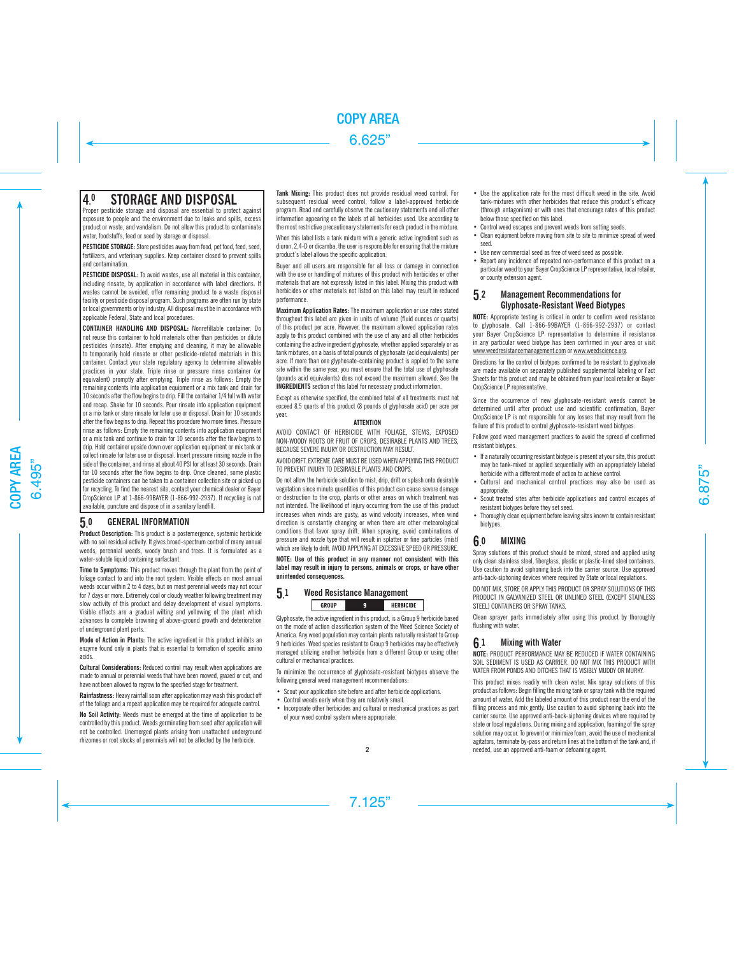## 4. STORAGE AND DISPOSAL

Proper pesticide storage and disposal are essential to protect against exposure to people and the environment due to leaks and spills, excess product or waste, and vandalism. Do not allow this product to contaminate water, foodstuffs, feed or seed by storage or disposal.

**PESTICIDE STORAGE:** Store pesticides away from food, pet food, feed, seed, fertilizers, and veterinary supplies. Keep container closed to prevent spills and contamination.

**PESTICIDE DISPOSAL:** To avoid wastes, use all material in this container, including rinsate, by application in accordance with label directions. If wastes cannot be avoided, offer remaining product to a waste disposal facility or pesticide disposal program. Such programs are often run by state or local governments or by industry. All disposal must be in accordance with applicable Federal, State and local procedures.

**CONTAINER HANDLING AND DISPOSAL:** Nonrefillable container. Do not reuse this container to hold materials other than pesticides or dilute pesticides (rinsate). After emptying and cleaning, it may be allowable to temporarily hold rinsate or other pesticide-related materials in this container. Contact your state regulatory agency to determine allowable practices in your state. Triple rinse or pressure rinse container (or equivalent) promptly after emptying. Triple rinse as follows: Empty the remaining contents into application equipment or a mix tank and drain for 10 seconds after the flow begins to drip. Fill the container 1/4 full with water and recap. Shake for 10 seconds. Pour rinsate into application equipment or a mix tank or store rinsate for later use or disposal. Drain for 10 seconds after the flow begins to drip. Repeat this procedure two more times. Pressure rinse as follows: Empty the remaining contents into application equipment or a mix tank and continue to drain for 10 seconds after the flow begins to drip. Hold container upside down over application equipment or mix tank or collect rinsate for later use or disposal. Insert pressure rinsing nozzle in the side of the container, and rinse at about 40 PSI for at least 30 seconds. Drain for 10 seconds after the flow begins to drip. Once cleaned, some plastic pesticide containers can be taken to a container collection site or picked up for recycling. To find the nearest site, contact your chemical dealer or Bayer CropScience LP at 1-866-99BAYER (1-866-992-2937). If recycling is not available, puncture and dispose of in a sanitary landfill.

#### 5. **GENERAL INFORMATION**

**Product Description:** This product is a postemergence, systemic herbicide with no soil residual activity. It gives broad-spectrum control of many annual weeds, perennial weeds, woody brush and trees. It is formulated as a water-soluble liquid containing surfactant.

**Time to Symptoms:** This product moves through the plant from the point of foliage contact to and into the root system. Visible effects on most annual weeds occur within 2 to 4 days, but on most perennial weeds may not occur for 7 days or more. Extremely cool or cloudy weather following treatment may slow activity of this product and delay development of visual symptoms. Visible effects are a gradual wilting and yellowing of the plant which advances to complete browning of above-ground growth and deterioration of underground plant parts.

**Mode of Action in Plants:** The active ingredient in this product inhibits an enzyme found only in plants that is essential to formation of specific amino acids.

**Cultural Considerations: Reduced control may result when applications are** made to annual or perennial weeds that have been mowed, grazed or cut, and have not been allowed to regrow to the specified stage for treatment.

**Rainfastness:** Heavy rainfall soon after application may wash this product off of the foliage and a repeat application may be required for adequate control.

**No Soil Activity:** Weeds must be emerged at the time of application to be controlled by this product. Weeds germinating from seed after application will not be controlled. Unemerged plants arising from unattached underground rhizomes or root stocks of perennials will not be affected by the herbicide.

**Tank Mixing:** This product does not provide residual weed control. For subsequent residual weed control, follow a label-approved herbicide program. Read and carefully observe the cautionary statements and all other information appearing on the labels of all herbicides used. Use according to the most restrictive precautionary statements for each product in the mixture.

When this label lists a tank mixture with a generic active ingredient such as diuron, 2,4-D or dicamba, the user is responsible for ensuring that the mixture product's label allows the specific application.

Buyer and all users are responsible for all loss or damage in connection with the use or handling of mixtures of this product with herbicides or other materials that are not expressly listed in this label. Mixing this product with herbicides or other materials not listed on this label may result in reduced performance.

**Maximum Application Rates:** The maximum application or use rates stated throughout this label are given in units of volume (fluid ounces or quarts) of this product per acre. However, the maximum allowed application rates apply to this product combined with the use of any and all other herbicides containing the active ingredient glyphosate, whether applied separately or as tank mixtures, on a basis of total pounds of glyphosate (acid equivalents) per acre. If more than one glyphosate-containing product is applied to the same site within the same year, you must ensure that the total use of glyphosate (pounds acid equivalents) does not exceed the maximum allowed. See the **INGREDIENTS** section of this label for necessary product information.

Except as otherwise specified, the combined total of all treatments must not exceed 8.5 quarts of this product (8 pounds of glyphosate acid) per acre per year.

## **ATTENTION**

AVOID CONTACT OF HERBICIDE WITH FOLIAGE, STEMS, EXPOSED NON-WOODY ROOTS OR FRUIT OF CROPS, DESIRABLE PLANTS AND TREES, BECAUSE SEVERE INJURY OR DESTRUCTION MAY RESULT.

AVOID DRIFT. EXTREME CARE MUST BE USED WHEN APPLYING THIS PRODUCT TO PREVENT INJURY TO DESIRABLE PLANTS AND CROPS.

Do not allow the herbicide solution to mist, drip, drift or splash onto desirable vegetation since minute quantities of this product can cause severe damage or destruction to the crop, plants or other areas on which treatment was not intended. The likelihood of injury occurring from the use of this product increases when winds are gusty, as wind velocity increases, when wind direction is constantly changing or when there are other meteorological conditions that favor spray drift. When spraying, avoid combinations of pressure and nozzle type that will result in splatter or fine particles (mist) which are likely to drift. AVOID APPLYING AT EXCESSIVE SPEED OR PRESSURE.

**NOTE: Use of this product in any manner not consistent with this label may result in injury to persons, animals or crops, or have other unintended consequences.**

#### **5. Weed Resistance Management** GROUP q **HERRICIDE**

Glyphosate, the active ingredient in this product, is a Group 9 herbicide based on the mode of action classification system of the Weed Science Society of America. Any weed population may contain plants naturally resistant to Group 9 herbicides. Weed species resistant to Group 9 herbicides may be effectively managed utilizing another herbicide from a different Group or using other cultural or mechanical practices.

To minimize the occurrence of glyphosate-resistant biotypes observe the following general weed management recommendations:

- Scout your application site before and after herbicide applications.
- Control weeds early when they are relatively small.
- Incorporate other herbicides and cultural or mechanical practices as part of your weed control system where appropriate.
- Use the application rate for the most difficult weed in the site. Avoid tank-mixtures with other herbicides that reduce this product's efficacy (through antagonism) or with ones that encourage rates of this product below those specified on this label.
- Control weed escapes and prevent weeds from setting seeds.
- Clean equipment before moving from site to site to minimize spread of weed seed.
- Use new commercial seed as free of weed seed as possible.
- Report any incidence of repeated non-performance of this product on a particular weed to your Bayer CropScience LP representative, local retailer, or county extension agent.

#### 5. **Management Recommendations for** Glyphosate-Resistant Weed Biotypes

**NOTE:** Appropriate testing is critical in order to confirm weed resistance to glyphosate. Call 1-866-99BAYER (1-866-992-2937) or contact your Bayer CropScience LP representative to determine if resistance in any particular weed biotype has been confirmed in your area or visit www.weedresistancemanagement.com or www.weedscience.org.

Directions for the control of biotypes confirmed to be resistant to glyphosate are made available on separately published supplemental labeling or Fact Sheets for this product and may be obtained from your local retailer or Bayer CropScience LP representative.

Since the occurrence of new glyphosate-resistant weeds cannot be determined until after product use and scientific confirmation, Bayer CropScience LP is not responsible for any losses that may result from the failure of this product to control glyphosate-resistant weed biotypes.

Follow good weed management practices to avoid the spread of confirmed resistant biotypes.

- If a naturally occurring resistant biotype is present at your site, this product may be tank-mixed or applied sequentially with an appropriately labeled herbicide with a different mode of action to achieve control.
- Cultural and mechanical control practices may also be used as appropriate.
- Scout treated sites after herbicide applications and control escapes of resistant biotypes before they set seed.
- Thoroughly clean equipment before leaving sites known to contain resistant biotypes.

#### **6. MIXING**

Spray solutions of this product should be mixed, stored and applied using only clean stainless steel, fiberglass, plastic or plastic-lined steel containers. Use caution to avoid siphoning back into the carrier source. Use approved anti-back-siphoning devices where required by State or local regulations.

DO NOT MIX, STORE OR APPLY THIS PRODUCT OR SPRAY SOLUTIONS OF THIS PRODUCT IN GALVANIZED STEEL OR UNLINED STEEL (EXCEPT STAINLESS STEEL) CONTAINERS OR SPRAY TANKS.

Clean sprayer parts immediately after using this product by thoroughly flushing with water.

#### **6. Mixing with Water**

**NOTE:** PRODUCT PERFORMANCE MAY BE REDUCED IF WATER CONTAINING SOIL SEDIMENT IS USED AS CARRIER. DO NOT MIX THIS PRODUCT WITH WATER FROM PONDS AND DITCHES THAT IS VISIBLY MUDDY OR MURKY.

This product mixes readily with clean water. Mix spray solutions of this product as follows: Begin filling the mixing tank or spray tank with the required amount of water. Add the labeled amount of this product near the end of the filling process and mix gently. Use caution to avoid siphoning back into the carrier source. Use approved anti-back-siphoning devices where required by state or local regulations. During mixing and application, foaming of the spray solution may occur. To prevent or minimize foam, avoid the use of mechanical agitators, terminate by-pass and return lines at the bottom of the tank and, if needed, use an approved anti-foam or defoaming agent.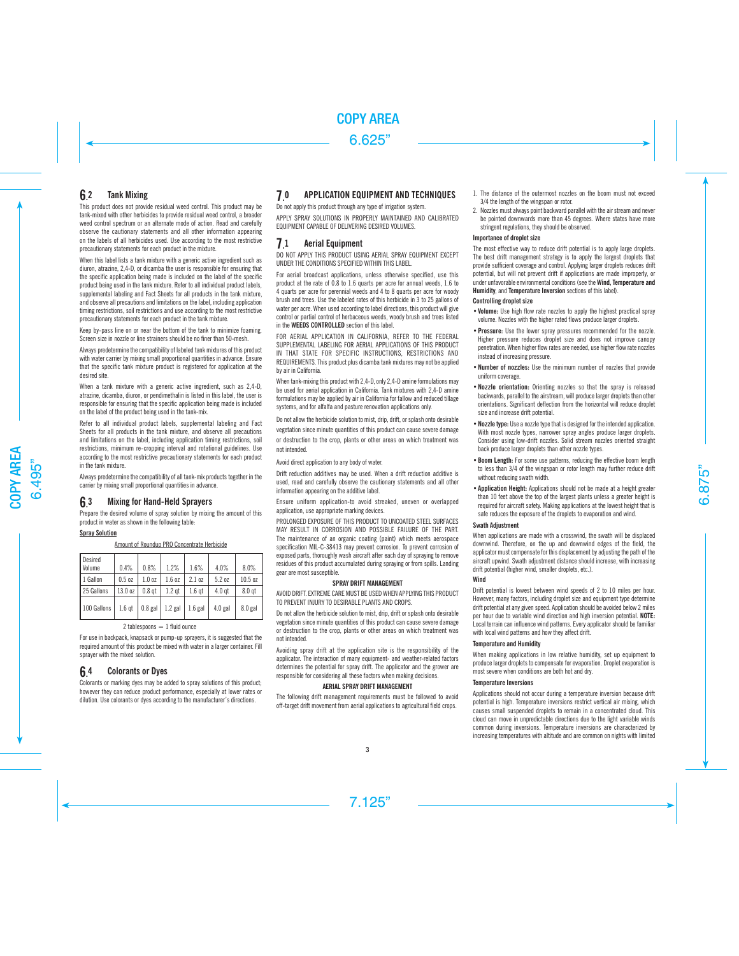#### 6. **Tank Mixing**

This product does not provide residual weed control. This product may be tank-mixed with other herbicides to provide residual weed control, a broader weed control spectrum or an alternate mode of action. Read and carefully observe the cautionary statements and all other information appearing on the labels of all herbicides used. Use according to the most restrictive precautionary statements for each product in the mixture.

When this label lists a tank mixture with a generic active ingredient such as diuron, atrazine, 2,4-D, or dicamba the user is responsible for ensuring that the specific application being made is included on the label of the specific product being used in the tank mixture. Refer to all individual product labels, supplemental labeling and Fact Sheets for all products in the tank mixture, and observe all precautions and limitations on the label, including application timing restrictions, soil restrictions and use according to the most restrictive precautionary statements for each product in the tank mixture.

Keep by-pass line on or near the bottom of the tank to minimize foaming. Screen size in nozzle or line strainers should be no finer than 50-mesh.

Always predetermine the compatibility of labeled tank mixtures of this product with water carrier by mixing small proportional quantities in advance. Ensure that the specific tank mixture product is registered for application at the desired site.

When a tank mixture with a generic active ingredient, such as 2,4-D, atrazine, dicamba, diuron, or pendimethalin is listed in this label, the user is responsible for ensuring that the specific application being made is included on the label of the product being used in the tank-mix.

Refer to all individual product labels, supplemental labeling and Fact Sheets for all products in the tank mixture, and observe all precautions and limitations on the label, including application timing restrictions, soil restrictions, minimum re-cropping interval and rotational guidelines. Use according to the most restrictive precautionary statements for each product in the tank mixture.

Always predetermine the compatibility of all tank-mix products together in the carrier by mixing small proportional quantities in advance.

#### **6. Mixing for Hand-Held Sprayers**

Prepare the desired volume of spray solution by mixing the amount of this product in water as shown in the following table:

## **Spray Solution**

Amount of Roundup PRO Concentrate Herbicide

| Desired<br>Volume | 0.4%              | 0.8%              | 1.2%      | 1.6%              | 4.0%      | 8.0%              |
|-------------------|-------------------|-------------------|-----------|-------------------|-----------|-------------------|
| 1 Gallon          | 0.5 <sub>oz</sub> | 1.0 <sub>oz</sub> | 1.6 oz    | 2.1 oz            | 5.2 oz    | 10.5 oz           |
| 25 Gallons        | 13.0 oz           | 0.8 <sub>gt</sub> | $1.2$ qt  | 1.6 <sub>gt</sub> | $4.0$ qt  | 8.0 <sub>qt</sub> |
| 100 Gallons       | 1.6 <sub>qt</sub> | $0.8$ gal         | $1.2$ gal | $1.6$ gal         | $4.0$ gal | $8.0$ gal         |

## $2$  tablespoons  $= 1$  fluid ounce

For use in backpack, knapsack or pump-up sprayers, it is suggested that the required amount of this product be mixed with water in a larger container. Fill sprayer with the mixed solution.

#### 6. **Colorants or Dyes**

Colorants or marking dyes may be added to spray solutions of this product; however they can reduce product performance, especially at lower rates or dilution. Use colorants or dyes according to the manufacturer's directions.

#### **7. APPLICATION FOILIPMENT AND TECHNIQUES**

Do not apply this product through any type of irrigation system. APPLY SPRAY SOLUTIONS IN PROPERLY MAINTAINED AND CALIBRATED EQUIPMENT CAPABLE OF DELIVERING DESIRED VOLUMES.

#### **7. Aerial Equipment**

DO NOT APPLY THIS PRODUCT USING AERIAL SPRAY EQUIPMENT EXCEPT UNDER THE CONDITIONS SPECIFIED WITHIN THIS LABEL.

For aerial broadcast applications, unless otherwise specified, use this product at the rate of 0.8 to 1.6 quarts per acre for annual weeds, 1.6 to 4 quarts per acre for perennial weeds and 4 to 8 quarts per acre for woody brush and trees. Use the labeled rates of this herbicide in 3 to 25 gallons of water per acre. When used according to label directions, this product will give control or partial control of herbaceous weeds, woody brush and trees listed in the **WEEDS CONTROLLED** section of this label.

FOR AERIAL APPLICATION IN CALIFORNIA, REFER TO THE FEDERAL SUPPLEMENTAL LABELING FOR AFRIAL APPLICATIONS OF THIS PRODUCT IN THAT STATE FOR SPECIFIC INSTRUCTIONS, RESTRICTIONS, AND REQUIREMENTS. This product plus dicamba tank mixtures may not be applied by air in California.

When tank-mixing this product with 2,4-D, only 2,4-D amine formulations may be used for aerial application in California. Tank mixtures with 2,4-D amine formulations may be applied by air in California for fallow and reduced tillage systems, and for alfalfa and pasture renovation applications only.

Do not allow the herbicide solution to mist, drip, drift, or splash onto desirable vegetation since minute quantities of this product can cause severe damage or destruction to the crop, plants or other areas on which treatment was not intended.

Avoid direct application to any body of water.

Drift reduction additives may be used. When a drift reduction additive is used, read and carefully observe the cautionary statements and all other information appearing on the additive label.

Ensure uniform application-to avoid streaked, uneven or overlapped application, use appropriate marking devices.

PROLONGED EXPOSURE OF THIS PRODUCT TO UNCOATED STEEL SURFACES MAY RESULT IN CORROSION AND POSSIBLE FAILURE OF THE PART. The maintenance of an organic coating (paint) which meets aerospace specification MIL-C-38413 may prevent corrosion. To prevent corrosion of exposed parts, thoroughly wash aircraft after each day of spraying to remove residues of this product accumulated during spraying or from spills. Landing gear are most susceptible.

## **SPRAY DRIFT MANAGEMENT**

AVOID DRIFT. EXTREME CARE MUST BE USED WHEN APPLYING THIS PRODUCT TO PREVENT INJURY TO DESIRABLE PLANTS AND CROPS.

Do not allow the herbicide solution to mist, drip, drift or splash onto desirable vegetation since minute quantities of this product can cause severe damage or destruction to the crop, plants or other areas on which treatment was not intended.

Avoiding spray drift at the application site is the responsibility of the applicator. The interaction of many equipment- and weather-related factors determines the potential for spray drift. The applicator and the grower are responsible for considering all these factors when making decisions.

## **AERIAL SPRAY DRIFT MANAGEMENT**

The following drift management requirements must be followed to avoid off-target drift movement from aerial applications to agricultural field crops.

- 1. The distance of the outermost nozzles on the boom must not exceed 3/4 the length of the wingspan or rotor.
- 2. Nozzles must always point backward parallel with the air stream and never be pointed downwards more than 45 degrees. Where states have more stringent regulations, they should be observed.

## **Importance of droplet size**

The most effective way to reduce drift potential is to apply large droplets. The best drift management strategy is to apply the largest droplets that provide sufficient coverage and control. Applying larger droplets reduces drift potential, but will not prevent drift if applications are made improperly, or under unfavorable environmental conditions (see the **Wind, Temperature and Humidity**, and **Temperature Inversion** sections of this label).

## **Controlling droplet size**

- **•Volume:** Use high flow rate nozzles to apply the highest practical spray volume. Nozzles with the higher rated flows produce larger droplets.
- **•Pressure:** Use the lower spray pressures recommended for the nozzle. Higher pressure reduces droplet size and does not improve canopy penetration. When higher flow rates are needed, use higher flow rate nozzles instead of increasing pressure.
- **•Number of nozzles:** Use the minimum number of nozzles that provide uniform coverage.
- **•Nozzle orientation:** Orienting nozzles so that the spray is released backwards, parallel to the airstream, will produce larger droplets than other orientations. Significant deflection from the horizontal will reduce droplet size and increase drift potential.
- **•Nozzle type:** Use a nozzle type that is designed for the intended application. With most nozzle types, narrower spray angles produce larger droplets. Consider using low-drift nozzles. Solid stream nozzles oriented straight back produce larger droplets than other nozzle types.
- **•Boom Length:** For some use patterns, reducing the effective boom length to less than 3/4 of the wingspan or rotor length may further reduce drift without reducing swath width.
- **•Application Height:** Applications should not be made at a height greater than 10 feet above the top of the largest plants unless a greater height is required for aircraft safety. Making applications at the lowest height that is safe reduces the exposure of the droplets to evaporation and wind.

## **Swath Adjustment**

When applications are made with a crosswind, the swath will be displaced downwind. Therefore, on the up and downwind edges of the field, the applicator must compensate for this displacement by adjusting the path of the aircraft upwind. Swath adjustment distance should increase, with increasing drift potential (higher wind, smaller droplets, etc.).

## **Wind**

Drift potential is lowest between wind speeds of 2 to 10 miles per hour. However, many factors, including droplet size and equipment type determine drift potential at any given speed. Application should be avoided below 2 miles per hour due to variable wind direction and high inversion potential. **NOTE:** Local terrain can influence wind patterns. Every applicator should be familiar with local wind patterns and how they affect drift.

## **Temperature and Humidity**

When making applications in low relative humidity, set up equipment to produce larger droplets to compensate for evaporation. Droplet evaporation is most severe when conditions are both hot and dry.

## **Temperature Inversions**

Applications should not occur during a temperature inversion because drift potential is high. Temperature inversions restrict vertical air mixing, which causes small suspended droplets to remain in a concentrated cloud. This cloud can move in unpredictable directions due to the light variable winds common during inversions. Temperature inversions are characterized by increasing temperatures with altitude and are common on nights with limited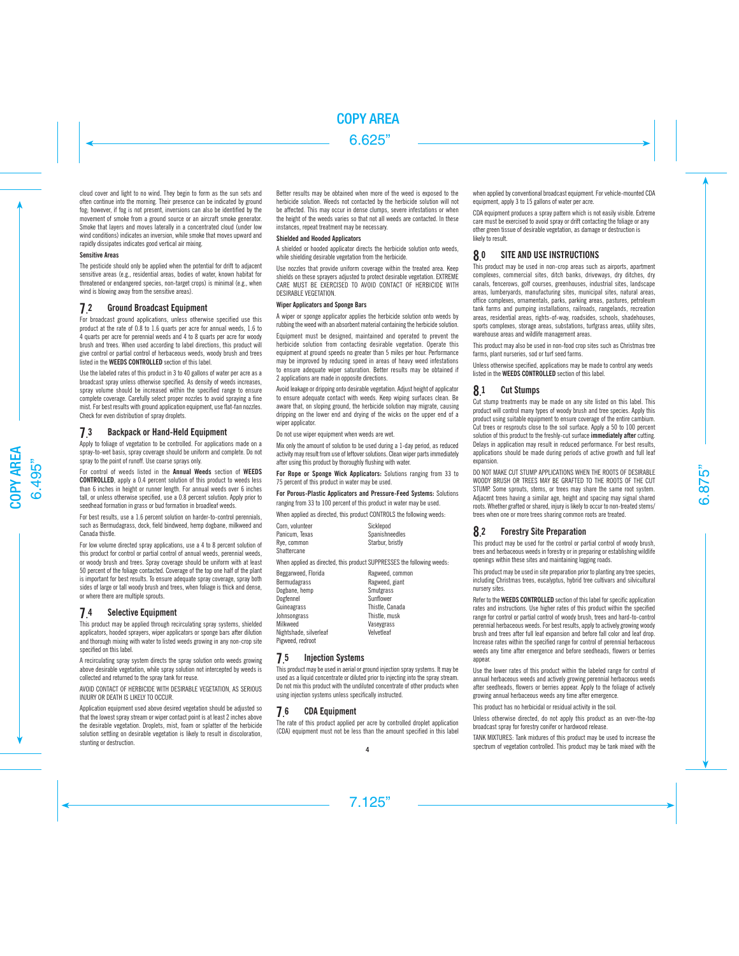cloud cover and light to no wind. They begin to form as the sun sets and often continue into the morning. Their presence can be indicated by ground fog; however, if fog is not present, inversions can also be identified by the movement of smoke from a ground source or an aircraft smoke generator. Smoke that layers and moves laterally in a concentrated cloud (under low wind conditions) indicates an inversion, while smoke that moves upward and rapidly dissipates indicates good vertical air mixing.

#### **Sensitive Areas**

The pesticide should only be applied when the potential for drift to adjacent sensitive areas (e.g., residential areas, bodies of water, known habitat for threatened or endangered species, non-target crops) is minimal (e.g., when wind is blowing away from the sensitive areas).

#### **7.** 2 Ground Broadcast Equipment

For broadcast ground applications, unless otherwise specified use this product at the rate of 0.8 to 1.6 quarts per acre for annual weeds, 1.6 to 4 quarts per acre for perennial weeds and 4 to 8 quarts per acre for woody brush and trees. When used according to label directions, this product will give control or partial control of herbaceous weeds, woody brush and trees listed in the **WEEDS CONTROLLED** section of this label.

Use the labeled rates of this product in 3 to 40 gallons of water per acre as a broadcast spray unless otherwise specified. As density of weeds increases, spray volume should be increased within the specified range to ensure complete coverage. Carefully select proper nozzles to avoid spraying a fine mist. For best results with ground application equipment, use flat-fan nozzles. Check for even distribution of spray droplets.

#### 7. Backpack or Hand-Held Equipment

Apply to foliage of vegetation to be controlled. For applications made on a spray-to-wet basis, spray coverage should be uniform and complete. Do not spray to the point of runoff. Use coarse sprays only.

For control of weeds listed in the **Annual Weeds** section of **WEEDS CONTROLLED**, apply a 0.4 percent solution of this product to weeds less than 6 inches in height or runner length. For annual weeds over 6 inches tall, or unless otherwise specified, use a 0.8 percent solution. Apply prior to seedhead formation in grass or bud formation in broadleaf weeds.

For best results, use a 1.6 percent solution on harder-to-control perennials, such as Bermudagrass, dock, field bindweed, hemp dogbane, milkweed and Canada thistle.

For low volume directed spray applications, use a 4 to 8 percent solution of this product for control or partial control of annual weeds, perennial weeds, or woody brush and trees. Spray coverage should be uniform with at least 50 percent of the foliage contacted. Coverage of the top one half of the plant is important for best results. To ensure adequate spray coverage, spray both sides of large or tall woody brush and trees, when foliage is thick and dense, or where there are multiple sprouts.

#### **7. Selective Equipment**

This product may be applied through recirculating spray systems, shielded applicators, hooded sprayers, wiper applicators or sponge bars after dilution and thorough mixing with water to listed weeds growing in any non-crop site specified on this label.

A recirculating spray system directs the spray solution onto weeds growing above desirable vegetation, while spray solution not intercepted by weeds is collected and returned to the spray tank for reuse.

AVOID CONTACT OF HERBICIDE WITH DESIRABLE VEGETATION, AS SERIOUS INJURY OR DEATH IS LIKELY TO OCCUR.

Application equipment used above desired vegetation should be adjusted so that the lowest spray stream or wiper contact point is at least 2 inches above the desirable vegetation. Droplets, mist, foam or splatter of the herbicide solution settling on desirable vegetation is likely to result in discoloration, stunting or destruction.

Better results may be obtained when more of the weed is exposed to the herbicide solution. Weeds not contacted by the herbicide solution will not be affected. This may occur in dense clumps, severe infestations or when the height of the weeds varies so that not all weeds are contacted. In these instances, repeat treatment may be necessary.

## **Shielded and Hooded Applicators**

A shielded or hooded applicator directs the herbicide solution onto weeds. while shielding desirable vegetation from the herbicide.

Use nozzles that provide uniform coverage within the treated area. Keep shields on these sprayers adjusted to protect desirable vegetation. EXTREME CARE MUST BE EXERCISED TO AVOID CONTACT OF HERBICIDE WITH DESIRABLE VEGETATION.

## **Wiper Applicators and Sponge Bars**

A wiper or sponge applicator applies the herbicide solution onto weeds by rubbing the weed with an absorbent material containing the herbicide solution.

Equipment must be designed, maintained and operated to prevent the herbicide solution from contacting desirable vegetation. Operate this equipment at ground speeds no greater than 5 miles per hour. Performance may be improved by reducing speed in areas of heavy weed infestations to ensure adequate wiper saturation. Better results may be obtained if 2 applications are made in opposite directions.

Avoid leakage or dripping onto desirable vegetation. Adjust height of applicator to ensure adequate contact with weeds. Keep wiping surfaces clean. Be aware that, on sloping ground, the herbicide solution may migrate, causing dripping on the lower end and drying of the wicks on the upper end of a wiper applicator.

Do not use wiper equipment when weeds are wet.

Mix only the amount of solution to be used during a 1-day period, as reduced activity may result from use of leftover solutions. Clean wiper parts immediately after using this product by thoroughly flushing with water.

**For Rope or Sponge Wick Applicators:** Solutions ranging from 33 to 75 percent of this product in water may be used.

#### **For Porous-Plastic Applicators and Pressure-Feed Systems:** Solutions ranging from 33 to 100 percent of this product in water may be used.

When applied as directed, this product CONTROLS the following weeds:

| Corn, volunteer | Sicklepod        |
|-----------------|------------------|
| Panicum. Texas  | Spanishneedles   |
| Rve. common     | Starbur, bristly |
| Chattercane     |                  |

When applied as directed, this product SUPPRESSES the following weeds:

Beggarweed, Florida Ragweed, common Bermudagrass Ragweed, giant<br>Dogbane, hemp Ragweed, Smutgrass **Dogbane, hemp**<br>
Dogfennel<br>
Sunflower Dogfennel Sunflower<br>Cuineagrass Sunflower<br>Thistle Canada Guineagrass Johnsongrass Thistle, musk Nightshade, silverleaf Pigweed, redroot

#### 7. **Injection Systems**

This product may be used in aerial or ground injection spray systems. It may be used as a liquid concentrate or diluted prior to injecting into the spray stream. Do not mix this product with the undiluted concentrate of other products when using injection systems unless specifically instructed.

Vaseygrass<br>Velvetleaf

#### 7. **CDA Equipment**

The rate of this product applied per acre by controlled droplet application (CDA) equipment must not be less than the amount specified in this label when applied by conventional broadcast equipment. For vehicle-mounted CDA equipment, apply 3 to 15 gallons of water per acre.

CDA equipment produces a spray pattern which is not easily visible. Extreme care must be exercised to avoid spray or drift contacting the foliage or any other green tissue of desirable vegetation, as damage or destruction is likely to result.

#### **8.** SITE AND USE INSTRUCTIONS

This product may be used in non-crop areas such as airports, apartment complexes, commercial sites, ditch banks, driveways, dry ditches, dry canals, fencerows, golf courses, greenhouses, industrial sites, landscape areas, lumberyards, manufacturing sites, municipal sites, natural areas, office complexes, ornamentals, parks, parking areas, pastures, petroleum tank farms and pumping installations, railroads, rangelands, recreation areas, residential areas, rights-of-way, roadsides, schools, shadehouses, sports complexes, storage areas, substations, turfgrass areas, utility sites, warehouse areas and wildlife management areas.

This product may also be used in non-food crop sites such as Christmas tree farms, plant nurseries, sod or turf seed farms.

Unless otherwise specified, applications may be made to control any weeds listed in the **WEEDS CONTROLLED** section of this label.

#### 8. **Cut Stumps**

Cut stump treatments may be made on any site listed on this label. This product will control many types of woody brush and tree species. Apply this product using suitable equipment to ensure coverage of the entire cambium. Cut trees or resprouts close to the soil surface. Apply a 50 to 100 percent solution of this product to the freshly-cut surface **immediately after** cutting. Delays in application may result in reduced performance. For best results, applications should be made during periods of active growth and full leaf expansion.

DO NOT MAKE CUT STUMP APPLICATIONS WHEN THE ROOTS OF DESIRABLE WOODY BRUSH OR TREES MAY BE GRAFTED TO THE ROOTS OF THE CUT STUMP. Some sprouts, stems, or trees may share the same root system. Adjacent trees having a similar age, height and spacing may signal shared roots. Whether grafted or shared, injury is likely to occur to non-treated stems/ trees when one or more trees sharing common roots are treated.

#### 8. **Forestry Site Preparation**

This product may be used for the control or partial control of woody brush, trees and herbaceous weeds in forestry or in preparing or establishing wildlife openings within these sites and maintaining logging roads.

This product may be used in site preparation prior to planting any tree species, including Christmas trees, eucalyptus, hybrid tree cultivars and silvicultural nursery sites.

Refer to the **WEEDS CONTROLLED** section of this label for specific application rates and instructions. Use higher rates of this product within the specified range for control or partial control of woody brush, trees and hard-to-control perennial herbaceous weeds. For best results, apply to actively growing woody brush and trees after full leaf expansion and before fall color and leaf drop. Increase rates within the specified range for control of perennial herbaceous weeds any time after emergence and before seedheads, flowers or berries appear.

Use the lower rates of this product within the labeled range for control of annual herbaceous weeds and actively growing perennial herbaceous weeds after seedheads, flowers or berries appear. Apply to the foliage of actively growing annual herbaceous weeds any time after emergence.

This product has no herbicidal or residual activity in the soil.

Unless otherwise directed, do not apply this product as an over-the-top broadcast spray for forestry conifer or hardwood release.

TANK MIXTURES: Tank mixtures of this product may be used to increase the spectrum of vegetation controlled. This product may be tank mixed with the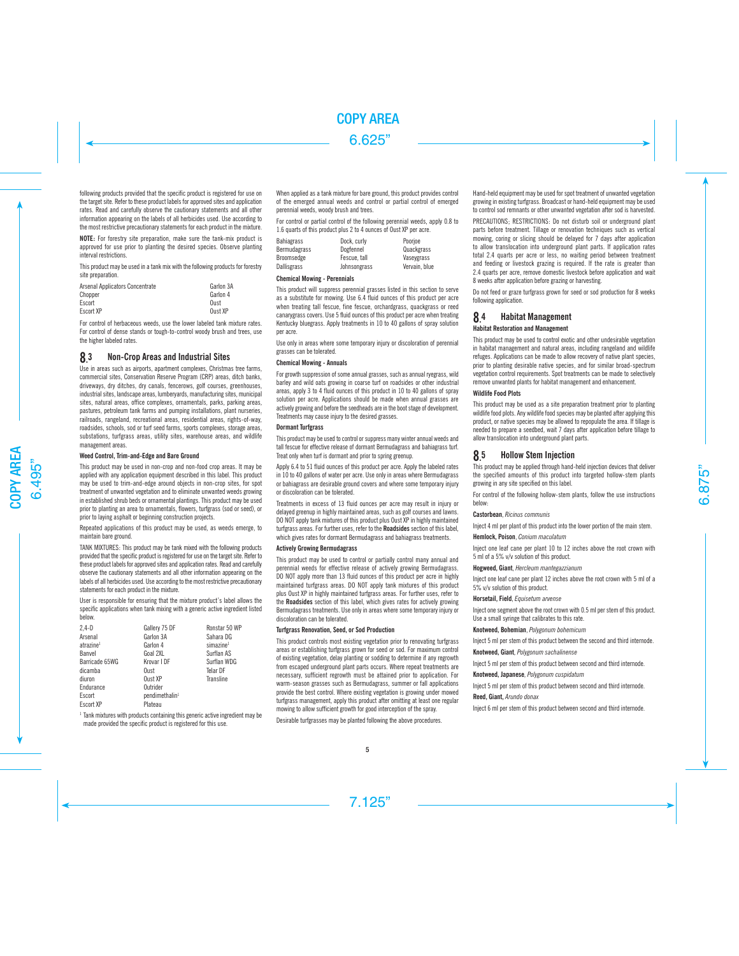following products provided that the specific product is registered for use on the target site. Refer to these product labels for approved sites and application rates. Read and carefully observe the cautionary statements and all other information appearing on the labels of all herbicides used. Use according to the most restrictive precautionary statements for each product in the mixture.

**NOTE:** For forestry site preparation, make sure the tank-mix product is approved for use prior to planting the desired species. Observe planting interval restrictions.

This product may be used in a tank mix with the following products for forestry site preparation.

| Arsenal Applicators Concentrate | Garlon 3A |
|---------------------------------|-----------|
| Chopper                         | Garlon 4  |
| Escort                          | Oust      |
| <b>Escort XP</b>                | Oust XP   |

For control of herbaceous weeds, use the lower labeled tank mixture rates. For control of dense stands or tough-to-control woody brush and trees, use the higher labeled rates.

#### 8. 3 Non-Crop Areas and Industrial Sites

Use in areas such as airports, apartment complexes, Christmas tree farms, commercial sites, Conservation Reserve Program (CRP) areas, ditch banks, driveways, dry ditches, dry canals, fencerows, golf courses, greenhouses, industrial sites, landscape areas, lumberyards, manufacturing sites, municipal sites, natural areas, office complexes, ornamentals, parks, parking areas, pastures, petroleum tank farms and pumping installations, plant nurseries, railroads, rangeland, recreational areas, residential areas, rights-of-way, roadsides, schools, sod or turf seed farms, sports complexes, storage areas, substations, turfgrass areas, utility sites, warehouse areas, and wildlife management areas.

## **Weed Control, Trim-and-Edge and Bare Ground**

This product may be used in non-crop and non-food crop areas. It may be applied with any application equipment described in this label. This product may be used to trim-and-edge around objects in non-crop sites, for spot treatment of unwanted vegetation and to eliminate unwanted weeds growing in established shrub beds or ornamental plantings. This product may be used prior to planting an area to ornamentals, flowers, turfgrass (sod or seed), or prior to laying asphalt or beginning construction projects.

Repeated applications of this product may be used, as weeds emerge, to maintain bare ground.

TANK MIXTURES: This product may be tank mixed with the following products provided that the specific product is registered for use on the target site. Refer to these product labels for approved sites and application rates. Read and carefully observe the cautionary statements and all other information appearing on the labels of all herbicides used. Use according to the most restrictive precautionary statements for each product in the mixture.

User is responsible for ensuring that the mixture product's label allows the specific applications when tank mixing with a generic active ingredient listed below.

| $2.4-D$               | Gallery 75 DF              | Ronstar 50 WP         |
|-----------------------|----------------------------|-----------------------|
| Arsenal               | Garlon 3A                  | Sahara DG             |
| atrazine <sup>1</sup> | Garlon 4                   | simazine <sup>1</sup> |
| Banvel                | Goal 2XL                   | Surflan AS            |
| Barricade 65WG        | Krovar I DF                | Surflan WDG           |
| dicamba               | Oust                       | Telar DF              |
| diuron                | Oust XP                    | Transline             |
| Endurance             | Outrider                   |                       |
| Escort                | pendimethalin <sup>1</sup> |                       |
| Escort XP             | Plateau                    |                       |
|                       |                            |                       |

<sup>1</sup> Tank mixtures with products containing this generic active ingredient may be made provided the specific product is registered for this use.

When applied as a tank mixture for bare ground, this product provides control of the emerged annual weeds and control or partial control of emerged perennial weeds, woody brush and trees.

For control or partial control of the following perennial weeds, apply 0.8 to 1.6 quarts of this product plus 2 to 4 ounces of Oust XP per acre.

| <b>Bahiagrass</b>  | Dock, curly  | Poorioe       |
|--------------------|--------------|---------------|
| Bermudagrass       | Dogfennel    | Quackgrass    |
| Broomsedge         | Fescue, tall | Vasevgrass    |
| <b>Dallisgrass</b> | Johnsongrass | Vervain, blue |

#### **Chemical Mowing - Perennials**

This product will suppress perennial grasses listed in this section to serve as a substitute for mowing. Use 6.4 fluid ounces of this product per acre when treating tall fescue, fine fescue, orchardgrass, quackgrass or reed canarygrass covers. Use 5 fluid ounces of this product per acre when treating Kentucky bluegrass. Apply treatments in 10 to 40 gallons of spray solution per acre.

Use only in areas where some temporary injury or discoloration of perennial grasses can be tolerated.

## **Chemical Mowing - Annuals**

For growth suppression of some annual grasses, such as annual ryegrass, wild barley and wild oats growing in coarse turf on roadsides or other industrial areas, apply 3 to 4 fluid ounces of this product in 10 to 40 gallons of spray solution per acre. Applications should be made when annual grasses are actively growing and before the seedheads are in the boot stage of development. Treatments may cause injury to the desired grasses.

#### **Dormant Turfgrass**

This product may be used to control or suppress many winter annual weeds and tall fescue for effective release of dormant Bermudagrass and bahiagrass turf. Treat only when turf is dormant and prior to spring greenup.

Apply 6.4 to 51 fluid ounces of this product per acre. Apply the labeled rates in 10 to 40 gallons of water per acre. Use only in areas where Bermudagrass or bahiagrass are desirable ground covers and where some temporary injury or discoloration can be tolerated.

Treatments in excess of 13 fluid ounces per acre may result in injury or delayed greenup in highly maintained areas, such as golf courses and lawns. DO NOT apply tank mixtures of this product plus Oust XP in highly maintained turfgrass areas. For further uses, refer to the **Roadsides** section of this label, which gives rates for dormant Bermudagrass and bahiagrass treatments.

#### **Actively Growing Bermudagrass**

This product may be used to control or partially control many annual and perennial weeds for effective release of actively growing Bermudagrass. DO NOT apply more than 13 fluid ounces of this product per acre in highly maintained turfgrass areas. DO NOT apply tank mixtures of this product plus Oust XP in highly maintained turfgrass areas. For further uses, refer to the **Roadsides** section of this label, which gives rates for actively growing Bermudagrass treatments. Use only in areas where some temporary injury or discoloration can be tolerated.

## **Turfgrass Renovation, Seed, or Sod Production**

This product controls most existing vegetation prior to renovating turfgrass areas or establishing turfgrass grown for seed or sod. For maximum control of existing vegetation, delay planting or sodding to determine if any regrowth from escaped underground plant parts occurs. Where repeat treatments are necessary, sufficient regrowth must be attained prior to application. For warm-season grasses such as Bermudagrass, summer or fall applications provide the best control. Where existing vegetation is growing under mowed turfgrass management, apply this product after omitting at least one regular mowing to allow sufficient growth for good interception of the spray.

Desirable turfgrasses may be planted following the above procedures.

Hand-held equipment may be used for spot treatment of unwanted vegetation growing in existing turfgrass. Broadcast or hand-held equipment may be used to control sod remnants or other unwanted vegetation after sod is harvested.

PRECAUTIONS; RESTRICTIONS: Do not disturb soil or underground plant parts before treatment. Tillage or renovation techniques such as vertical mowing, coring or slicing should be delayed for 7 days after application to allow translocation into underground plant parts. If application rates total 2.4 quarts per acre or less, no waiting period between treatment and feeding or livestock grazing is required. If the rate is greater than 2.4 quarts per acre, remove domestic livestock before application and wait 8 weeks after application before grazing or harvesting.

Do not feed or graze turfgrass grown for seed or sod production for 8 weeks following application.

#### 8. 4 Habitat Management

## **Habitat Restoration and Management**

This product may be used to control exotic and other undesirable vegetation in habitat management and natural areas, including rangeland and wildlife refuges. Applications can be made to allow recovery of native plant species, prior to planting desirable native species, and for similar broad-spectrum vegetation control requirements. Spot treatments can be made to selectively remove unwanted plants for habitat management and enhancement.

#### **Wildlife Food Plots**

This product may be used as a site preparation treatment prior to planting wildlife food plots. Any wildlife food species may be planted after applying this product, or native species may be allowed to repopulate the area. If tillage is needed to prepare a seedbed, wait 7 days after application before tillage to allow translocation into underground plant parts.

#### **8.** 5 Hollow Stem Injection

This product may be applied through hand-held injection devices that deliver the specified amounts of this product into targeted hollow-stem plants growing in any site specified on this label.

For control of the following hollow-stem plants, follow the use instructions below:

## **Castorbean**, *Ricinus communis*

Inject 4 ml per plant of this product into the lower portion of the main stem.

#### **Hemlock, Poison**, *Conium maculatum*

Inject one leaf cane per plant 10 to 12 inches above the root crown with 5 ml of a 5% v/v solution of this product.

#### **Hogweed, Giant**, *Hercleum mantegazzianum*

Inject one leaf cane per plant 12 inches above the root crown with 5 ml of a 5% v/v solution of this product.

#### **Horsetail, Field**, *Equisetum arvense*

Inject one segment above the root crown with 0.5 ml per stem of this product. Use a small syringe that calibrates to this rate.

## **Knotweed, Bohemian**, *Polygonum bohemicum*

Inject 5 ml per stem of this product between the second and third internode.

## **Knotweed, Giant**, *Polygonum sachalinense*

Inject 5 ml per stem of this product between second and third internode.

#### **Knotweed, Japanese**, *Polygonum cuspidatum*

Inject 5 ml per stem of this product between second and third internode.

#### **Reed, Giant,** *Arundo donax*

Inject 6 ml per stem of this product between second and third internode.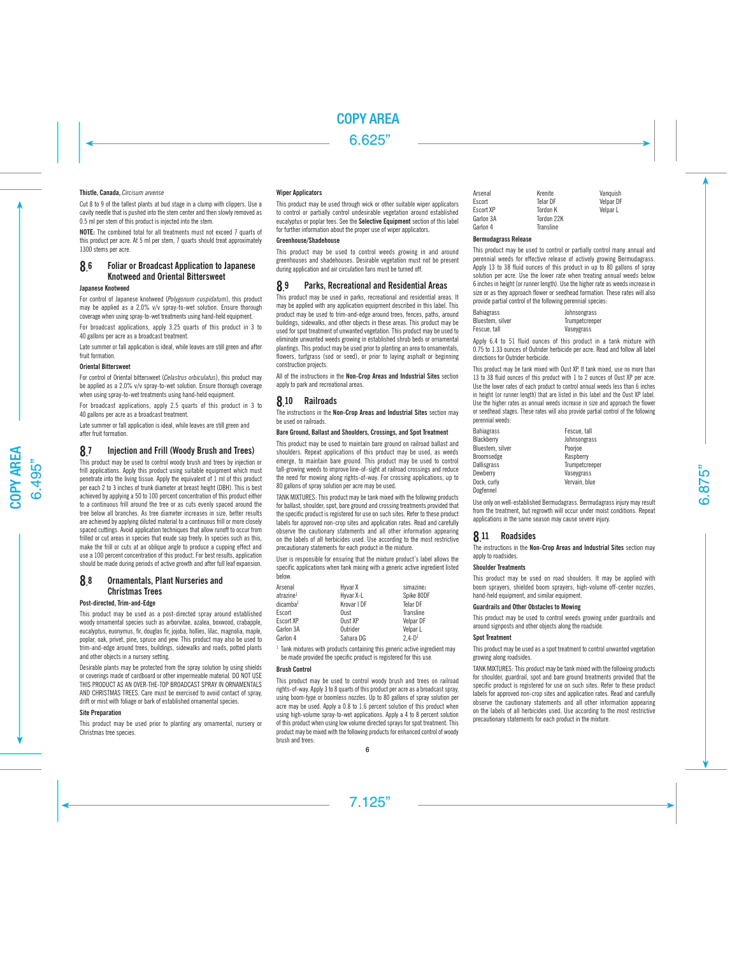#### **Thistle, Canada,** *Circisum arvense*

Cut 8 to 9 of the tallest plants at bud stage in a clump with clippers. Use a cavity needle that is pushed into the stem center and then slowly removed as 0.5 ml per stem of this product is injected into the stem.

**NOTE:** The combined total for all treatments must not exceed 7 quarts of this product per acre. At 5 ml per stem, 7 quarts should treat approximately 1300 stems per acre.

#### 8. 6 Foliar or Broadcast Application to Japanese Knotweed and Oriental Bittersweet

## **Japanese Knotweed**

For control of Japanese knotweed (*Polygonum cuspidatum*), this product may be applied as a 2.0% v/v spray-to-wet solution. Ensure thorough coverage when using spray-to-wet treatments using hand-held equipment.

For broadcast applications, apply 3.25 quarts of this product in 3 to 40 gallons per acre as a broadcast treatment.

Late summer or fall application is ideal, while leaves are still green and after fruit formation.

## **Oriental Bittersweet**

For control of Oriental bittersweet (*Celastrus orbiculatus*), this product may be applied as a 2.0% v/v spray-to-wet solution. Ensure thorough coverage when using spray-to-wet treatments using hand-held equipment.

For broadcast applications, apply 2.5 quarts of this product in 3 to 40 gallons per acre as a broadcast treatment.

Late summer or fall application is ideal, while leaves are still green and after fruit formation.

#### 8. 7 Injection and Frill (Woody Brush and Trees)

This product may be used to control woody brush and trees by injection or frill applications. Apply this product using suitable equipment which must penetrate into the living tissue. Apply the equivalent of 1 ml of this product per each 2 to 3 inches of trunk diameter at breast height (DBH). This is best achieved by applying a 50 to 100 percent concentration of this product either to a continuous frill around the tree or as cuts evenly spaced around the tree below all branches. As tree diameter increases in size, better results are achieved by applying diluted material to a continuous frill or more closely spaced cuttings. Avoid application techniques that allow runoff to occur from frilled or cut areas in species that exude sap freely. In species such as this, make the frill or cuts at an oblique angle to produce a cupping effect and use a 100 percent concentration of this product. For best results, application should be made during periods of active growth and after full leaf expansion.

#### 8. 8 Ornamentals, Plant Nurseries and Christmas Trees

#### **Post-directed, Trim-and-Edge**

This product may be used as a post-directed spray around established woody ornamental species such as arborvitae, azalea, boxwood, crabapple, eucalyptus, euonymus, fir, douglas fir, jojoba, hollies, lilac, magnolia, maple, poplar, oak, privet, pine, spruce and yew. This product may also be used to trim-and-edge around trees, buildings, sidewalks and roads, potted plants and other objects in a nursery setting.

Desirable plants may be protected from the spray solution by using shields or coverings made of cardboard or other impermeable material. DO NOT USE THIS PRODUCT AS AN OVER-THE-TOP BROADCAST SPRAY IN ORNAMENTALS AND CHRISTMAS TREES. Care must be exercised to avoid contact of spray, drift or mist with foliage or bark of established ornamental species.

#### **Site Preparation**

This product may be used prior to planting any ornamental, nursery or Christmas tree species.

#### **Wiper Applicators**

This product may be used through wick or other suitable wiper applicators to control or partially control undesirable vegetation around established eucalyptus or poplar tees. See the **Selective Equipment** section of this label for further information about the proper use of wiper applicators.

## **Greenhouse/Shadehouse**

This product may be used to control weeds growing in and around greenhouses and shadehouses. Desirable vegetation must not be present  $\tilde{d}$ uring application and air circulation fans must be turned off.

#### 8. 9 Parks, Recreational and Residential Areas

This product may be used in parks, recreational and residential areas. It may be applied with any application equipment described in this label. This product may be used to trim-and-edge around trees, fences, paths, around buildings, sidewalks, and other objects in these areas. This product may be used for spot treatment of unwanted vegetation. This product may be used to eliminate unwanted weeds growing in established shrub beds or ornamental plantings. This product may be used prior to planting an area to ornamentals, flowers, turfgrass (sod or seed), or prior to laying asphalt or beginning construction projects.

All of the instructions in the **Non-Crop Areas and Industrial Sites** section apply to park and recreational areas.

#### 8.10 **Railroads**

The instructions in the **Non-Crop Areas and Industrial Sites** section may be used on railroads.

#### **Bare Ground, Ballast and Shoulders, Crossings, and Spot Treatment**

This product may be used to maintain bare ground on railroad ballast and shoulders. Repeat applications of this product may be used, as weeds emerge, to maintain bare ground. This product may be used to control tall-growing weeds to improve line-of-sight at railroad crossings and reduce the need for mowing along rights-of-way. For crossing applications, up to 80 gallons of spray solution per acre may be used.

TANK MIXTURES: This product may be tank mixed with the following products for ballast, shoulder, spot, bare ground and crossing treatments provided that the specific product is registered for use on such sites. Refer to these product labels for approved non-crop sites and application rates. Read and carefully observe the cautionary statements and all other information appearing on the labels of all herbicides used. Use according to the most restrictive precautionary statements for each product in the mixture.

User is responsible for ensuring that the mixture product's label allows the specific applications when tank mixing with a generic active ingredient listed below.

| Arsenal               | Hyvar X     | simazine1  |
|-----------------------|-------------|------------|
| atrazine <sup>1</sup> | Hyvar X-L   | Spike 80DF |
| dicamba <sup>1</sup>  | Krovar I DF | Telar DF   |
| Escort                | Oust        | Transline  |
| Escort XP             | Oust XP     | Velpar DF  |
| Garlon 3A             | Outrider    | Velpar L   |
| Garlon 4              | Sahara DG   | $2.4 - D1$ |

<sup>1</sup> Tank mixtures with products containing this generic active ingredient may be made provided the specific product is registered for this use.

#### **Brush Control**

This product may be used to control woody brush and trees on railroad rights-of-way. Apply 3 to 8 quarts of this product per acre as a broadcast spray, using boom-type or boomless nozzles. Up to 80 gallons of spray solution per acre may be used. Apply a 0.8 to 1.6 percent solution of this product when using high-volume spray-to-wet applications. Apply a 4 to 8 percent solution of this product when using low volume directed sprays for spot treatment. This product may be mixed with the following products for enhanced control of woody brush and trees:

| Arsenal   | Krenite         | Vanguish  |
|-----------|-----------------|-----------|
| Escort    | Telar DF        | Velpar DF |
| Escort XP | <b>Tordon K</b> | Velpar L  |
| Garlon 3A | Tordon 22K      |           |
| Garlon 4  | Transline       |           |

#### **Bermudagrass Release**

This product may be used to control or partially control many annual and perennial weeds for effective release of actively growing Bermudagrass. Apply 13 to 38 fluid ounces of this product in up to 80 gallons of spray solution per acre. Use the lower rate when treating annual weeds below 6 inches in height (or runner length). Use the higher rate as weeds increase in size or as they approach flower or seedhead formation. These rates will also provide partial control of the following perennial species:

| <b>Bahiagrass</b> | Johnsongrass   |
|-------------------|----------------|
| Bluestem, silver  | Trumpetcreeper |
| Fescue, tall      | Vaseygrass     |

Apply 6.4 to 51 fluid ounces of this product in a tank mixture with 0.75 to 1.33 ounces of Outrider herbicide per acre. Read and follow all label directions for Outrider herbicide.

This product may be tank mixed with Oust XP. If tank mixed, use no more than 13 to 38 fluid ounces of this product with 1 to 2 ounces of Oust XP per acre. Use the lower rates of each product to control annual weeds less than 6 inches in height (or runner length) that are listed in this label and the Oust XP label. Use the higher rates as annual weeds increase in size and approach the flower or seedhead stages. These rates will also provide partial control of the following perennial weeds:

| <b>Bahiagrass</b> | Fescue, tall   |
|-------------------|----------------|
| Blackberry        | Johnsongrass   |
| Bluestem, silver  | Poorjoe        |
| Broomsedge        | Raspberry      |
| Dallisgrass       | Trumpetcreeper |
| Dewberry          | Vaseygrass     |
| Dock, curly       | Vervain, blue  |
| Dogfennel         |                |

Use only on well-established Bermudagrass. Bermudagrass injury may result from the treatment, but regrowth will occur under moist conditions. Repeat applications in the same season may cause severe injury.

# **8.** 11 Roadsides

The instructions in the **Non-Crop Areas and Industrial Sites** section may apply to roadsides.

#### **Shoulder Treatments**

This product may be used on road shoulders. It may be applied with boom sprayers, shielded boom sprayers, high-volume off-center nozzles, hand-held equipment, and similar equipment.

#### **Guardrails and Other Obstacles to Mowing**

This product may be used to control weeds growing under guardrails and around signposts and other objects along the roadside.

#### **Spot Treatment**

This product may be used as a spot treatment to control unwanted vegetation growing along roadsides.

TANK MIXTURES: This product may be tank mixed with the following products for shoulder, guardrail, spot and bare ground treatments provided that the specific product is registered for use on such sites. Refer to these product labels for approved non-crop sites and application rates. Read and carefully observe the cautionary statements and all other information appearing on the labels of all herbicides used. Use according to the most restrictive precautionary statements for each product in the mixture.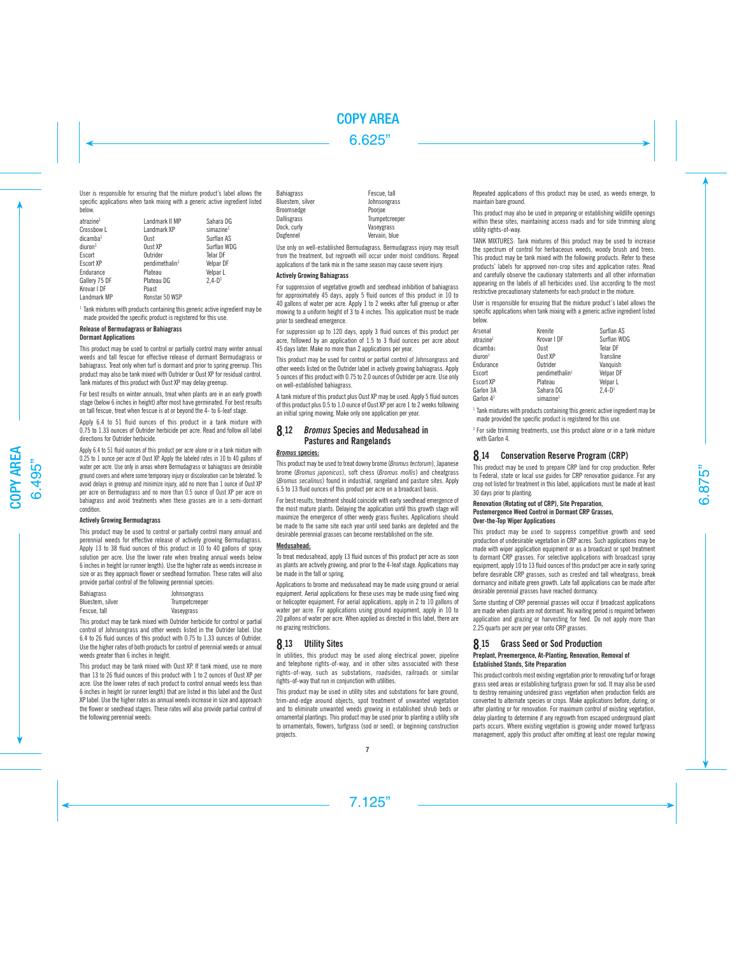User is responsible for ensuring that the mixture product's label allows the specific applications when tank mixing with a generic active ingredient listed below.

| atrazine <sup>1</sup><br>Crossbow L<br>dicamba <sup>1</sup><br>diuron <sup>1</sup><br>Escort<br><b>Escort XP</b><br>Endurance<br>Gallery 75 DF<br>Krovar I DF | Landmark II MP<br>Landmark XP<br>Oust<br>Oust XP<br>Outrider<br>pendimethalin <sup>1</sup><br>Plateau<br>Plateau DG<br>Poast | Sahara DG<br>simazine <sup>1</sup><br>Surflan AS<br>Surflan WDG<br>Telar DF<br>Velpar DF<br>Velpar L<br>$2.4 - D1$ |
|---------------------------------------------------------------------------------------------------------------------------------------------------------------|------------------------------------------------------------------------------------------------------------------------------|--------------------------------------------------------------------------------------------------------------------|
| Landmark MP                                                                                                                                                   | Ronstar 50 WSP                                                                                                               |                                                                                                                    |
|                                                                                                                                                               |                                                                                                                              |                                                                                                                    |

<sup>1</sup> Tank mixtures with products containing this generic active ingredient may be made provided the specific product is registered for this use.

#### **Release of Bermudagrass or Bahiagrass Dormant Applications**

This product may be used to control or partially control many winter annual weeds and tall fescue for effective release of dormant Bermudagrass or bahiagrass. Treat only when turf is dormant and prior to spring greenup. This product may also be tank mixed with Outrider or Oust XP for residual control. Tank mixtures of this product with Oust XP may delay greenup.

For best results on winter annuals, treat when plants are in an early growth stage (below 6 inches in height) after most have germinated. For best results on tall fescue, treat when fescue is at or beyond the 4- to 6-leaf stage.

Apply 6.4 to 51 fluid ounces of this product in a tank mixture with 0.75 to 1.33 ounces of Outrider herbicide per acre. Read and follow all label directions for Outrider herbicide.

Apply 6.4 to 51 fluid ounces of this product per acre alone or in a tank mixture with 0.25 to 1 ounce per acre of Oust XP. Apply the labeled rates in 10 to 40 gallons of water per acre. Use only in areas where Bermudagrass or bahiagrass are desirable ground covers and where some temporary injury or discoloration can be tolerated. To avoid delays in greenup and minimize injury, add no more than 1 ounce of Oust XP per acre on Bermudagrass and no more than 0.5 ounce of Oust XP per acre on bahiagrass and avoid treatments when these grasses are in a semi-dormant condition.

## **Actively Growing Bermudagrass**

This product may be used to control or partially control many annual and perennial weeds for effective release of actively growing Bermudagrass. Apply 13 to 38 fluid ounces of this product in 10 to 40 gallons of spray solution per acre. Use the lower rate when treating annual weeds below 6 inches in height (or runner length). Use the higher rate as weeds increase in size or as they approach flower or seedhead formation. These rates will also provide partial control of the following perennial species:

| <b>Bahiagrass</b> | Johnsongrass   |
|-------------------|----------------|
| Bluestem, silver  | Trumpetcreeper |
| Fescue, tall      | Vaseygrass     |

This product may be tank mixed with Outrider herbicide for control or partial control of Johnsongrass and other weeds listed in the Outrider label. Use 6.4 to 26 fluid ounces of this product with 0.75 to 1.33 ounces of Outrider. Use the higher rates of both products for control of perennial weeds or annual weeds greater than 6 inches in height.

This product may be tank mixed with Oust XP. If tank mixed, use no more than 13 to 26 fluid ounces of this product with 1 to 2 ounces of Oust XP per acre. Use the lower rates of each product to control annual weeds less than 6 inches in height (or runner length) that are listed in this label and the Oust XP label. Use the higher rates as annual weeds increase in size and approach the flower or seedhead stages. These rates will also provide partial control of the following perennial weeds:

Bahiagrass<br>Bluestem silver **Fescue, tall**<br>Iohnsongrass Bluestem, silver and Johnson<br>Broomsedge Broomsedge Dallisgrass Trumpetcreeper<br>Dock.curly Dock Curly Dock, curly **Contact Contact Contact Contact Contact Vaseygrass**<br>Dogfennel **Veryain** Nu

Vervain, blue

Use only on well-established Bermudagrass. Bermudagrass injury may result from the treatment, but regrowth will occur under moist conditions. Repeat applications of the tank mix in the same season may cause severe injury.

#### **Actively Growing Bahiagrass**

For suppression of vegetative growth and seedhead inhibition of bahiagrass for approximately  $45$  days, apply 5 fluid ounces of this product in  $\overline{10}$  to 40 gallons of water per acre. Apply 1 to 2 weeks after full greenup or after mowing to a uniform height of 3 to 4 inches. This application must be made prior to seedhead emergence.

For suppression up to 120 days, apply 3 fluid ounces of this product per acre, followed by an application of 1.5 to 3 fluid ounces per acre about 45 days later. Make no more than 2 applications per year.

This product may be used for control or partial control of Johnsongrass and other weeds listed on the Outrider label in actively growing bahiagrass. Apply 5 ounces of this product with 0.75 to 2.0 ounces of Outrider per acre. Use only on well-established bahiagrass.

A tank mixture of this product plus Oust XP may be used. Apply 5 fluid ounces of this product plus 0.5 to 1.0 ounce of Oust XP per acre 1 to 2 weeks following an initial spring mowing. Make only one application per year.

## 8. 12 *Bromus* Species and Medusahead in Pastures and Rangelands

## *Bromus* **species:**

This product may be used to treat downy brome (*Bromus tectorum*), Japanese brome (*Bromus japonicus*), soft chess (*Bromus mollis*) and cheatgrass (*Bromus secalinus*) found in industrial, rangeland and pasture sites. Apply 6.5 to 13 fluid ounces of this product per acre on a broadcast basis.

For best results, treatment should coincide with early seedhead emergence of the most mature plants. Delaying the application until this growth stage will maximize the emergence of other weedy grass flushes. Applications should be made to the same site each year until seed banks are depleted and the desirable perennial grasses can become reestablished on the site.

#### **Medusahead:**

To treat medusahead, apply 13 fluid ounces of this product per acre as soon as plants are actively growing, and prior to the 4-leaf stage. Applications may be made in the fall or spring.

Applications to brome and medusahead may be made using ground or aerial equipment. Aerial applications for these uses may be made using fixed wing or helicopter equipment. For aerial applications, apply in 2 to 10 gallons of water per acre. For applications using ground equipment, apply in 10 to 20 gallons of water per acre. When applied as directed in this label, there are no grazing restrictions.

# 8. 13 Utility Sites

In utilities, this product may be used along electrical power, pipeline and telephone rights-of-way, and in other sites associated with these rights-of-way, such as substations, roadsides, railroads or similar rights-of-way that run in conjunction with utilities.

This product may be used in utility sites and substations for bare ground, trim-and-edge around objects, spot treatment of unwanted vegetation and to eliminate unwanted weeds growing in established shrub beds or ornamental plantings. This product may be used prior to planting a utility site to ornamentals, flowers, turfgrass (sod or seed), or beginning construction projects.

Repeated applications of this product may be used, as weeds emerge, to maintain bare ground.

This product may also be used in preparing or establishing wildlife openings within these sites, maintaining access roads and for side trimming along utility rights-of-way.

TANK MIXTURES: Tank mixtures of this product may be used to increase the spectrum of control for herbaceous weeds, woody brush and trees. This product may be tank mixed with the following products. Refer to these products' labels for approved non-crop sites and application rates. Read and carefully observe the cautionary statements and all other information appearing on the labels of all herbicides used. Use according to the most restrictive precautionary statements for each product in the mixture.

User is responsible for ensuring that the mixture product's label allows the specific applications when tank mixing with a generic active ingredient listed below.

| Krenite                    | Surflan AS  |
|----------------------------|-------------|
| Krovar I DF                | Surflan WDG |
| Oust                       | Telar DF    |
| Oust XP                    | Transline   |
| Outrider                   | Vanquish    |
| pendimethalin <sup>1</sup> | Velpar DF   |
| Plateau                    | Velpar L    |
| Sahara DG                  | $2.4 - D1$  |
| simazine <sup>1</sup>      |             |
|                            |             |

<sup>1</sup> Tank mixtures with products containing this generic active ingredient may be made provided the specific product is registered for this use.

<sup>2</sup> For side trimming treatments, use this product alone or in a tank mixture with Garlon 4.

#### **8.14** 14 Conservation Reserve Program (CRP)

This product may be used to prepare CRP land for crop production. Refer to Federal, state or local use guides for CRP renovation guidance. For any crop not listed for treatment in this label, applications must be made at least 30 days prior to planting.

#### **Renovation (Rotating out of CRP), Site Preparation, Postemergence Weed Control in Dormant CRP Grasses, Over-the-Top Wiper Applications**

This product may be used to suppress competitive growth and seed production of undesirable vegetation in CRP acres. Such applications may be made with wiper application equipment or as a broadcast or spot treatment to dormant CRP grasses. For selective applications with broadcast spray equipment, apply 10 to 13 fluid ounces of this product per acre in early spring before desirable CRP grasses, such as crested and tall wheatgrass, break dormancy and initiate green growth. Late fall applications can be made after desirable perennial grasses have reached dormancy.

Some stunting of CRP perennial grasses will occur if broadcast applications are made when plants are not dormant. No waiting period is required between application and grazing or harvesting for feed. Do not apply more than 2.25 quarts per acre per year onto CRP grasses.

#### **8.** 15 Grass Seed or Sod Production **Preplant, Preemergence, At-Planting, Renovation, Removal of**

# **Established Stands, Site Preparation**

This product controls most existing vegetation prior to renovating turf or forage grass seed areas or establishing turfgrass grown for sod. It may also be used to destroy remaining undesired grass vegetation when production fields are converted to alternate species or crops. Make applications before, during, or after planting or for renovation. For maximum control of existing vegetation, delay planting to determine if any regrowth from escaped underground plant parts occurs. Where existing vegetation is growing under mowed turfgrass management, apply this product after omitting at least one regular mowing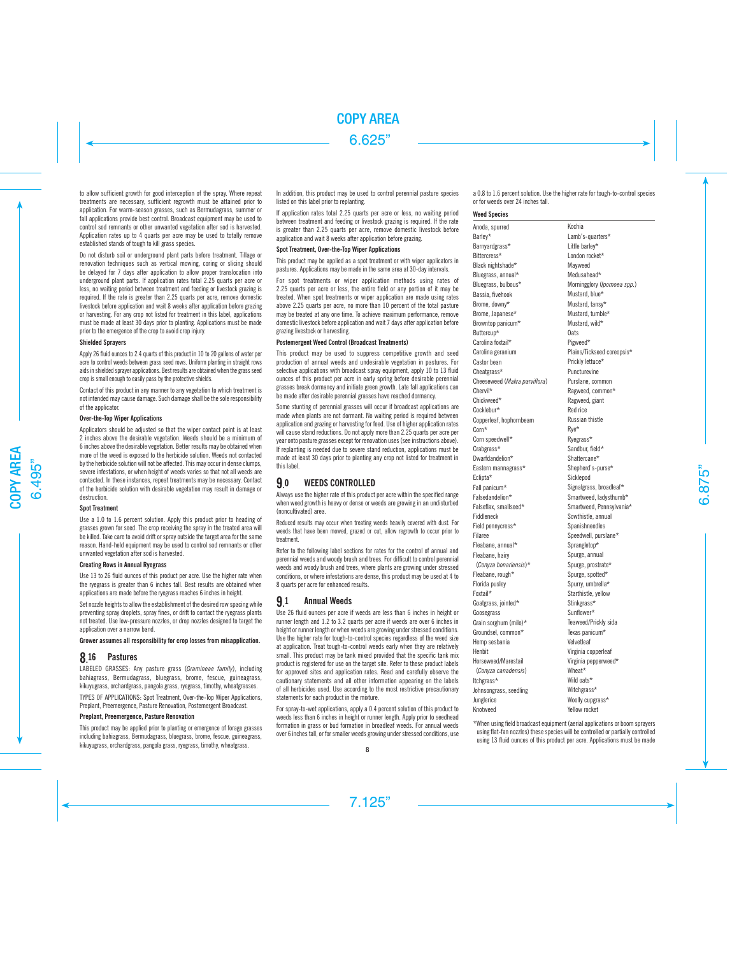to allow sufficient growth for good interception of the spray. Where repeat treatments are necessary, sufficient regrowth must be attained prior to application. For warm-season grasses, such as Bermudagrass, summer or fall applications provide best control. Broadcast equipment may be used to control sod remnants or other unwanted vegetation after sod is harvested. Application rates up to 4 quarts per acre may be used to totally remove established stands of tough to kill grass species.

Do not disturb soil or underground plant parts before treatment. Tillage or renovation techniques such as vertical mowing, coring or slicing should be delayed for 7 days after application to allow proper translocation into underground plant parts. If application rates total 2.25 quarts per acre or less, no waiting period between treatment and feeding or livestock grazing is required. If the rate is greater than 2.25 quarts per acre, remove domestic livestock before application and wait 8 weeks after application before grazing or harvesting. For any crop not listed for treatment in this label, applications must be made at least 30 days prior to planting. Applications must be made prior to the emergence of the crop to avoid crop injury.

#### **Shielded Sprayers**

Apply 26 fluid ounces to 2.4 quarts of this product in 10 to 20 gallons of water per acre to control weeds between grass seed rows. Uniform planting in straight rows aids in shielded sprayer applications. Best results are obtained when the grass seed crop is small enough to easily pass by the protective shields.

Contact of this product in any manner to any vegetation to which treatment is not intended may cause damage. Such damage shall be the sole responsibility of the applicator.

### **Over-the-Top Wiper Applications**

Applicators should be adjusted so that the wiper contact point is at least 2 inches above the desirable vegetation. Weeds should be a minimum of 6 inches above the desirable vegetation. Better results may be obtained when more of the weed is exposed to the herbicide solution. Weeds not contacted by the herbicide solution will not be affected. This may occur in dense clumps, severe infestations, or when height of weeds varies so that not all weeds are contacted. In these instances, repeat treatments may be necessary. Contact of the herbicide solution with desirable vegetation may result in damage or destruction.

#### **Spot Treatment**

Use a 1.0 to 1.6 percent solution. Apply this product prior to heading of grasses grown for seed. The crop receiving the spray in the treated area will be killed. Take care to avoid drift or spray outside the target area for the same reason. Hand-held equipment may be used to control sod remnants or other unwanted vegetation after sod is harvested.

#### **Creating Rows in Annual Ryegrass**

Use 13 to 26 fluid ounces of this product per acre. Use the higher rate when the ryegrass is greater than 6 inches tall. Best results are obtained when applications are made before the ryegrass reaches 6 inches in height.

Set nozzle heights to allow the establishment of the desired row spacing while preventing spray droplets, spray fines, or drift to contact the ryegrass plants not treated. Use low-pressure nozzles, or drop nozzles designed to target the application over a narrow band.

Grower assumes all responsibility for crop losses from misapplication.

#### 8.16 Pastures

LABELED GRASSES: Any pasture grass (*Gramineae family*), including bahiagrass, Bermudagrass, bluegrass, brome, fescue, guineagrass, kikuvugrass, orchardgrass, pangola grass, ryegrass, timothy, wheatgrasses.

TYPES OF APPLICATIONS: Spot Treatment, Over-the-Top Wiper Applications, Preplant, Preemergence, Pasture Renovation, Postemergent Broadcast.

## **Preplant, Preemergence, Pasture Renovation**

This product may be applied prior to planting or emergence of forage grasses including bahiagrass, Bermudagrass, bluegrass, brome, fescue, guineagrass, kikuyugrass, orchardgrass, pangola grass, ryegrass, timothy, wheatgrass.

In addition, this product may be used to control perennial pasture species listed on this label prior to replanting.

If application rates total 2.25 quarts per acre or less, no waiting period between treatment and feeding or livestock grazing is required. If the rate is greater than 2.25 quarts per acre, remove domestic livestock before application and wait 8 weeks after application before grazing.

## **Spot Treatment, Over-the-Top Wiper Applications**

This product may be applied as a spot treatment or with wiper applicators in pastures. Applications may be made in the same area at 30-day intervals.

For spot treatments or wiper application methods using rates of 2.25 quarts per acre or less, the entire field or any portion of it may be treated. When spot treatments or wiper application are made using rates above 2.25 quarts per acre, no more than 10 percent of the total pasture may be treated at any one time. To achieve maximum performance, remove domestic livestock before application and wait 7 days after application before grazing livestock or harvesting.

## **Postemergent Weed Control (Broadcast Treatments)**

This product may be used to suppress competitive growth and seed production of annual weeds and undesirable vegetation in pastures. For selective applications with broadcast spray equipment, apply 10 to 13 fluid ounces of this product per acre in early spring before desirable perennial grasses break dormancy and initiate green growth. Late fall applications can be made after desirable perennial grasses have reached dormancy.

Some stunting of perennial grasses will occur if broadcast applications are made when plants are not dormant. No waiting period is required between application and grazing or harvesting for feed. Use of higher application rates will cause stand reductions. Do not apply more than 2.25 quarts per acre per year onto pasture grasses except for renovation uses (see instructions above). If replanting is needed due to severe stand reduction, applications must be made at least 30 days prior to planting any crop not listed for treatment in this label.

#### 9. WEEDS CONTROLLED

Always use the higher rate of this product per acre within the specified range when weed growth is heavy or dense or weeds are growing in an undisturbed (noncultivated) area.

Reduced results may occur when treating weeds heavily covered with dust. For weeds that have been mowed, grazed or cut, allow regrowth to occur prior to treatment.

Refer to the following label sections for rates for the control of annual and perennial weeds and woody brush and trees. For difficult to control perennial weeds and woody brush and trees, where plants are growing under stressed conditions, or where infestations are dense, this product may be used at 4 to 8 quarts per acre for enhanced results.

#### 9. **Annual Weeds**

Use 26 fluid ounces per acre if weeds are less than 6 inches in height or runner length and 1.2 to 3.2 quarts per acre if weeds are over 6 inches in height or runner length or when weeds are growing under stressed conditions. Use the higher rate for tough-to-control species regardless of the weed size at application. Treat tough-to-control weeds early when they are relatively small. This product may be tank mixed provided that the specific tank mix product is registered for use on the target site. Refer to these product labels for approved sites and application rates. Read and carefully observe the cautionary statements and all other information appearing on the labels of all herbicides used. Use according to the most restrictive precautionary statements for each product in the mixture.

For spray-to-wet applications, apply a 0.4 percent solution of this product to weeds less than 6 inches in height or runner length. Apply prior to seedhead formation in grass or bud formation in broadleaf weeds. For annual weeds over 6 inches tall, or for smaller weeds growing under stressed conditions, use a 0.8 to 1.6 percent solution. Use the higher rate for tough-to-control species or for weeds over 24 inches tall.

#### **Weed Species**

Anoda, spurred Barley\* Barnyardgrass\* Bittercress\* Black nightshade\* Bluegrass, annual\* Bluegrass, bulbous\* Bassia, fivehook Brome, downy\* Brome, Japanese\* Browntop panicum\* Buttercup\* Carolina foxtail\* Carolina geranium Castor bean Cheatgrass\* Cheeseweed (*Malva parviflora*) Chervil\* Chickweed\* Cocklebur\* Copperleaf, hophornbeam Corn\* Corn speedwell\* Crabgrass\* Dwarfdandelion\* Eastern mannagrass\* Eclipta\* Fall panicum\* Falsedandelion\* Falseflax, smallseed\* Fiddleneck Field pennycress\* Filaree Fleabane, annual\* Fleabane, hairy (*Conyza bonariensis*)\* Fleabane, rough\* Florida pusley Foxtail\* Goatgrass, jointed\* Goosegrass Grain sorghum (milo)\* Groundsel, common\* Hemp sesbania Henbit Horseweed/Marestail (*Conyza canadensis*) Itchgrass\* Johnsongrass, seedling Junglerice Knotweed Kochia Lamb's-quarters\* Little barley\* London rocket\* Mayweed Medusahead\* Morningglory (*Ipomoea spp.*) Mustard, blue\* Mustard, tansy\* Mustard, tumble\* Mustard, wild\* Oats Pigweed\* Plains/Tickseed coreopsis\* Prickly lettuce\* Puncturevine Purslane, common Ragweed, common\* Ragweed, giant Red rice Russian thistle Rye\* Ryegrass\* Sandbur, field\* Shattercane\* Shepherd's-purse\* Sicklepod Signalgrass, broadleaf\* Smartweed, ladysthumb\* Smartweed, Pennsylvania\* Sowthistle, annual Spanishneedles Speedwell, purslane\* Sprangletop\* Spurge, annual Spurge, prostrate\* Spurge, spotted\* Spurry, umbrella\* Starthistle, yellow Stinkgrass\* Sunflower\* Teaweed/Prickly sida Texas panicum\* Velvetleaf Virginia copperleaf Virginia pepperweed\* Wheat\* Wild oats\* Witchgrass\* Woolly cupgrass\* Yellow rocket

\*When using field broadcast equipment (aerial applications or boom sprayers using flat-fan nozzles) these species will be controlled or partially controlled using 13 fluid ounces of this product per acre. Applications must be made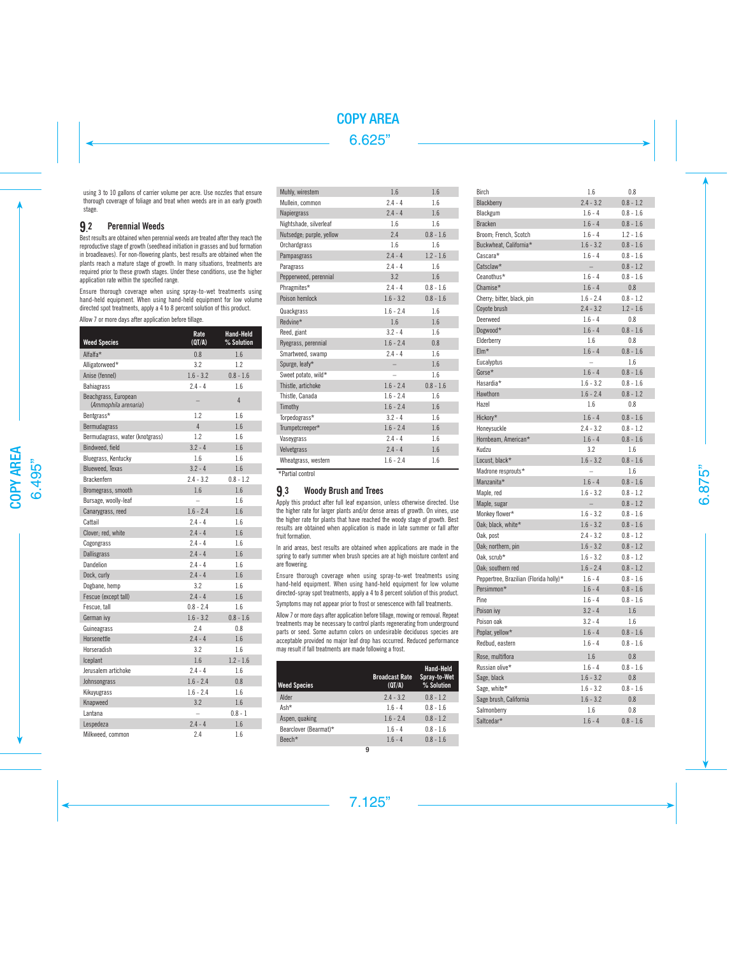using 3 to 10 gallons of carrier volume per acre. Use nozzles that ensure thorough coverage of foliage and treat when weeds are in an early growth stage.

## 9.2 Perennial Weeds

Best results are obtained when perennial weeds are treated after they reach the reproductive stage of growth (seedhead initiation in grasses and bud formation in broadleaves). For non-flowering plants, best results are obtained when the plants reach a mature stage of growth. In many situations, treatments are required prior to these growth stages. Under these conditions, use the higher application rate within the specified range.

Ensure thorough coverage when using spray-to-wet treatments using hand-held equipment. When using hand-held equipment for low volume directed spot treatments, apply a 4 to 8 percent solution of this product.

Allow 7 or more days after application before tillage.

| <b>Weed Species</b>                          | Rate<br>(QT/A) | Hand-Held<br>% Solution |
|----------------------------------------------|----------------|-------------------------|
| Alfalfa*                                     | 0.8            | 1.6                     |
| Alligatorweed*                               | 3.2            | 1.2                     |
| Anise (fennel)                               | $1.6 - 3.2$    | $0.8 - 1.6$             |
| <b>Bahiagrass</b>                            | $2.4 - 4$      | 1.6                     |
| Beachgrass, European<br>(Ammophila arenaria) |                | $\overline{4}$          |
| Bentgrass*                                   | 1.2            | 1.6                     |
| Bermudagrass                                 | $\overline{4}$ | 1.6                     |
| Bermudagrass, water (knotgrass)              | 1.2            | 1.6                     |
| Bindweed, field                              | $3.2 - 4$      | 1.6                     |
| Bluegrass, Kentucky                          | 1.6            | 1.6                     |
| <b>Blueweed, Texas</b>                       | $3.2 - 4$      | 1.6                     |
| Brackenfern                                  | $2.4 - 3.2$    | $0.8 - 1.2$             |
| Bromegrass, smooth                           | 1.6            | 1.6                     |
| Bursage, woolly-leaf                         | L,             | 1.6                     |
| Canarygrass, reed                            | $1.6 - 2.4$    | 1.6                     |
| Cattail                                      | $2.4 - 4$      | 1.6                     |
| Clover; red, white                           | $2.4 - 4$      | 1.6                     |
| Cogongrass                                   | $2.4 - 4$      | 1.6                     |
| <b>Dallisgrass</b>                           | $2.4 - 4$      | 1.6                     |
| Dandelion                                    | $2.4 - 4$      | 1.6                     |
| Dock, curly                                  | $2.4 - 4$      | 1.6                     |
| Dogbane, hemp                                | 3.2            | 1.6                     |
| Fescue (except tall)                         | $2.4 - 4$      | 1.6                     |
| Fescue, tall                                 | $0.8 - 2.4$    | 1.6                     |
| German ivy                                   | $1.6 - 3.2$    | $0.8 - 1.6$             |
| Guineagrass                                  | 2.4            | 0.8                     |
| Horsenettle                                  | $2.4 - 4$      | 1.6                     |
| Horseradish                                  | 3.2            | 1.6                     |
| <b>Iceplant</b>                              | 1.6            | $1.2 - 1.6$             |
| Jerusalem artichoke                          | $2.4 - 4$      | 1.6                     |
| Johnsongrass                                 | $1.6 - 2.4$    | 0.8                     |
| Kikuyugrass                                  | $1.6 - 2.4$    | 1.6                     |
| Knapweed                                     | 3.2            | 1.6                     |
| Lantana                                      |                | $0.8 - 1$               |
| Lespedeza                                    | $2.4 - 4$      | 1.6                     |
| Milkweed, common                             | 2.4            | 1.6                     |

| Muhly, wirestem          | 1.6         | 1.6         |
|--------------------------|-------------|-------------|
| Mullein, common          | $2.4 - 4$   | 1.6         |
| <b>Napiergrass</b>       | $2.4 - 4$   | 1.6         |
| Nightshade, silverleaf   | 1.6         | 1.6         |
| Nutsedge; purple, yellow | 2.4         | $0.8 - 1.6$ |
| Orchardgrass             | 1.6         | 1.6         |
| Pampasgrass              | $2.4 - 4$   | $1.2 - 1.6$ |
| Paragrass                | $2.4 - 4$   | 1.6         |
| Pepperweed, perennial    | 3.2         | 1.6         |
| Phragmites*              | $2.4 - 4$   | $0.8 - 1.6$ |
| Poison hemlock           | $1.6 - 3.2$ | $0.8 - 1.6$ |
| Quackgrass               | $1.6 - 2.4$ | 1.6         |
| Redvine*                 | 1.6         | 1.6         |
| Reed, giant              | $3.2 - 4$   | 1.6         |
| Ryegrass, perennial      | $1.6 - 2.4$ | 0.8         |
| Smartweed, swamp         | $2.4 - 4$   | 1.6         |
| Spurge, leafy*           |             | 1.6         |
| Sweet potato, wild*      |             | 1.6         |
| Thistle, artichoke       | $1.6 - 2.4$ | $0.8 - 1.6$ |
| Thistle, Canada          | $1.6 - 2.4$ | 1.6         |
| Timothy                  | $1.6 - 2.4$ | 1.6         |
| Torpedograss*            | $3.2 - 4$   | 1.6         |
| Trumpetcreeper*          | $1.6 - 2.4$ | 1.6         |
| Vaseygrass               | $2.4 - 4$   | 1.6         |
| Velvetgrass              | $2.4 - 4$   | 1.6         |
| Wheatgrass, western      | $1.6 - 2.4$ | 1.6         |

\*Partial control

## 9.3 Woody Brush and Trees

Apply this product after full leaf expansion, unless otherwise directed. Use the higher rate for larger plants and/or dense areas of growth. On vines, use the higher rate for plants that have reached the woody stage of growth. Best results are obtained when application is made in late summer or fall after fruit formation.

In arid areas, best results are obtained when applications are made in the spring to early summer when brush species are at high moisture content and are flowering.

Ensure thorough coverage when using spray-to-wet treatments using hand-held equipment. When using hand-held equipment for low volume directed-spray spot treatments, apply a 4 to 8 percent solution of this product.

Symptoms may not appear prior to frost or senescence with fall treatments.

Allow 7 or more days after application before tillage, mowing or removal. Repeat treatments may be necessary to control plants regenerating from underground parts or seed. Some autumn colors on undesirable deciduous species are acceptable provided no major leaf drop has occurred. Reduced performance may result if fall treatments are made following a frost.

| <b>Weed Species</b>   | <b>Broadcast Rate</b><br>(QT/A) | Hand-Held<br>Spray-to-Wet<br>% Solution |
|-----------------------|---------------------------------|-----------------------------------------|
| Alder                 | $2.4 - 3.2$                     | $0.8 - 1.2$                             |
| Ash*                  | $1.6 - 4$                       | $0.8 - 1.6$                             |
| Aspen, quaking        | $1.6 - 2.4$                     | $0.8 - 1.2$                             |
| Bearclover (Bearmat)* | $1.6 - 4$                       | $0.8 - 1.6$                             |
| Beech*                | $16 - 4$                        | $08 - 16$                               |

| Birch                                                | 1.6         | 0.8                    |
|------------------------------------------------------|-------------|------------------------|
| Blackberry                                           | $2.4 - 3.2$ | $0.8 - 1.2$            |
| Blackgum                                             | $1.6 - 4$   | $0.8 - 1.6$            |
| Bracken                                              | $1.6 - 4$   | $0.8 - 1.6$            |
| Broom; French, Scotch                                | $1.6 - 4$   | $1.2 - 1.6$            |
| Buckwheat, California*                               | $1.6 - 3.2$ | $0.8 - 1.6$            |
| Cascara*                                             | $1.6 - 4$   | $0.8 - 1.6$            |
| Catsclaw*                                            | $ \,$       | $0.8 - 1.2$            |
| Ceanothus*                                           | $1.6 - 4$   | $0.8 - 1.6$            |
| Chamise*                                             | $1.6 - 4$   | 0.8                    |
| Cherry; bitter, black, pin                           | $1.6 - 2.4$ | $0.8 - 1.2$            |
| Coyote brush                                         | $2.4 - 3.2$ | $1.2 - 1.6$            |
| Deerweed                                             | $1.6 - 4$   | 0.8                    |
| Dogwood*                                             | $1.6 - 4$   | $0.8 - 1.6$            |
| Elderberry                                           | 1.6         | 0.8                    |
| $EIm*$                                               | $1.6 - 4$   | $0.8 - 1.6$            |
| Eucalyptus                                           |             | 1.6                    |
| Gorse*                                               | $1.6 - 4$   | $0.8 - 1.6$            |
| Hasardia*                                            | $1.6 - 3.2$ | $0.8 - 1.6$            |
| Hawthorn                                             | $1.6 - 2.4$ | $0.8 - 1.2$            |
| Hazel                                                | 1.6         | 0.8                    |
| Hickory*                                             | $1.6 - 4$   | $0.8 - 1.6$            |
| Honeysuckle                                          | $2.4 - 3.2$ | $0.8 - 1.2$            |
| Hornbeam, American*                                  | $1.6 - 4$   | $0.8 - 1.6$            |
| Kudzu                                                | 3.2         | 1.6                    |
| Locust, black*                                       | $1.6 - 3.2$ | $0.8 - 1.6$            |
| Madrone resprouts*                                   |             | 1.6                    |
| Manzanita*                                           | $1.6 - 4$   | $0.8 - 1.6$            |
| Maple, red                                           | $1.6 - 3.2$ | $0.8 - 1.2$            |
| Maple, sugar                                         |             | $0.8 - 1.2$            |
| Monkey flower*                                       | $1.6 - 3.2$ | $0.8 - 1.6$            |
| Oak; black, white*                                   | $1.6 - 3.2$ | $0.8 - 1.6$            |
| Oak, post                                            | $2.4 - 3.2$ | $0.8 - 1.2$            |
| Oak; northern, pin                                   | $1.6 - 3.2$ | $0.8 - 1.2$            |
| Oak, scrub*                                          | $1.6 - 3.2$ | $0.8 - 1.2$            |
|                                                      | $1.6 - 2.4$ | $0.8 - 1.2$            |
| Oak; southern red                                    | $1.6 - 4$   | $0.8 - 1.6$            |
| Peppertree, Brazilian (Florida holly)*<br>Persimmon* | $1.6 - 4$   | $0.8 - 1.6$            |
| Pine                                                 |             |                        |
|                                                      | $1.6 - 4$   | $0.8 - 1.6$<br>$1.6\,$ |
| Poison ivy                                           | $3.2 - 4$   |                        |
| Poison oak                                           | $3.2 - 4$   | 1.6                    |
| Poplar, yellow*                                      | $1.6 - 4$   | $0.8 - 1.6$            |
| Redbud, eastern                                      | $1.6 - 4$   | $0.8 - 1.6$            |
| Rose, multiflora                                     | 1.6         | 0.8                    |
| Russian olive*                                       | $1.6 - 4$   | $0.8 - 1.6$            |
| Sage, black                                          | $1.6 - 3.2$ | 0.8                    |
| Sage, white*                                         | $1.6 - 3.2$ | $0.8 - 1.6$            |
| Sage brush, California                               | $1.6 - 3.2$ | 0.8                    |
| Salmonberry                                          | 1.6         | 0.8                    |
| Saltcedar*                                           | $1.6 - 4$   | $0.8 - 1.6$            |
|                                                      |             |                        |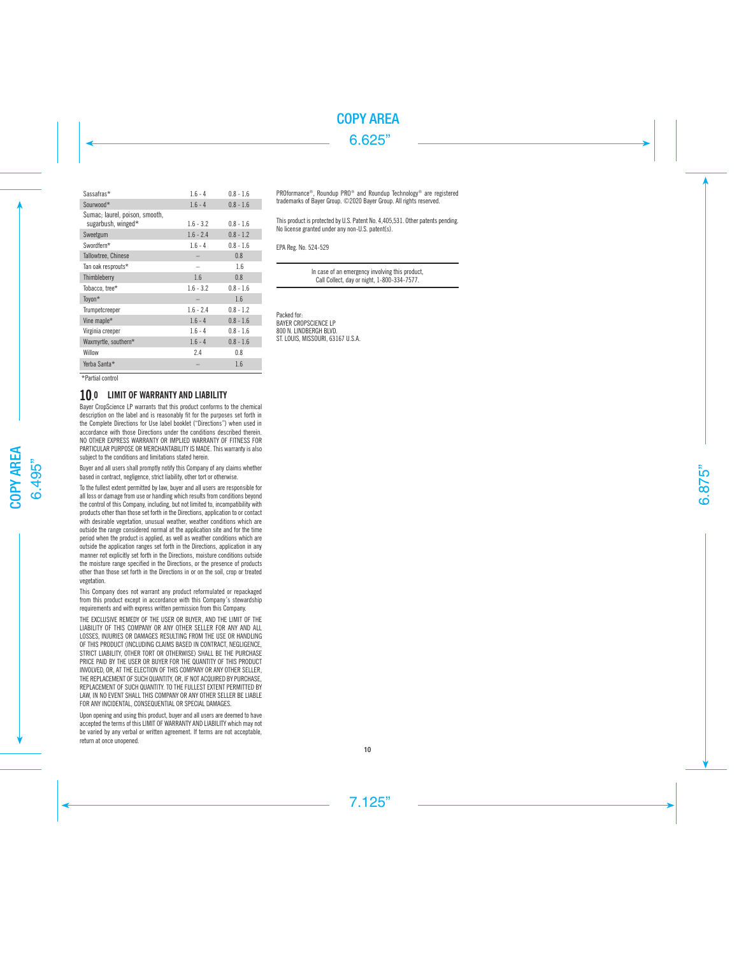| Sassafras*                                           | $1.6 - 4$   | $0.8 - 1.6$ |
|------------------------------------------------------|-------------|-------------|
| Sourwood*                                            | $1.6 - 4$   | $0.8 - 1.6$ |
| Sumac; laurel, poison, smooth,<br>sugarbush, winged* | $1.6 - 3.2$ | $0.8 - 1.6$ |
| Sweetgum                                             | $1.6 - 2.4$ | $0.8 - 1.2$ |
| Swordfern*                                           | $1.6 - 4$   | $0.8 - 1.6$ |
| Tallowtree, Chinese                                  |             | 0.8         |
| Tan oak resprouts*                                   |             | 1.6         |
| Thimbleberry                                         | 1.6         | 0.8         |
| Tobacco, tree*                                       | $1.6 - 3.2$ | $0.8 - 1.6$ |
| Toyon*                                               |             | 1.6         |
| Trumpetcreeper                                       | $1.6 - 2.4$ | $0.8 - 1.2$ |
| Vine maple*                                          | $1.6 - 4$   | $0.8 - 1.6$ |
| Virginia creeper                                     | $1.6 - 4$   | $0.8 - 1.6$ |
| Waxmyrtle, southern*                                 | $1.6 - 4$   | $0.8 - 1.6$ |
| Willow                                               | 2.4         | 0.8         |
| Yerba Santa*                                         |             | 1.6         |

PROformance ®, Roundup PRO ® and Roundup Technology ® are registered trademarks of Bayer Group. ©2020 Bayer Group. All rights reserved.

This product is protected by U.S. Patent No. 4,405,531. Other patents pending. No license granted under any non-U.S. patent(s).

EPA Reg. No. 524-529

In case of an emergency involving this product, Call Collect, day or night, 1-800-334-7577.

Packed for: BAYER CROPSCIENCE LP 800 N. LINDBERGH BLVD. ST. LOUIS, MISSOURI, 63167 U.S.A.

\*Partial control

# 10.0 LIMIT OF WARRANTY AND LIABILITY

Bayer CropScience LP warrants that this product conforms to the chemical description on the label and is reasonably fit for the purposes set forth in the Complete Directions for Use label booklet ("Directions") when used in accordance with those Directions under the conditions described therein. NO OTHER EXPRESS WARRANTY OR IMPLIED WARRANTY OF FITNESS FOR PARTICULAR PURPOSE OR MERCHANTABILITY IS MADE. This warranty is also subject to the conditions and limitations stated herein.

Buyer and all users shall promptly notify this Company of any claims whether based in contract, negligence, strict liability, other tort or otherwise.

To the fullest extent permitted by law, buyer and all users are responsible for all loss or damage from use or handling which results from conditions beyond the control of this Company, including, but not limited to, incompatibility with products other than those set forth in the Directions, application to or contact with desirable vegetation, unusual weather, weather conditions which are outside the range considered normal at the application site and for the time period when the product is applied, as well as weather conditions which are outside the application ranges set forth in the Directions, application in any manner not explicitly set forth in the Directions, moisture conditions outside the moisture range specified in the Directions, or the presence of products other than those set forth in the Directions in or on the soil, crop or treated vegetation.

This Company does not warrant any product reformulated or repackaged from this product except in accordance with this Company's stewardship requirements and with express written permission from this Company.

THE EXCLUSIVE REMEDY OF THE USER OR BUYER, AND THE LIMIT OF THE LIABILITY OF THIS COMPANY OR ANY OTHER SELLER FOR ANY AND ALL LOSSES, INJURIES OR DAMAGES RESULTING FROM THE USE OR HANDLING OF THIS PRODUCT (INCLUDING CLAIMS BASED IN CONTRACT, NEGLIGENCE, STRICT LIABILITY, OTHER TORT OR OTHERWISE) SHALL BE THE PURCHASE PRICE PAID BY THE USER OR BUYER FOR THE QUANTITY OF THIS PRODUCT INVOLVED, OR, AT THE ELECTION OF THIS COMPANY OR ANY OTHER SELLER, THE REPLACEMENT OF SUCH QUANTITY, OR, IF NOT ACQUIRED BY PURCHASE. REPLACEMENT OF SUCH QUANTITY. TO THE FULLEST EXTENT PERMITTED BY LAW, IN NO EVENT SHALL THIS COMPANY OR ANY OTHER SELLER BE LIABLE FOR ANY INCIDENTAL, CONSEQUENTIAL OR SPECIAL DAMAGES.

Upon opening and using this product, buyer and all users are deemed to have accepted the terms of this LIMIT OF WARRANTY AND LIABILITY which may not be varied by any verbal or written agreement. If terms are not acceptable, return at once unopened.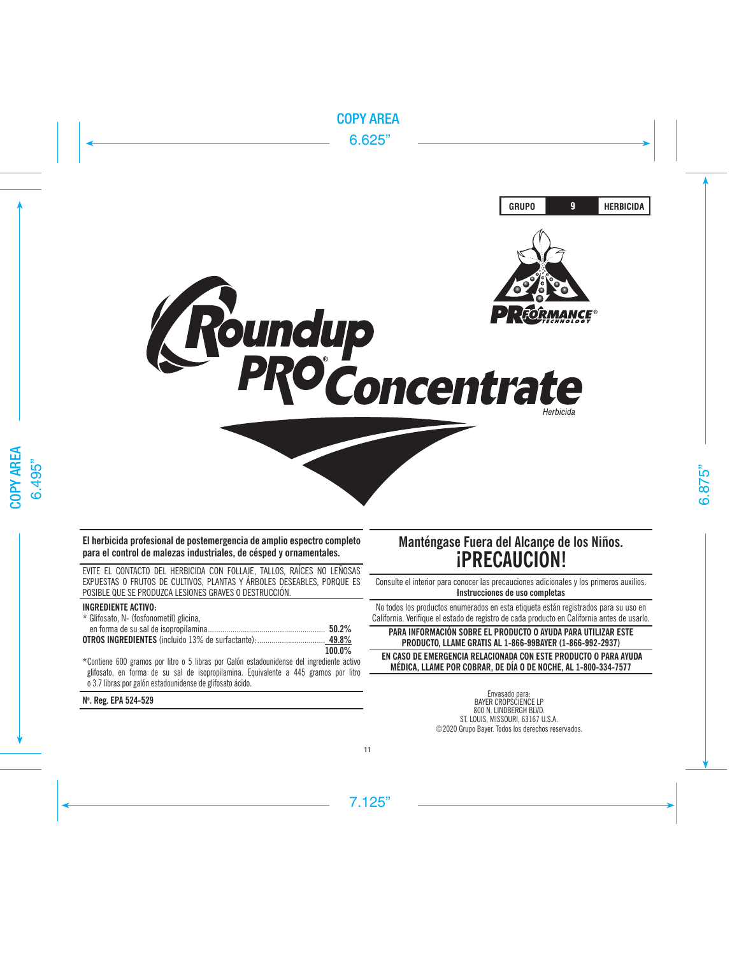

**El herbicida profesional de postemergencia de amplio espectro completo para el control de malezas industriales, de césped y ornamentales.**

EVITE EL CONTACTO DEL HERBICIDA CON FOLLAJE, TALLOS, RAÍCES NO LEÑOSAS EXPUESTAS O FRUTOS DE CULTIVOS, PLANTAS Y ÁRBOLES DESEABLES, PORQUE ES POSIBLE QUE SE PRODUZCA LESIONES GRAVES O DESTRUCCIÓN.

## **INGREDIENTE ACTIVO:**

| * Glifosato, N- (fosfonometil) glicina, |           |
|-----------------------------------------|-----------|
|                                         |           |
|                                         |           |
|                                         | $100.0\%$ |

\*Contiene 600 gramos por litro o 5 libras por Galón estadounidense del ingrediente activo glifosato, en forma de su sal de isopropilamina. Equivalente a 445 gramos por litro o 3.7 libras por galón estadounidense de glifosato ácido.

**No . Reg. EPA 524-529** 

# **Manténgase Fuera del Alcance de los Niños. ¡PRECAUCIÓN!**

Consulte el interior para conocer las precauciones adicionales y los primeros auxilios. **Instrucciones de uso completas**

No todos los productos enumerados en esta etiqueta están registrados para su uso en California. Verifique el estado de registro de cada producto en California antes de usarlo.

# **PARA INFORMACIÓN SOBRE EL PRODUCTO O AYUDA PARA UTILIZAR ESTE PRODUCTO, LLAME GRATIS AL 1-866-99BAYER (1-866-992-2937)**

 **EN CASO DE EMERGENCIA RELACIONADA CON ESTE PRODUCTO O PARA AYUDA MÉDICA, LLAME POR COBRAR, DE DÍA O DE NOCHE, AL 1-800-334-7577**

> Envasado para: BAYER CROPSCIENCE LP 800 N. LINDBERGH BLVD. ST. LOUIS, MISSOURI, 63167 U.S.A. ©2020 Grupo Bayer. Todos los derechos reservados.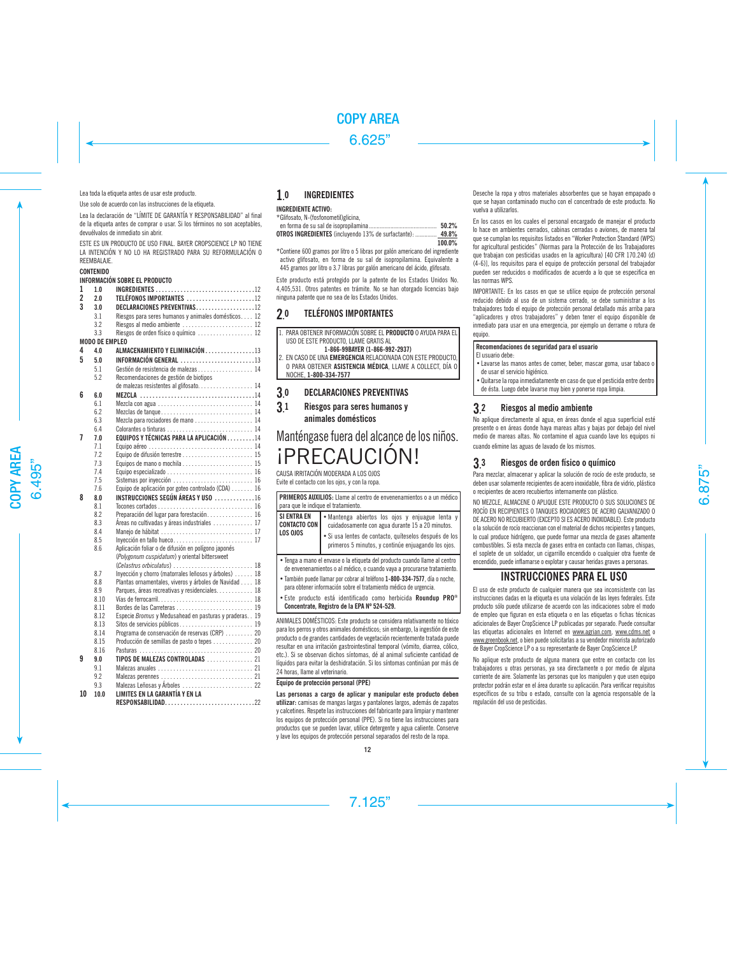Lea toda la etiqueta antes de usar este producto.

Use solo de acuerdo con las instrucciones de la etiqueta.

Lea la declaración de "LÍMITE DE GARANTÍA Y RESPONSABILIDAD" al final de la etiqueta antes de comprar o usar. Si los términos no son aceptables, devuélvalos de inmediato sin abrir.

ESTE ES UN PRODUCTO DE USO FINAL. BAYER CROPSCIENCE LP NO TIENE LA INTENCIÓN Y NO LO HA REGISTRADO PARA SU REFORMULACIÓN O REEMBALAJE.

#### **CONTENIDO**

#### INFORMACIÓN SOBRE EL PRODUCTO

| 1              | 10                    | <b>INGREDIENTES</b> 12                                                                    |
|----------------|-----------------------|-------------------------------------------------------------------------------------------|
| $\overline{2}$ | 2.0                   | TELÉFONOS IMPORTANTES 12                                                                  |
| $\overline{3}$ | 30                    | DECLARACIONES PREVENTIVAS12                                                               |
|                | 3.1                   | Riesgos para seres humanos y animales domésticos 12                                       |
|                | 3.2                   | Riesgos al medio ambiente  12                                                             |
|                | 3.3                   | Riesgos de orden físico o químico  12                                                     |
|                | <b>MODO DE EMPLEO</b> |                                                                                           |
| 4              | 40                    | ALMACENAMIENTO Y ELIMINACIÓN 13                                                           |
| 5              | 50                    | INFORMACIÓN GENERAL 13                                                                    |
|                | 5.1                   | Gestión de resistencia de malezas 14                                                      |
|                | 5.2                   | Recomendaciones de gestión de biotipos                                                    |
|                |                       | de malezas resistentes al glifosato. 14                                                   |
| 6              | 60                    |                                                                                           |
|                | 6.1                   | Mezcla con agua $\ldots \ldots \ldots \ldots \ldots \ldots \ldots \ldots \ldots 14$       |
|                | 6.2                   | Mezclas de tanque 14                                                                      |
|                | 6.3                   | Mezcla para rociadores de mano 14                                                         |
|                | 64                    |                                                                                           |
| 7              | 7.0                   | EQUIPOS Y TÉCNICAS PARA LA APLICACIÓN 14                                                  |
|                | 7.1                   | Equipo aéreo  14                                                                          |
|                | 7.2                   |                                                                                           |
|                | 7.3                   |                                                                                           |
|                | 7.4                   | Equipo especializado  16                                                                  |
|                | 7.5                   |                                                                                           |
|                | 7.6                   | Equipo de aplicación por goteo controlado (CDA)  16                                       |
| 8              | 8.0                   | INSTRUCCIONES SEGÚN ÁREAS Y USO 16                                                        |
|                | 8.1<br>8.2            |                                                                                           |
|                | 83                    | Preparación del lugar para forestación 16<br>Áreas no cultivadas y áreas industriales  17 |
|                | 8.4                   |                                                                                           |
|                | 8.5                   | Inyección en tallo hueco 17                                                               |
|                | 8.6                   | Aplicación foliar o de difusión en polígono japonés                                       |
|                |                       | (Polygonum cuspidatum) y oriental bittersweet                                             |
|                |                       |                                                                                           |
|                | 8.7                   | Invección y chorro (matorrales leñosos y árboles)  18                                     |
|                | 8.8                   | Plantas ornamentales, viveros y árboles de Navidad 18                                     |
|                | 89                    | Parques, áreas recreativas y residenciales 18                                             |
|                | 8.10                  |                                                                                           |
|                | 8.11                  | Bordes de las Carreteras  19                                                              |
|                | 8.12                  | Especie Bromus y Medusahead en pasturas y praderas. . 19                                  |
|                | 8.13                  | Sitos de servicios públicos 19                                                            |
|                | 8.14                  | Programa de conservación de reservas (CRP)  20                                            |
|                | 8.15                  | Producción de semillas de pasto o tepes  20                                               |
|                | 8.16                  |                                                                                           |
| 9              | 90                    | TIPOS DE MALEZAS CONTROLADAS  21                                                          |
|                | 9.1                   |                                                                                           |
|                | 9.2                   |                                                                                           |
|                | 9.3                   | Malezas Leñosas y Árboles  22                                                             |
| 10             | 10.0                  | LIMITES EN LA GARANTÍA Y EN LA<br>RESPONSABILIDAD22                                       |

#### 1. **INGREDIENTES**

## **INGREDIENTE ACTIVO:**

\*Glifosato, N-(fosfonometil)glicina,

|                                                                   | 50.2%   |
|-------------------------------------------------------------------|---------|
| <b>OTROS INGREDIENTES</b> (incluyendo 13% de surfactante):  49.8% |         |
|                                                                   | 100.001 |

 **100.0%** \*Contiene 600 gramos por litro o 5 libras por galón americano del ingrediente activo glifosato, en forma de su sal de isopropilamina. Equivalente a 445 gramos por litro o 3.7 libras por galón americano del ácido, glifosato.

Este producto está protegido por la patente de los Estados Unidos No. 4,405,531. Otros patentes en trámite. No se han otorgado licencias bajo ninguna patente que no sea de los Estados Unidos.

#### $20$ 0 TELÉFONOS IMPORTANTES

|               | 1. PARA OBTENER INFORMACIÓN SOBRE EL PRODUCTO O AYUDA PARA EL<br>USO DE ESTE PRODUCTO. LLAME GRATIS AL |
|---------------|--------------------------------------------------------------------------------------------------------|
|               | 1-866-99BAYER (1-866-992-2937)                                                                         |
|               | 2. EN CASO DE UNA EMERGENCIA RELACIONADA CON ESTE PRODUCTO.                                            |
|               | O PARA OBTENER ASISTENCIA MÉDICA, LLAME A COLLECT, DÍA O                                               |
|               | NOCHE. 1-800-334-7577                                                                                  |
|               |                                                                                                        |
|               | <b>DECLARACIONES PREVENTIVAS</b>                                                                       |
| 3.0           |                                                                                                        |
|               | Riesgos para seres humanos y                                                                           |
| $\frac{1}{3}$ | animales domésticos                                                                                    |
|               | Manténgase fuera del alcance de los niños.                                                             |

¡PRECAUCIÓN!

CAUSA IRRITACIÓN MODERADA A LOS OJOS Evite el contacto con los ojos, y con la ropa.

| PRIMEROS AUXILIOS: Llame al centro de envenenamientos o a un médico<br>para que le indique el tratamiento.                                            |                                                                                                               |  |  |
|-------------------------------------------------------------------------------------------------------------------------------------------------------|---------------------------------------------------------------------------------------------------------------|--|--|
| <b>SI ENTRA EN</b><br><b>CONTACTO CON</b>                                                                                                             | · Mantenga abiertos los ojos y enjuague lenta y<br>cuidadosamente con agua durante 15 a 20 minutos.           |  |  |
| LOS OJOS                                                                                                                                              | · Si usa lentes de contacto, quíteselos después de los<br>primeros 5 minutos, y continúe enjuagando los ojos. |  |  |
| · Tenga a mano el envase o la etiqueta del producto cuando llame al centro<br>de envenenamientos o al médico, o cuando vaya a procurarse tratamiento. |                                                                                                               |  |  |
| · También puede llamar por cobrar al teléfono 1-800-334-7577, día o noche.<br>para obtener información sobre el tratamiento médico de urgencia.       |                                                                                                               |  |  |
| * Este producto está identificado como herbicida Roundup PRO <sup>®</sup><br>Concentrate. Registro de la EPA Nº 524-529.                              |                                                                                                               |  |  |

ANIMALES DOMÉSTICOS: Este producto se considera relativamente no tóxico para los perros y otros animales domésticos; sin embargo, la ingestión de este producto o de grandes cantidades de vegetación recientemente tratada puede resultar en una irritación gastrointestinal temporal (vómito, diarrea, cólico, etc.). Si se observan dichos síntomas, dé al animal suficiente cantidad de líquidos para evitar la deshidratación. Si los síntomas continúan por más de 24 horas, llame al veterinario.

#### **Equipo de protección personal (PPE)**

**Las personas a cargo de aplicar y manipular este producto deben utilizar:** camisas de mangas largas y pantalones largos, además de zapatos y calcetines. Respete las instrucciones del fabricante para limpiar y mantener los equipos de protección personal (PPE). Si no tiene las instrucciones para productos que se pueden lavar, utilice detergente y agua caliente. Conserve y lave los equipos de protección personal separados del resto de la ropa.

Deseche la ropa y otros materiales absorbentes que se hayan empapado o que se hayan contaminado mucho con el concentrado de este producto. No vuelva a utilizarlos.

En los casos en los cuales el personal encargado de manejar el producto lo hace en ambientes cerrados, cabinas cerradas o aviones, de manera tal que se cumplan los requisitos listados en "Worker Protection Standard (WPS) for agricultural pesticides" (Normas para la Protección de los Trabajadores que trabajan con pesticidas usados en la agricultura) [40 CFR 170.240 (d) (4-6)], los requisitos para el equipo de protección personal del trabajador pueden ser reducidos o modificados de acuerdo a lo que se especifica en las normas WPS.

IMPORTANTE: En los casos en que se utilice equipo de protección personal reducido debido al uso de un sistema cerrado, se debe suministrar a los trabajadores todo el equipo de protección personal detallado más arriba para "aplicadores y otros trabajadores" y deben tener el equipo disponible de inmediato para usar en una emergencia, por ejemplo un derrame o rotura de equipo.

## **Recomendaciones de seguridad para el usuario**

El usuario debe:

- •Lavarse las manos antes de comer, beber, mascar goma, usar tabaco o de usar el servicio higiénico.
- •Quitarse la ropa inmediatamente en caso de que el pesticida entre dentro de ésta. Luego debe lavarse muy bien y ponerse ropa limpia.

#### 3. 2 Riesgos al medio ambiente

No aplique directamente al agua, en áreas donde el agua superficial esté presente o en áreas donde haya mareas altas y bajas por debajo del nivel medio de mareas altas. No contamine el agua cuando lave los equipos ni cuando elimine las aguas de lavado de los mismos.

#### 3. 3 Riesgos de orden físico o químico

Para mezclar, almacenar y aplicar la solución de rocío de este producto, se deben usar solamente recipientes de acero inoxidable, fibra de vidrio, plástico o recipientes de acero recubiertos internamente con plástico.

NO MEZCLE, ALMACENE O APLIQUE ESTE PRODUCTO O SUS SOLUCIONES DE ROCÍO EN RECIPIENTES O TANQUES ROCIADORES DE ACERO GALVANIZADO O DE ACERO NO RECUBIERTO (EXCEPTO SI ES ACERO INOXIDABLE). Este producto o la solución de rocío reaccionan con el material de dichos recipientes y tanques, lo cual produce hidrógeno, que puede formar una mezcla de gases altamente combustibles. Si esta mezcla de gases entra en contacto con llamas, chispas, el soplete de un soldador, un cigarrillo encendido o cualquier otra fuente de encendido, puede inflamarse o explotar y causar heridas graves a personas.

# INSTRUCCIONES PARA EL USO

El uso de este producto de cualquier manera que sea inconsistente con las instrucciones dadas en la etiqueta es una violación de las leyes federales. Este producto sólo puede utilizarse de acuerdo con las indicaciones sobre el modo de empleo que figuran en esta etiqueta o en las etiquetas o fichas técnicas adicionales de Bayer CropScience LP publicadas por separado. Puede consultar las etiquetas adicionales en Internet en www.agrian.com, www.cdms.net o www.greenbook.net, o bien puede solicitarlas a su vendedor minorista autorizado de Bayer CropScience LP o a su representante de Bayer CropScience LP.

No aplique este producto de alguna manera que entre en contacto con los trabajadores u otras personas, ya sea directamente o por medio de alguna corriente de aire. Solamente las personas que los manipulen y que usen equipo protector podrán estar en el área durante su aplicación. Para verificar requisitos específicos de su tribu o estado, consulte con la agencia responsable de la regulación del uso de pesticidas.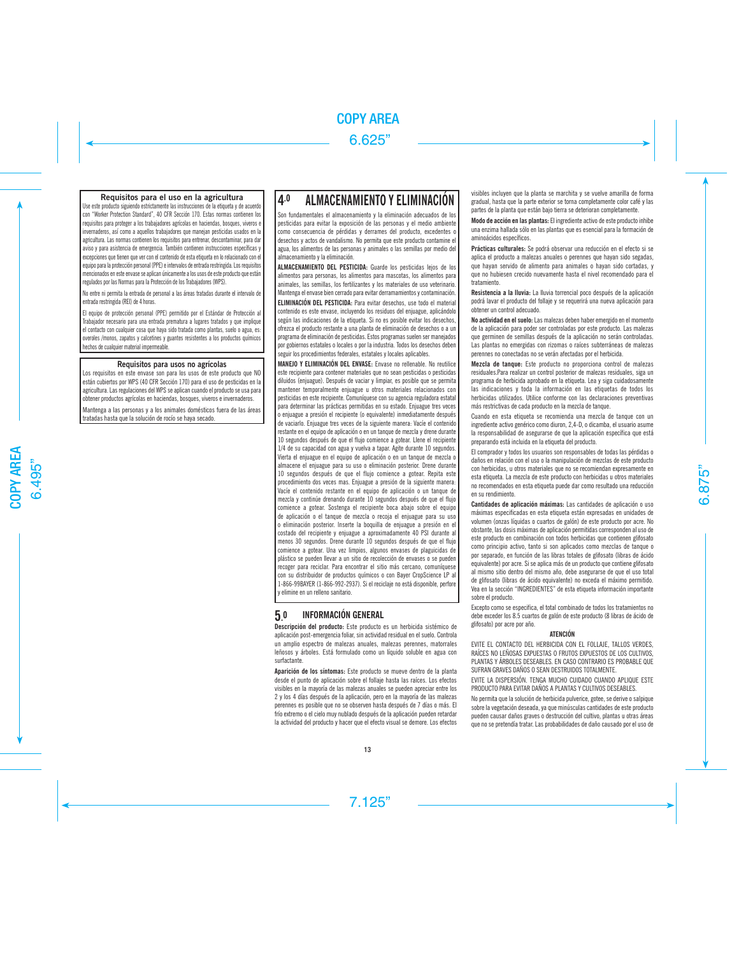## **Requisitos para el uso en la agricultura**

Use este producto siguiendo estrictamente las instrucciones de la etiqueta y de acuerdo con "Worker Protection Standard", 40 CFR Sección 170. Estas normas contienen los requisitos para proteger a los trabajadores agrícolas en haciendas, bosques, viveros e invernaderos, así como a aquellos trabajadores que manejan pesticidas usados en la agricultura. Las normas contienen los requisitos para entrenar, descontaminar, para dar aviso y para asistencia de emergencia. También contienen instrucciones específicas y excepciones que tienen que ver con el contenido de esta etiqueta en lo relacionado con el equipo para la protección personal (PPE) e intervalos de entrada restringida. Los requisitos mencionados en este envase se aplican únicamente a los usos de este producto que están regulados por las Normas para la Protección de los Trabajadores (WPS).

No entre ni permita la entrada de personal a las áreas tratadas durante el intervalo de entrada restringida (REI) de 4 horas.

El equipo de protección personal (PPE) permitido por el Estándar de Protección al Trabajador necesario para una entrada prematura a lugares tratados y que implique el contacto con cualquier cosa que haya sido tratada como plantas, suelo o agua, es: overoles /monos, zapatos y calcetines y guantes resistentes a los productos químicos hechos de cualquier material impermeable.

## **Requisitos para usos no agrícolas**

Los requisitos en este envase son para los usos de este producto que NO están cubiertos por WPS (40 CFR Sección 170) para el uso de pesticidas en la agricultura. Las regulaciones del WPS se aplican cuando el producto se usa para obtener productos agrícolas en haciendas, bosques, viveros e invernaderos.

Mantenga a las personas y a los animales domésticos fuera de las áreas tratadas hasta que la solución de rocío se haya secado.

# 4.0 ALMACENAMIENTO Y ELIMINACIÓN

Son fundamentales el almacenamiento y la eliminación adecuados de los pesticidas para evitar la exposición de las personas y el medio ambiente como consecuencia de pérdidas y derrames del producto, excedentes o desechos y actos de vandalismo. No permita que este producto contamine el agua, los alimentos de las personas y animales o las semillas por medio del almacenamiento y la eliminación.

ALMACENAMIENTO DEL PESTICIDA: Guarde los pesticidas lejos de los alimentos para personas, los alimentos para mascotas, los alimentos para animales, las semillas, los fertilizantes y los materiales de uso veterinario. Mantenga el envase bien cerrado para evitar derramamientos y contaminación.

ELIMINACIÓN DEL PESTICIDA: Para evitar desechos, use todo el material contenido es este envase, incluyendo los residuos del enjuague, aplicándolo según las indicaciones de la etiqueta. Si no es posible evitar los desechos, ofrezca el producto restante a una planta de eliminación de desechos o a un programa de eliminación de pesticidas. Estos programas suelen ser manejados por gobiernos estatales o locales o por la industria. Todos los desechos deben seguir los procedimientos federales, estatales y locales aplicables.

MANEJO Y ELIMINACIÓN DEL ENVASE: Envase no rellenable. No reutilice este recipiente para contener materiales que no sean pesticidas o pesticidas diluidos (enjuague). Después de vaciar y limpiar, es posible que se permita mantener temporalmente enjuague u otros materiales relacionados con pesticidas en este recipiente. Comuníquese con su agencia reguladora estatal para determinar las prácticas permitidas en su estado. Enjuague tres veces o enjuague a presión el recipiente (o equivalente) inmediatamente después de vaciarlo. Enjuague tres veces de la siguiente manera: Vacíe el contenido restante en el equipo de aplicación o en un tanque de mezcla y drene durante 10 segundos después de que el flujo comience a gotear. Llene el recipiente 1/4 de su capacidad con agua y vuelva a tapar. Agite durante 10 segundos. Vierta el enjuague en el equipo de aplicación o en un tanque de mezcla o almacene el enjuague para su uso o eliminación posterior. Drene durante 10 segundos después de que el flujo comience a gotear. Repita este procedimiento dos veces mas. Enjuague a presión de la siguiente manera: Vacíe el contenido restante en el equipo de aplicación o un tanque de mezcla y continúe drenando durante 10 segundos después de que el flujo comience a gotear. Sostenga el recipiente boca abajo sobre el equipo de aplicación o el tanque de mezcla o recoja el enjuague para su uso o eliminación posterior. Inserte la boquilla de enjuague a presión en el costado del recipiente y enjuague a aproximadamente 40 PSI durante al menos 30 segundos. Drene durante 10 segundos después de que el flujo comience a gotear. Una vez limpios, algunos envases de plaguicidas de plástico se pueden llevar a un sitio de recolección de envases o se pueden recoger para reciclar. Para encontrar el sitio más cercano, comuníquese con su distribuidor de productos químicos o con Bayer CropScience LP al 1-866-99BAYER (1-866-992-2937). Si el reciclaje no está disponible, perfore y elimine en un relleno sanitario.

#### **5.** 0 INFORMACIÓN GENERAL

**Descripción del producto:** Este producto es un herbicida sistémico de aplicación post-emergencia foliar, sin actividad residual en el suelo. Controla un amplio espectro de malezas anuales, malezas perennes, matorrales leñosos y árboles. Está formulado como un líquido soluble en agua con surfactante.

Aparición de los síntomas: Este producto se mueve dentro de la planta desde el punto de aplicación sobre el follaje hasta las raíces. Los efectos visibles en la mayoría de las malezas anuales se pueden apreciar entre los 2 y los 4 días después de la aplicación, pero en la mayoría de las malezas perennes es posible que no se observen hasta después de 7 días o más. El frío extremo o el cielo muy nublado después de la aplicación pueden retardar la actividad del producto y hacer que el efecto visual se demore. Los efectos

visibles incluyen que la planta se marchita y se vuelve amarilla de forma gradual, hasta que la parte exterior se torna completamente color café y las partes de la planta que están bajo tierra se deterioran completamente.

Modo de acción en las plantas: El ingrediente activo de este producto inhibe una enzima hallada sólo en las plantas que es esencial para la formación de aminoácidos específicos.

Prácticas culturales: Se podrá observar una reducción en el efecto si se aplica el producto a malezas anuales o perennes que hayan sido segadas, que hayan servido de alimento para animales o hayan sido cortadas, y que no hubiesen crecido nuevamente hasta el nivel recomendado para el tratamiento.

Resistencia a la lluvia: La lluvia torrencial poco después de la aplicación podrá lavar el producto del follaje y se requerirá una nueva aplicación para obtener un control adecuado.

No actividad en el suelo: Las malezas deben haber emergido en el momento de la aplicación para poder ser controladas por este producto. Las malezas que germinen de semillas después de la aplicación no serán controladas. Las plantas no emergidas con rizomas o raíces subterráneas de malezas perennes no conectadas no se verán afectadas por el herbicida.

Mezcla de tanque: Este producto no proporciona control de malezas residuales.Para realizar un control posterior de malezas residuales, siga un programa de herbicida aprobado en la etiqueta. Lea y siga cuidadosamente las indicaciones y toda la información en las etiquetas de todos los herbicidas utilizados. Utilice conforme con las declaraciones preventivas más restrictivas de cada producto en la mezcla de tanque.

Cuando en esta etiqueta se recomienda una mezcla de tanque con un ingrediente activo genérico como diuron, 2,4-D, o dicamba, el usuario asume la responsabilidad de asegurarse de que la aplicación específica que está preparando está incluida en la etiqueta del producto.

El comprador y todos los usuarios son responsables de todas las pérdidas o daños en relación con el uso o la manipulación de mezclas de este producto con herbicidas, u otros materiales que no se recomiendan expresamente en esta etiqueta. La mezcla de este producto con herbicidas u otros materiales no recomendados en esta etiqueta puede dar como resultado una reducción en su rendimiento.

Cantidades de aplicación máximas: Las cantidades de aplicación o uso máximas especificadas en esta etiqueta están expresadas en unidades de volumen (onzas líquidas o cuartos de galón) de este producto por acre. No obstante, las dosis máximas de aplicación permitidas corresponden al uso de este producto en combinación con todos herbicidas que contienen glifosato como principio activo, tanto si son aplicados como mezclas de tanque o por separado, en función de las libras totales de glifosato (libras de ácido equivalente) por acre. Si se aplica más de un producto que contiene glifosato al mismo sitio dentro del mismo año, debe asegurarse de que el uso total de glifosato (libras de ácido equivalente) no exceda el máximo permitido. Vea en la sección "INGREDIENTES" de esta etiqueta información importante sobre el producto.

Excepto como se especifica, el total combinado de todos los tratamientos no debe exceder los 8.5 cuartos de galón de este producto (8 libras de ácido de glifosato) por acre por año.

## ATENCIÓN

EVITE EL CONTACTO DEL HERBICIDA CON EL FOLLAJE, TALLOS VERDES, RAÍCES NO LEÑOSAS EXPUESTAS O FRUTOS EXPUESTOS DE LOS CULTIVOS, PLANTAS Y ÁRBOLES DESEABLES. EN CASO CONTRARIO ES PROBABLE QUE SUFRAN GRAVES DAÑOS O SEAN DESTRUIDOS TOTALMENTE.

EVITE LA DISPERSIÓN. TENGA MUCHO CUIDADO CUANDO APLIQUE ESTE PRODUCTO PARA EVITAR DAÑOS A PLANTAS Y CULTIVOS DESEABLES.

No permita que la solución de herbicida pulverice, gotee, se derive o salpique sobre la vegetación deseada, ya que minúsculas cantidades de este producto pueden causar daños graves o destrucción del cultivo, plantas u otras áreas que no se pretendía tratar. Las probabilidades de daño causado por el uso de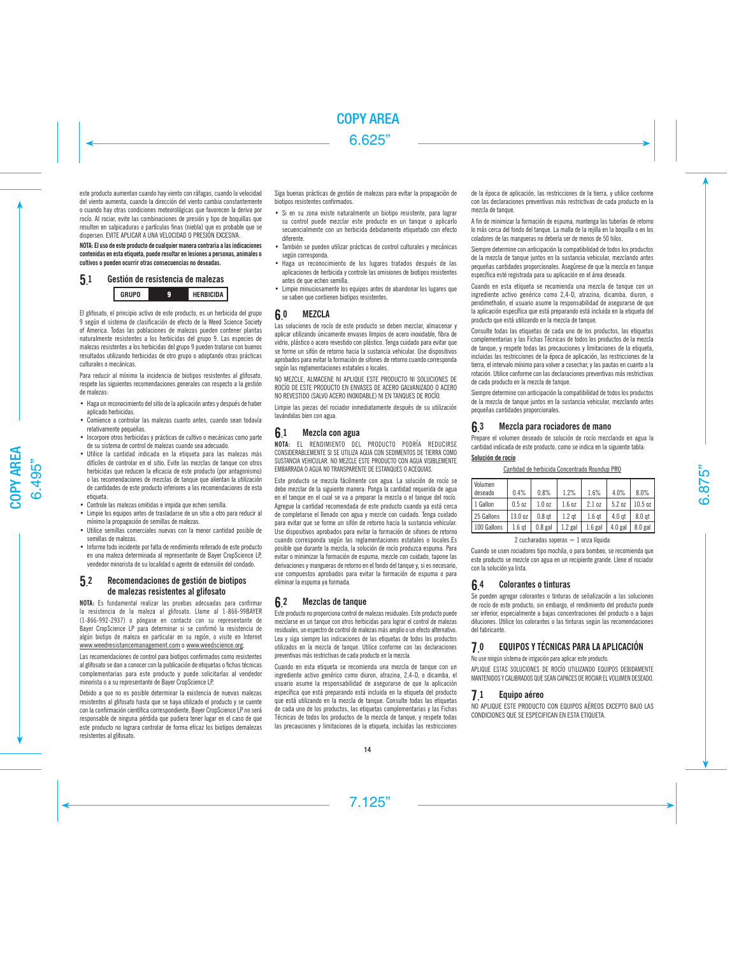este producto aumentan cuando hay viento con ráfagas, cuando la velocidad del viento aumenta, cuando la dirección del viento cambia constantemente o cuando hay otras condiciones meteorológicas que favorecen la deriva por rocío. Al rociar, evite las combinaciones de presión y tipo de boquillas que resulten en salpicaduras o partículas finas (niebla) que es probable que se dispersen. EVITE APLICAR A UNA VELOCIDAD O PRESIÓN EXCESIVA.

NOTA: El uso de este producto de cualquier manera contraria a las indicaciones contenidas en esta etiqueta, puede resultar en lesiones a personas, animales o cultivos o pueden ocurrir otras consecuencias no deseadas.

#### **5.** Gestión de resistencia de malezas

**GRUPO HERBICIDA**

El glifosato, el principio activo de este producto, es un herbicida del grupo 9 según el sistema de clasificación de efecto de la Weed Science Society of America. Todas las poblaciones de malezas pueden contener plantas naturalmente resistentes a los herbicidas del grupo 9. Las especies de malezas resistentes a los herbicidas del grupo 9 pueden tratarse con buenos resultados utilizando herbicidas de otro grupo o adoptando otras prácticas culturales o mecánicas.

Para reducir al mínimo la incidencia de biotipos resistentes al glifosato, respete las siguientes recomendaciones generales con respecto a la gestión de malezas:

- Haga un reconocimiento del sitio de la aplicación antes y después de haber aplicado herbicidas.
- Comience a controlar las malezas cuanto antes, cuando sean todavía relativamente pequeñas.
- Incorpore otros herbicidas y prácticas de cultivo o mecánicas como parte de su sistema de control de malezas cuando sea adecuado.
- Utilice la cantidad indicada en la etiqueta para las malezas más difíciles de controlar en el sitio. Evite las mezclas de tanque con otros herbicidas que reducen la eficacia de este producto (por antagonismo) o las recomendaciones de mezclas de tanque que alientan la utilización de cantidades de este producto inferiores a las recomendaciones de esta etiqueta.
- Controle las malezas omitidas e impida que echen semilla.
- Limpie los equipos antes de trasladarse de un sitio a otro para reducir al mínimo la propagación de semillas de malezas.
- Utilice semillas comerciales nuevas con la menor cantidad posible de semillas de malezas.
- Informe todo incidente por falta de rendimiento reiterado de este producto en una maleza determinada al representante de Bayer CropScience LP, vendedor minorista de su localidad o agente de extensión del condado.

#### 5. Recomendaciones de gestión de biotipos de malezas resistentes al glifosato

**NOTA:** Es fundamental realizar las pruebas adecuadas para confirmar la resistencia de la maleza al glifosato. Llame al 1-866-99BAYER (1-866-992-2937) o póngase en contacto con su representante de Bayer CropScience LP para determinar si se confirmó la resistencia de algún biotipo de maleza en particular en su región, o visite en Internet www.weedresistancemanagement.com o www.weedscience.org.

Las recomendaciones de control para biotipos confirmados como resistentes al glifosato se dan a conocer con la publicación de etiquetas o fichas técnicas complementarias para este producto y puede solicitarlas al vendedor minorista o a su representante de Bayer CropScience LP.

Debido a que no es posible determinar la existencia de nuevas malezas resistentes al glifosato hasta que se haya utilizado el producto y se cuente con la confirmación científica correspondiente, Bayer CropScience LP no será responsable de ninguna pérdida que pudiera tener lugar en el caso de que este producto no lograra controlar de forma eficaz los biotipos demalezas resistentes al glifosato.

Siga buenas prácticas de gestión de malezas para evitar la propagación de biotipos resistentes confirmados.

- Si en su zona existe naturalmente un biotipo resistente, para lograr su control puede mezclar este producto en un tanque o aplicarlo secuencialmente con un herbicida debidamente etiquetado con efecto diferente.
- También se pueden utilizar prácticas de control culturales y mecánicas según corresponda.
- Haga un reconocimiento de los lugares tratados después de las aplicaciones de herbicida y controle las omisiones de biotipos resistentes antes de que echen semilla.
- Limpie minuciosamente los equipos antes de abandonar los lugares que se saben que contienen biotipos resistentes.

#### **6. MEZCLA**

Las soluciones de rocío de este producto se deben mezclar, almacenar y aplicar utilizando únicamente envases limpios de acero inoxidable, fibra de vidrio, plástico o acero revestido con plástico. Tenga cuidado para evitar que se forme un sifón de retorno hacia la sustancia vehicular. Use dispositivos aprobados para evitar la formación de sifones de retorno cuando corresponda según las reglamentaciones estatales o locales.

NO MEZCLE, ALMACENE NI APLIQUE ESTE PRODUCTO NI SOLUCIONES DE ROCÍO DE ESTE PRODUCTO EN ENVASES DE ACERO GALVANIZADO O ACERO NO REVESTIDO (SALVO ACERO INOXIDABLE) NI EN TANQUES DE ROCÍO.

Limpie las piezas del rociador inmediatamente después de su utilización lavándolas bien con agua.

#### **6.** Mezcla con agua

**NOTA:** EL RENDIMIENTO DEL PRODUCTO PODRÍA REDUCIRSE CONSIDERABLEMENTE SI SE UTILIZA AGUA CON SEDIMENTOS DE TIERRA COMO SUSTANCIA VEHICULAR. NO MEZCLE ESTE PRODUCTO CON AGUA VISIBLEMENTE EMBARRADA O AGUA NO TRANSPARENTE DE ESTANQUES O ACEQUIAS.

Este producto se mezcla fácilmente con agua. La solución de rocío se debe mezclar de la siguiente manera: Ponga la cantidad requerida de agua en el tanque en el cual se va a preparar la mezcla o el tanque del rocío. Agregue la cantidad recomendada de este producto cuando ya está cerca de completarse el llenado con agua y mezcle con cuidado. Tenga cuidado para evitar que se forme un sifón de retorno hacia la sustancia vehicular. Use dispositivos aprobados para evitar la formación de sifones de retorno cuando corresponda según las reglamentaciones estatales o locales.Es posible que durante la mezcla, la solución de rocío produzca espuma. Para evitar o minimizar la formación de espuma, mezcle con cuidado, tapone las derivaciones y mangueras de retorno en el fondo del tanque y, si es necesario, use compuestos aprobados para evitar la formación de espuma o para eliminar la espuma ya formada.

#### $62$ 2 Mezclas de tanque

Este producto no proporciona control de malezas residuales. Este producto puede mezclarse en un tanque con otros herbicidas para lograr el control de malezas residuales, un espectro de control de malezas más amplio o un efecto alternativo. Lea y siga siempre las indicaciones de las etiquetas de todos los productos utilizados en la mezcla de tanque. Utilice conforme con las declaraciones preventivas más restrictivas de cada producto en la mezcla.

Cuando en esta etiqueta se recomienda una mezcla de tanque con un ingrediente activo genérico como diuron, atrazina, 2,4-D, o dicamba, el usuario asume la responsabilidad de asegurarse de que la aplicación específica que está preparando está incluida en la etiqueta del producto que está utilizando en la mezcla de tanque. Consulte todas las etiquetas de cada uno de los productos, las etiquetas complementarias y las Fichas Técnicas de todos los productos de la mezcla de tanque, y respete todas las precauciones y limitaciones de la etiqueta, incluidas las restricciones

de la época de aplicación, las restricciones de la tierra, y utilice conforme con las declaraciones preventivas más restrictivas de cada producto en la mezcla de tanque.

A fin de minimizar la formación de espuma, mantenga las tuberías de retorno lo más cerca del fondo del tanque. La malla de la rejilla en la boquilla o en los coladores de las mangueras no debería ser de menos de 50 hilos.

Siempre determine con anticipación la compatibilidad de todos los productos de la mezcla de tanque juntos en la sustancia vehicular, mezclando antes pequeñas cantidades proporcionales. Asegúrese de que la mezcla en tanque específica esté registrada para su aplicación en el área deseada.

Cuando en esta etiqueta se recomienda una mezcla de tanque con un ingrediente activo genérico como 2,4-D, atrazina, dicamba, diuron, o pendimethalin, el usuario asume la responsabilidad de asegurarse de que la aplicación específica que está preparando está incluida en la etiqueta del producto que está utilizando en la mezcla de tanque.

Consulte todas las etiquetas de cada uno de los productos, las etiquetas complementarias y las Fichas Técnicas de todos los productos de la mezcla de tanque, y respete todas las precauciones y limitaciones de la etiqueta, incluidas las restricciones de la época de aplicación, las restricciones de la tierra, el intervalo mínimo para volver a cosechar, y las pautas en cuanto a la rotación. Utilice conforme con las declaraciones preventivas más restrictivas de cada producto en la mezcla de tanque.

Siempre determine con anticipación la compatibilidad de todos los productos de la mezcla de tanque juntos en la sustancia vehicular, mezclando antes pequeñas cantidades proporcionales.

#### **6.** Mezcla para rociadores de mano

Prepare el volumen deseado de solución de rocío mezclando en agua la cantidad indicada de este producto, como se indica en la siguiente tabla:

## **Solución de rocío**

Cantidad de herbicida Concentrado Roundup PRO

| Volumen<br>deseado | 0.4%              | 0.8%              | 1.2%              | 1.6%              | 4.0%              | 8.0%              |
|--------------------|-------------------|-------------------|-------------------|-------------------|-------------------|-------------------|
| 1 Gallon           | 0.5 oz            | 1.0 <sub>oz</sub> | 1.6oz             | 2.1 oz            | 5.2 oz            | 10.5 oz           |
| 25 Gallons         | 13.0 oz           | 0.8 <sub>gt</sub> | 1.2 <sub>gt</sub> | 1.6 <sub>gt</sub> | 4.0 <sub>gt</sub> | 8.0 <sub>gt</sub> |
| 100 Gallons        | 1.6 <sub>at</sub> | $0.8$ gal         | $1.2$ gal         | $1.6$ gal         | $4.0$ gal         | $8.0$ gal         |

 $2$  cucharadas soperas  $= 1$  onza líquida

Cuando se usen rociadores tipo mochila, o para bombeo, se recomienda que este producto se mezcle con agua en un recipiente grande. Llene el rociador con la solución ya lista.

#### 6. 4 Colorantes o tinturas

Se pueden agregar colorantes o tinturas de señalización a las soluciones de rocío de este producto, sin embargo, el rendimiento del producto puede ser inferior, especialmente a bajas concentraciones del producto o a bajas diluciones. Utilice los colorantes o las tinturas según las recomendaciones del fabricante.

#### 7. 0 EQUIPOS Y TÉCNICAS PARA LA APLICACIÓN

No use ningún sistema de irrigación para aplicar este producto.

APLIQUE ESTAS SOLUCIONES DE ROCÍO UTILIZANDO EQUIPOS DEBIDAMENTE MANTENIDOS Y CALIBRADOS QUE SEAN CAPACES DE ROCIAR EL VOLUMEN DESEADO.

#### **7. Equipo aéreo**

NO APLIQUE ESTE PRODUCTO CON EQUIPOS AÉREOS EXCEPTO BAJO LAS CONDICIONES QUE SE ESPECIFICAN EN ESTA ETIQUETA.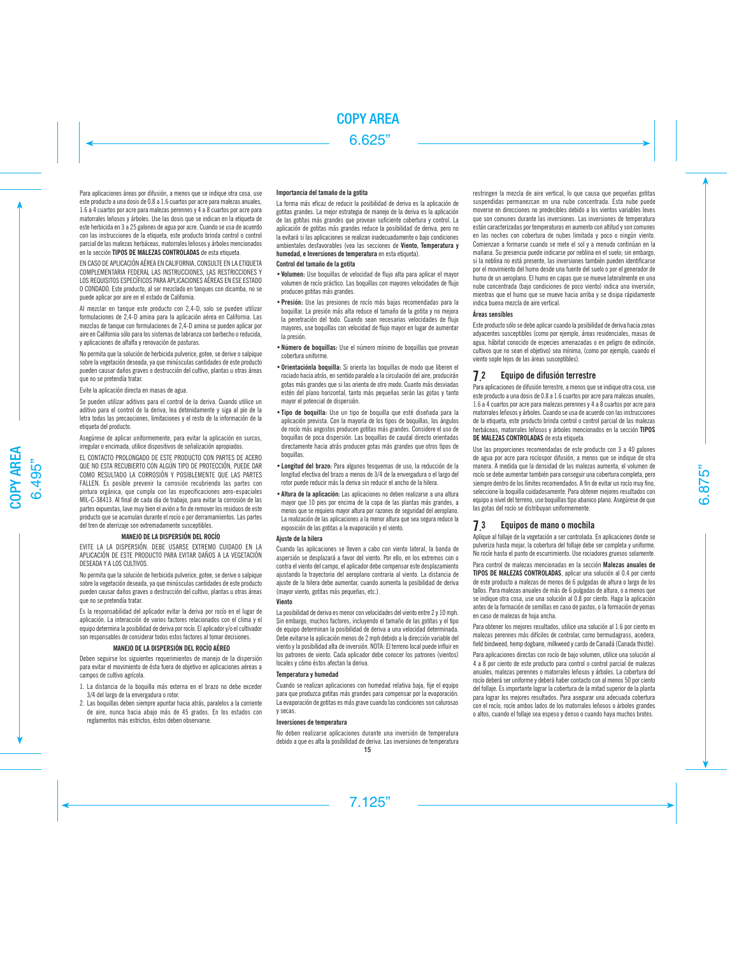Para aplicaciones áreas por difusión, a menos que se indique otra cosa, use este producto a una dosis de 0.8 a 1.6 cuartos por acre para malezas anuales, 1.6 a 4 cuartos por acre para malezas perennes y 4 a 8 cuartos por acre para matorrales leñosos y árboles. Use las dosis que se indican en la etiqueta de este herbicida en 3 a 25 galones de agua por acre. Cuando se usa de acuerdo con las instrucciones de la etiqueta, este producto brinda control o control parcial de las malezas herbáceas, matorrales leñosos y árboles mencionados en la sección TIPOS DE MALEZAS CONTROLADAS de esta etiqueta.

EN CASO DE APLICACIÓN AÉREA EN CALIFORNIA, CONSULTE EN LA ETIQUETA COMPLEMENTARIA FEDERAL LAS INSTRUCCIONES, LAS RESTRICCIONES Y LOS REQUISITOS ESPECÍFICOS PARA APLICACIONES AÉREAS EN ESE ESTADO O CONDADO. Este producto, al ser mezclado en tanques con dicamba, no se puede aplicar por aire en el estado de California.

Al mezclar en tanque este producto con 2,4-D, solo se pueden utilizar formulaciones de 2,4-D amina para la aplicación aérea en California. Las mezclas de tanque con formulaciones de 2,4-D amina se pueden aplicar por aire en California sólo para los sistemas de labranza con barbecho o reducida, y aplicaciones de alfalfa y renovación de pasturas.

No permita que la solución de herbicida pulverice, gotee, se derive o salpique sobre la vegetación deseada, ya que minúsculas cantidades de este producto pueden causar daños graves o destrucción del cultivo, plantas u otras áreas que no se pretendía tratar.

Evite la aplicación directa en masas de agua.

Se pueden utilizar aditivos para el control de la deriva. Cuando utilice un aditivo para el control de la deriva, lea detenidamente y siga al pie de la letra todas las precauciones, limitaciones y el resto de la información de la etiqueta del producto.

Asegúrese de aplicar uniformemente, para evitar la aplicación en surcos, irregular o encimada, utilice dispositivos de señalización apropiados.

EL CONTACTO PROLONGADO DE ESTE PRODUCTO CON PARTES DE ACERO QUE NO ESTA RECUBIERTO CON ALGÚN TIPO DE PROTECCIÓN, PUEDE DAR COMO RESULTADO LA CORROSIÓN Y POSIBLEMENTE QUE LAS PARTES FALLEN. Es posible prevenir la corrosión recubriendo las partes con pintura orgánica, que cumpla con las especificaciones aero-espaciales MIL-C-38413. Al final de cada día de trabajo, para evitar la corrosión de las partes expuestas, lave muy bien el avión a fin de remover los residuos de este producto que se acumulan durante el rocío o por derramamientos. Las partes del tren de aterrizaje son extremadamente susceptibles.

## **MANEJO DE LA DISPERSIÓN DEL ROCÍO**

EVITE LA LA DISPERSIÓN. DEBE USARSE EXTREMO CUIDADO EN LA APLICACIÓN DE ESTE PRODUCTO PARA EVITAR DAÑOS A LA VEGETACIÓN DESEADA Y A LOS CULTIVOS.

No permita que la solución de herbicida pulverice, gotee, se derive o salpique sobre la vegetación deseada, ya que minúsculas cantidades de este producto pueden causar daños graves o destrucción del cultivo, plantas u otras áreas que no se pretendía tratar.

Es la responsabilidad del aplicador evitar la deriva por rocío en el lugar de aplicación. La interacción de varios factores relacionados con el clima y el equipo determina la posibilidad de deriva por rocío. El aplicador y/o el cultivador son responsables de considerar todos estos factores al tomar decisiones.

#### **MANEJO DE LA DISPERSIÓN DEL ROCÍO AÉREO**

Deben seguirse los siguientes requerimientos de manejo de la dispersión para evitar el movimiento de ésta fuera de objetivo en aplicaciones aéreas a campos de cultivo agrícola.

- 1. La distancia de la boquilla más externa en el brazo no debe exceder 3/4 del largo de la envergadura o rotor.
- 2. Las boquillas deben siempre apuntar hacia atrás, paralelos a la corriente de aire, nunca hacia abajo más de 45 grados. En los estados con reglamentos más estrictos, éstos deben observarse.

#### **Importancia del tamaño de la gotita**

La forma más eficaz de reducir la posibilidad de deriva es la aplicación de gotitas grandes. La mejor estrategia de manejo de la deriva es la aplicación de las gotitas más grandes que provean suficiente cobertura y control. La aplicación de gotitas más grandes reduce la posibilidad de deriva, pero no la evitará si las aplicaciones se realizan inadecuadamente o bajo condiciones ambientales desfavorables (vea las secciones de Viento, Temperatura y humedad, e Inversiones de temperatura en esta etiqueta).

#### **Control del tamaño de la gotita**

- **•Volumen:** Use boquillas de velocidad de flujo alta para aplicar el mayor volumen de rocío práctico. Las boquillas con mayores velocidades de flujo producen gotitas más grandes.
- **•**Presión: Use las presiones de rocío más bajas recomendadas para la boquillar. La presión más alta reduce el tamaño de la gotita y no mejora la penetración del todo. Cuando sean necesarias velocidades de flujo mayores, use boquillas con velocidad de flujo mayor en lugar de aumentar la presión.
- **•**Número de boquillas: Use el número mínimo de boquillas que provean cobertura uniforme.
- **•**Orientaciónla boquilla: Si orienta las boquillas de modo que liberen el rociado hacia atrás, en sentido paralelo a la circulación del aire, producirán gotas más grandes que si las orienta de otro modo. Cuanto más desviadas estén del plano horizontal, tanto más pequeñas serán las gotas y tanto mayor el potencial de dispersión.
- **•**Tipo de boquilla: Use un tipo de boquilla que esté diseñada para la aplicación prevista. Con la mayoría de los tipos de boquillas, los ángulos de rocío más angostos producen gotitas más grandes. Considere el uso de boquillas de poca dispersión. Las boquillas de caudal directo orientadas directamente hacia atrás producen gotas más grandes que otros tipos de boquillas.
- **•**Longitud del brazo: Para algunos tesquemas de uso, la reducción de la longitud efectiva del brazo a menos de 3/4 de la envergadura o el largo del rotor puede reducir más la deriva sin reducir el ancho de la hilera.
- **•**Altura de la aplicación: Las aplicaciones no deben realizarse a una altura mayor que 10 pies por encima de la copa de las plantas más grandes, a menos que se requiera mayor altura por razones de seguridad del aeroplano. La realización de las aplicaciones a la menor altura que sea segura reduce la exposición de las gotitas a la evaporación y el viento.

### Ajuste de la hilera

Cuando las aplicaciones se lleven a cabo con viento lateral, la banda de aspersión se desplazará a favor del viento. Por ello, en los extremos con o contra el viento del campo, el aplicador debe compensar este desplazamiento ajustando la trayectoria del aeroplano contraria al viento. La distancia de ajuste de la hilera debe aumentar, cuando aumenta la posibilidad de deriva (mayor viento, gotitas más pequeñas, etc.).

#### Viento

La posibilidad de deriva es menor con velocidades del viento entre 2 y 10 mph. Sin embargo, muchos factores, incluyendo el tamaño de las gotitas y el tipo de equipo determinan la posibilidad de deriva a una velocidad determinada. Debe evitarse la aplicación menos de 2 mph debido a la dirección variable del viento y la posibilidad alta de inversión. NOTA: El terreno local puede influir en los patrones de viento. Cada aplicador debe conocer los patrones (vientos) locales y cómo éstos afectan la deriva.

#### Temperatura y humedad

Cuando se realizan aplicaciones con humedad relativa baja, fije el equipo para que produzca gotitas más grandes para compensar por la evaporación. La evaporación de gotitas es más grave cuando las condiciones son calurosas y secas.

## **Inversiones de temperatura**

No deben realizarse aplicaciones durante una inversión de temperatura debido a que es alta la posibilidad de deriva. Las inversiones de temperatura restringen la mezcla de aire vertical, lo que causa que pequeñas gotitas suspendidas permanezcan en una nube concentrada. Esta nube puede moverse en direcciones no predecibles debido a los vientos variables leves que son comunes durante las inversiones. Las inversiones de temperatura están caracterizadas por temperaturas en aumento con altitud y son comunes en las noches con cobertura de nubes limitada y poco o ningún viento. Comienzan a formarse cuando se mete el sol y a menudo continúan en la mañana. Su presencia puede indicarse por neblina en el suelo; sin embargo, si la neblina no está presente, las inversiones también pueden identificarse por el movimiento del humo desde una fuente del suelo o por el generador de humo de un aeroplano. El humo en capas que se mueve lateralmente en una nube concentrada (bajo condiciones de poco viento) indica una inversión, mientras que el humo que se mueve hacia arriba y se disipa rápidamente indica buena mezcla de aire vertical.

## **Áreas sensibles**

Este producto sólo se debe aplicar cuando la posibilidad de deriva hacia zonas adyacentes susceptibles (como por ejemplo, áreas residenciales, masas de agua, hábitat conocido de especies amenazadas o en peligro de extinción, cultivos que no sean el objetivo) sea mínima, (como por ejemplo, cuando el viento sople lejos de las áreas susceptibles).

#### **7.** Equipo de difusión terrestre

Para aplicaciones de difusión terrestre, a menos que se indique otra cosa, use este producto a una dosis de 0.8 a 1.6 cuartos por acre para malezas anuales, 1.6 a 4 cuartos por acre para malezas perennes y 4 a 8 cuartos por acre para matorrales leñosos y árboles. Cuando se usa de acuerdo con las instrucciones de la etiqueta, este producto brinda control o control parcial de las malezas herbáceas, matorrales leñosos y árboles mencionados en la sección TIPOS DE MALEZAS CONTROLADAS de esta etiqueta.

Use las proporciones recomendadas de este producto con 3 a 40 galones de agua por acre para rocíospor difusión, a menos que se indique de otra manera. A medida que la densidad de las malezas aumenta, el volumen de rocío se debe aumentar también para conseguir una cobertura completa, pero siempre dentro de los límites recomendados. A fin de evitar un rocío muy fino, seleccione la boquilla cuidadosamente. Para obtener mejores resultados con equipo a nivel del terreno, use boquillas tipo abanico plano. Asegúrese de que las gotas del rocío se distribuyan uniformemente.

#### 7. 3 Equipos de mano o mochila

Aplique al follaje de la vegetación a ser controlada. En aplicaciones donde se pulveriza hasta mojar, la cobertura del follaje debe ser completa y uniforme. No rocíe hasta el punto de escurrimiento. Use rociadores gruesos solamente.

Para control de malezas mencionadas en la sección Malezas anuales de TIPOS DE MALEZAS CONTROLADAS, aplicar una solución al 0.4 por ciento de este producto a malezas de menos de 6 pulgadas de altura o largo de los tallos. Para malezas anuales de más de 6 pulgadas de altura, o a menos que se indique otra cosa, use una solución al 0.8 por ciento. Haga la aplicación antes de la formación de semillas en caso de pastos, o la formación de yemas en caso de malezas de hoja ancha.

Para obtener los mejores resultados, utilice una solución al 1.6 por ciento en malezas perennes más difíciles de controlar, como bermudagrass, acedera, field bindweed, hemp dogbane, milkweed y cardo de Canadá (Canada thistle).

Para aplicaciones directas con rocío de bajo volumen, utilice una solución al 4 a 8 por ciento de este producto para control o control parcial de malezas anuales, malezas perennes o matorrales leñosos y árboles. La cobertura del rocío deberá ser uniforme y deberá haber contacto con al menos 50 por ciento del follaje. Es importante lograr la cobertura de la mitad superior de la planta para lograr los mejores resultados. Para asegurar una adecuada cobertura con el rocío, rocíe ambos lados de los matorrales leñosos o árboles grandes o altos, cuando el follaje sea espeso y denso o cuando haya muchos brotes.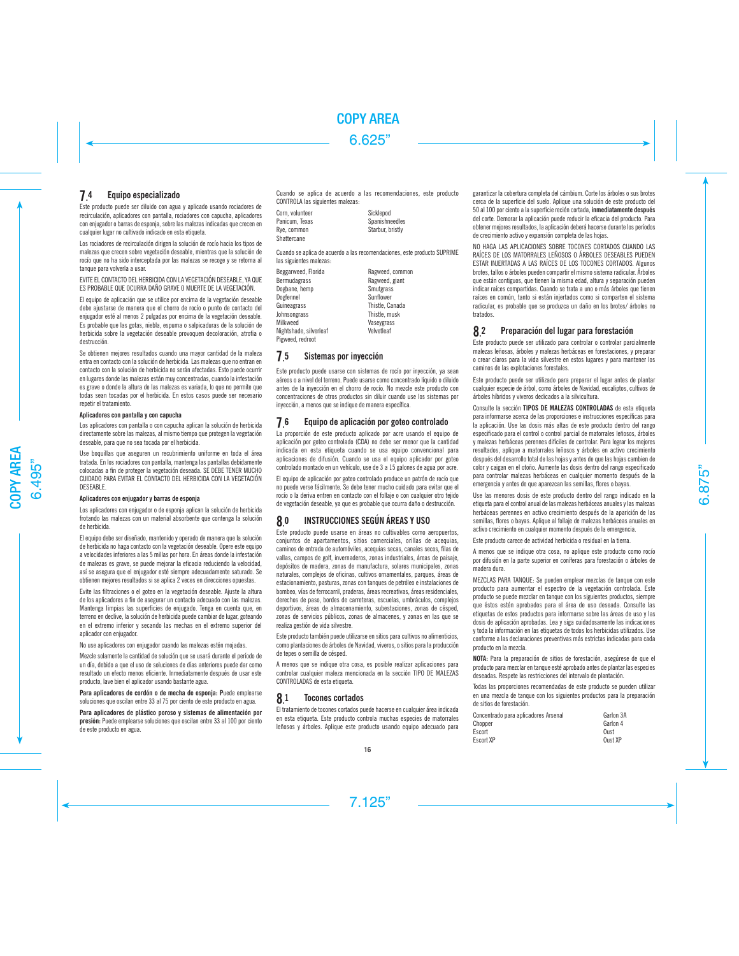#### **7.** 4 Equipo especializado

Este producto puede ser diluido con agua y aplicado usando rociadores de recirculación, aplicadores con pantalla, rociadores con capucha, aplicadores con enjugador o barras de esponja, sobre las malezas indicadas que crecen en cualquier lugar no cultivado indicado en esta etiqueta.

Los rociadores de recirculación dirigen la solución de rocío hacia los tipos de malezas que crecen sobre vegetación deseable, mientras que la solución de rocío que no ha sido interceptada por las malezas se recoge y se retorna al tanque para volverla a usar.

EVITE EL CONTACTO DEL HERBICIDA CON LA VEGETACIÓN DESEABLE, YA QUE ES PROBABLE QUE OCURRA DAÑO GRAVE O MUERTE DE LA VEGETACIÓN.

El equipo de aplicación que se utilice por encima de la vegetación deseable debe ajustarse de manera que el chorro de rocío o punto de contacto del enjugador esté al menos 2 pulgadas por encima de la vegetación deseable. Es probable que las gotas, niebla, espuma o salpicaduras de la solución de herbicida sobre la vegetación deseable provoquen decoloración, atrofia o destrucción.

Se obtienen mejores resultados cuando una mayor cantidad de la maleza entra en contacto con la solución de herbicida. Las malezas que no entran en contacto con la solución de herbicida no serán afectadas. Esto puede ocurrir en lugares donde las malezas están muy concentradas, cuando la infestación es grave o donde la altura de las malezas es variada, lo que no permite que todas sean tocadas por el herbicida. En estos casos puede ser necesario repetir el tratamiento.

#### **Aplicadores con pantalla y con capucha**

Los aplicadores con pantalla o con capucha aplican la solución de herbicida directamente sobre las malezas, al mismo tiempo que protegen la vegetación deseable, para que no sea tocada por el herbicida.

Use boquillas que aseguren un recubrimiento uniforme en toda el área tratada. En los rociadores con pantalla, mantenga las pantallas debidamente colocadas a fin de proteger la vegetación deseada. SE DEBE TENER MUCHO CUIDADO PARA EVITAR EL CONTACTO DEL HERBICIDA CON LA VEGETACIÓN DESEABLE.

#### **Aplicadores con enjugador y barras de esponja**

Los aplicadores con enjugador o de esponja aplican la solución de herbicida frotando las malezas con un material absorbente que contenga la solución de herbicida.

El equipo debe ser diseñado, mantenido y operado de manera que la solución de herbicida no haga contacto con la vegetación deseable. Opere este equipo a velocidades inferiores a las 5 millas por hora. En áreas donde la infestación de malezas es grave, se puede mejorar la eficacia reduciendo la velocidad, así se asegura que el enjugador esté siempre adecuadamente saturado. Se obtienen mejores resultados si se aplica 2 veces en direcciones opuestas.

Evite las filtraciones o el goteo en la vegetación deseable. Ajuste la altura de los aplicadores a fin de asegurar un contacto adecuado con las malezas. Mantenga limpias las superficies de enjugado. Tenga en cuenta que, en terreno en declive, la solución de herbicida puede cambiar de lugar, goteando en el extremo inferior y secando las mechas en el extremo superior del aplicador con enjugador.

No use aplicadores con enjugador cuando las malezas estén mojadas.

Mezcle solamente la cantidad de solución que se usará durante el período de un día, debido a que el uso de soluciones de días anteriores puede dar como resultado un efecto menos eficiente. Inmediatamente después de usar este producto, lave bien el aplicador usando bastante agua.

**Para aplicadores de cordón o de mecha de esponja: P**uede emplearse soluciones que oscilan entre 33 al 75 por ciento de este producto en agua.

**Para aplicadores de plástico poroso y sistemas de alimentación por presión:** Puede emplearse soluciones que oscilan entre 33 al 100 por ciento de este producto en agua.

Cuando se aplica de acuerdo a las recomendaciones, este producto CONTROLA las siguientes malezas:

Corn, volunteer Sicklepod<br>Panicum, Texas Spanishne Panicum, Texas Spanishneedles<br>Rye. common Starbur, bristly Shattercane

Starbur, bristly

Cuando se aplica de acuerdo a las recomendaciones, este producto SUPRIME las siguientes malezas:

Beggarweed, Florida **Ragweed, common**<br>Ragweed, giant Dogbane, hemp Dogfennel<br>Guineagrass Sunflower<br>Thistle Canada Guineagrass Thistle, Canada<br>
International Chinese Thistle musk **Johnsongrass** Milkweed Vaseygrass Nightshade, silverleaf Pigweed, redroot

Ragweed, giant<br>Smutgrass

#### 7. 5 Sistemas por inyección

Este producto puede usarse con sistemas de rocío por inyección, ya sean aéreos o a nivel del terreno. Puede usarse como concentrado líquido o diluido antes de la inyección en el chorro de rocío. No mezcle este producto con concentraciones de otros productos sin diluir cuando use los sistemas por inyección, a menos que se indique de manera específica.

#### 7. 6 Equipo de aplicación por goteo controlado

La proporción de este producto aplicado por acre usando el equipo de aplicación por goteo controlado (CDA) no debe ser menor que la cantidad indicada en esta etiqueta cuando se usa equipo convencional para aplicaciones de difusión. Cuando se usa el equipo aplicador por goteo controlado montado en un vehículo, use de 3 a 15 galones de agua por acre.

El equipo de aplicación por goteo controlado produce un patrón de rocío que no puede verse fácilmente. Se debe tener mucho cuidado para evitar que el rocío o la deriva entren en contacto con el follaje o con cualquier otro tejido de vegetación deseable, ya que es probable que ocurra daño o destrucción.

#### 8. 0 INSTRUCCIONES SEGÚN ÁREAS Y USO

Este producto puede usarse en áreas no cultivables como aeropuertos, conjuntos de apartamentos, sitios comerciales, orillas de acequias, caminos de entrada de automóviles, acequias secas, canales secos, filas de vallas, campos de golf, invernaderos, zonas industriales, áreas de paisaje, depósitos de madera, zonas de manufactura, solares municipales, zonas naturales, complejos de oficinas, cultivos ornamentales, parques, áreas de estacionamiento, pasturas, zonas con tanques de petróleo e instalaciones de bombeo, vías de ferrocarril, praderas, áreas recreativas, áreas residenciales, derechos de paso, bordes de carreteras, escuelas, umbráculos, complejos deportivos, áreas de almacenamiento, subestaciones, zonas de césped, zonas de servicios públicos, zonas de almacenes, y zonas en las que se realiza gestión de vida silvestre.

Este producto también puede utilizarse en sitios para cultivos no alimenticios, como plantaciones de árboles de Navidad, viveros, o sitios para la producción de tepes o semilla de césped.

A menos que se indique otra cosa, es posible realizar aplicaciones para controlar cualquier maleza mencionada en la sección TIPO DE MALEZAS CONTROLADAS de esta etiqueta.

#### 8. 1 Tocones cortados

El tratamiento de tocones cortados puede hacerse en cualquier área indicada en esta etiqueta. Este producto controla muchas especies de matorrales leñosos y árboles. Aplique este producto usando equipo adecuado para garantizar la cobertura completa del cámbium. Corte los árboles o sus brotes cerca de la superficie del suelo. Aplique una solución de este producto del 50 al 100 por ciento a la superficie recién cortada, inmediatamente después del corte. Demorar la aplicación puede reducir la eficacia del producto. Para obtener mejores resultados, la aplicación deberá hacerse durante los períodos de crecimiento activo y expansión completa de las hojas.

NO HAGA LAS APLICACIONES SOBRE TOCONES CORTADOS CUANDO LAS RAÍCES DE LOS MATORRALES LEÑOSOS O ÁRBOLES DESEABLES PUEDEN ESTAR INJERTADAS A LAS RAÍCES DE LOS TOCONES CORTADOS. Algunos brotes, tallos o árboles pueden compartir el mismo sistema radicular. Árboles que están contiguos, que tienen la misma edad, altura y separación pueden indicar raíces compartidas. Cuando se trata a uno o más árboles que tienen raíces en común, tanto si están injertados como si comparten el sistema radicular, es probable que se produzca un daño en los brotes/ árboles no tratados.

#### 8. 2 Preparación del lugar para forestación

Este producto puede ser utilizado para controlar o controlar parcialmente malezas leñosas, árboles y malezas herbáceas en forestaciones, y preparar o crear claros para la vida silvestre en estos lugares y para mantener los caminos de las explotaciones forestales.

Este producto puede ser utilizado para preparar el lugar antes de plantar cualquier especie de árbol, como árboles de Navidad, eucaliptos, cultivos de árboles híbridos y viveros dedicados a la silvicultura.

Consulte la sección TIPOS DE MALEZAS CONTROLADAS de esta etiqueta para informarse acerca de las proporciones e instrucciones específicas para la aplicación. Use las dosis más altas de este producto dentro del rango especificado para el control o control parcial de matorrales leñosos, árboles y malezas herbáceas perennes difíciles de controlar. Para lograr los mejores resultados, aplique a matorrales leñosos y árboles en activo crecimiento después del desarrollo total de las hojas y antes de que las hojas cambien de color y caigan en el otoño. Aumente las dosis dentro del rango especificado para controlar malezas herbáceas en cualquier momento después de la emergencia y antes de que aparezcan las semillas, flores o bayas.

Use las menores dosis de este producto dentro del rango indicado en la etiqueta para el control anual de las malezas herbáceas anuales y las malezas herbáceas perennes en activo crecimiento después de la aparición de las semillas, flores o bayas. Aplique al follaje de malezas herbáceas anuales en activo crecimiento en cualquier momento después de la emergencia.

Este producto carece de actividad herbicida o residual en la tierra.

A menos que se indique otra cosa, no aplique este producto como rocío por difusión en la parte superior en coníferas para forestación o árboles de madera dura.

MEZCLAS PARA TANQUE: Se pueden emplear mezclas de tanque con este producto para aumentar el espectro de la vegetación controlada. Este producto se puede mezclar en tanque con los siguientes productos, siempre que éstos estén aprobados para el área de uso deseada. Consulte las etiquetas de estos productos para informarse sobre las áreas de uso y las dosis de aplicación aprobadas. Lea y siga cuidadosamente las indicaciones y toda la información en las etiquetas de todos los herbicidas utilizados. Use conforme a las declaraciones preventivas más estrictas indicadas para cada producto en la mezcla.

**NOTA:** Para la preparación de sitios de forestación, asegúrese de que el producto para mezclar en tanque esté aprobado antes de plantar las especies deseadas. Respete las restricciones del intervalo de plantación.

Todas las proporciones recomendadas de este producto se pueden utilizar en una mezcla de tanque con los siguientes productos para la preparación de sitios de forestación.

| Concentrado para aplicadores Arsenal | Garlon 3A |
|--------------------------------------|-----------|
| Chopper                              | Garlon 4  |
| Escort                               | Oust      |
| <b>Escort XP</b>                     | Oust XP   |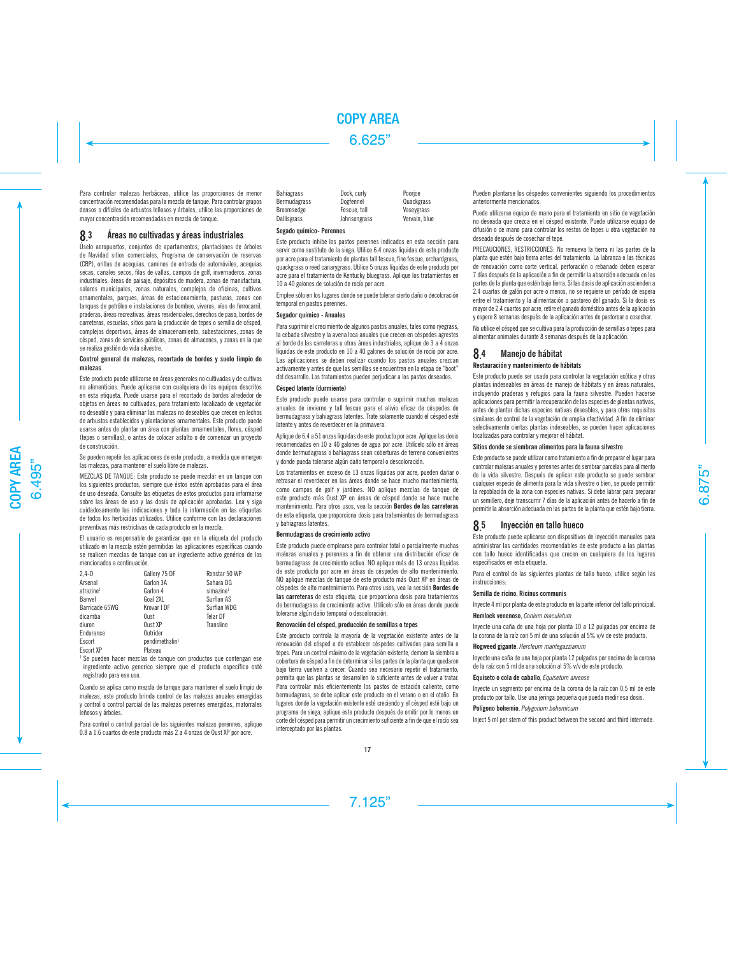Para controlar malezas herbáceas, utilice las proporciones de menor concentración recomendadas para la mezcla de tanque. Para controlar grupos densos o difíciles de arbustos leñosos y árboles, utilice las proporciones de mayor concentración recomendadas en mezcla de tanque.

#### 8. Áreas no cultivadas y áreas industriales

Úselo aeropuertos, conjuntos de apartamentos, plantaciones de árboles de Navidad sitios comerciales, Programa de conservación de reservas (CRP), orillas de acequias, caminos de entrada de automóviles, acequias secas, canales secos, filas de vallas, campos de golf, invernaderos, zonas industriales, áreas de paisaje, depósitos de madera, zonas de manufactura solares municipales, zonas naturales, complejos de oficinas, cultivos ornamentales, parques, áreas de estacionamiento, pasturas, zonas con tanques de petróleo e instalaciones de bombeo, viveros, vías de ferrocarril, praderas, áreas recreativas, áreas residenciales, derechos de paso, bordes de carreteras, escuelas, sitios para la producción de tepes o semilla de césped, complejos deportivos, áreas de almacenamiento, subestaciones, zonas de césped, zonas de servicios públicos, zonas de almacenes, y zonas en la que se realiza gestión de vida silvestre.

## **Control general de malezas, recortado de bordes y suelo limpio de malezas**

Este producto puede utilizarse en áreas generales no cultivadas y de cultivos no alimenticios. Puede aplicarse con cualquiera de los equipos descritos en esta etiqueta. Puede usarse para el recortado de bordes alrededor de objetos en áreas no cultivadas, para tratamiento localizado de vegetación no deseable y para eliminar las malezas no deseables que crecen en lechos de arbustos establecidos y plantaciones ornamentales. Este producto puede usarse antes de plantar un área con plantas ornamentales, flores, césped (tepes o semillas), o antes de colocar asfalto o de comenzar un proyecto de construcción.

Se pueden repetir las aplicaciones de este producto, a medida que emergen las malezas, para mantener el suelo libre de malezas.

MEZCLAS DE TANQUE: Este producto se puede mezclar en un tanque con los siguientes productos, siempre que éstos estén aprobados para el área de uso deseada. Consulte las etiquetas de estos productos para informarse sobre las áreas de uso y las dosis de aplicación aprobadas. Lea y siga cuidadosamente las indicaciones y toda la información en las etiquetas de todos los herbicidas utilizados. Utilice conforme con las declaraciones preventivas más restrictivas de cada producto en la mezcla.

El usuario es responsable de garantizar que en la etiqueta del producto utilizado en la mezcla estén permitidas las aplicaciones específicas cuando se realicen mezclas de tanque con un ingrediente activo genérico de los mencionados a continuación.

| $2.4-D$               | Gallery 75 DF              | Ronstar 50 WP         |
|-----------------------|----------------------------|-----------------------|
| Arsenal               | Garlon 3A                  | Sahara DG             |
| atrazine <sup>1</sup> | Garlon 4                   | simazine <sup>1</sup> |
| Banvel                | Goal 2XL                   | Surflan AS            |
| Barricade 65WG        | Krovar I DF                | Surflan WDG           |
| dicamba               | Oust                       | <b>Telar DF</b>       |
| diuron                | Oust XP                    | Transline             |
| Endurance             | Outrider                   |                       |
| Escort                | pendimethalin <sup>1</sup> |                       |
| Escort XP             | Plateau                    |                       |

<sup>1</sup> Se pueden hacer mezclas de tanque con productos que contengan ese ingrediente activo generico siempre que el producto específico esté registrado para ese uso.

Cuando se aplica como mezcla de tanque para mantener el suelo limpio de malezas, este producto brinda control de las malezas anuales emergidas y control o control parcial de las malezas perennes emergidas, matorrales leñosos y árboles.

Para control o control parcial de las siguientes malezas perennes, aplique 0.8 a 1.6 cuartos de este producto más 2 a 4 onzas de Oust XP por acre.

| <b>Bahiagrass</b>   | Dock, curly  | Poorioe       |
|---------------------|--------------|---------------|
| <b>Bermudagrass</b> | Dogfennel    | Quackgrass    |
| Broomsedge          | Fescue, tall | Vasevgrass    |
| <b>Dallisgrass</b>  | Johnsongrass | Vervain, blue |
|                     |              |               |

#### **Segado químico- Perennes**

Este producto inhibe los pastos perennes indicados en esta sección para servir como sustituto de la siega. Utilice 6.4 onzas líquidas de este producto por acre para el tratamiento de plantas tall fescue, fine fescue, orchardgrass, quackgrass o reed canarygrass. Utilice 5 onzas líquidas de este producto por acre para el tratamiento de Kentucky bluegrass. Aplique los tratamientos en 10 a 40 galones de solución de rocío por acre.

Emplee sólo en los lugares donde se puede tolerar cierto daño o decoloración temporal en pastos perennes.

## **Segador químico - Anuales**

Para suprimir el crecimiento de algunos pastos anuales, tales como ryegrass, la cebada silvestre y la avena loca anuales que crecen en céspedes agrestes al borde de las carreteras u otras áreas industriales, aplique de 3 a 4 onzas líquidas de este producto en 10 a 40 galones de solución de rocío por acre. Las aplicaciones se deben realizar cuando los pastos anuales crezcan activamente y antes de que las semillas se encuentren en la etapa de "boot" del desarrollo. Los tratamientos pueden perjudicar a los pastos deseados.

## **Césped latente (durmiente)**

Este producto puede usarse para controlar o suprimir muchas malezas anuales de invierno y tall fescue para el alivio eficaz de céspedes de bermudagrass y bahiagrass latentes. Trate solamente cuando el césped esté latente y antes de reverdecer en la primavera.

Aplique de 6.4 a 51 onzas líquidas de este producto por acre. Aplique las dosis recomendadas en 10 a 40 galones de agua por acre. Utilícelo sólo en áreas donde bermudagrass o bahiagrass sean coberturas de terreno convenientes y donde pueda tolerarse algún daño temporal o descoloración.

Los tratamientos en exceso de 13 onzas líquidas por acre, pueden dañar o retrasar el reverdecer en las áreas donde se hace mucho mantenimiento, como campos de golf y jardines. NO aplique mezclas de tanque de este producto más Oust XP en áreas de césped donde se hace mucho mantenimiento. Para otros usos, vea la sección Bordes de las carreteras de esta etiqueta, que proporciona dosis para tratamientos de bermudagrass y bahiagrass latentes.

#### **Bermudagrass de crecimiento activo**

Este producto puede emplearse para controlar total o parcialmente muchas malezas anuales y perennes a fin de obtener una distribución eficaz de bermudagrass de crecimiento activo. NO aplique más de 13 onzas líquidas de este producto por acre en áreas de céspedes de alto mantenimiento. NO aplique mezclas de tanque de este producto más Oust XP en áreas de céspedes de alto mantenimiento. Para otros usos, vea la sección Bordes de las carreteras de esta etiqueta, que proporciona dosis para tratamientos de bermudagrass de crecimiento activo. Utilícelo sólo en áreas donde puede tolerarse algún daño temporal o descoloración.

#### **Renovación del césped, producción de semillas o tepes**

Este producto controla la mayoría de la vegetación existente antes de la renovación del césped o de establecer céspedes cultivados para semilla o tepes. Para un control máximo de la vegetación existente, demore la siembra o cobertura de césped a fin de determinar si las partes de la planta que quedaron bajo tierra vuelven a crecer. Cuando sea necesario repetir el tratamiento, permita que las plantas se desarrollen lo suficiente antes de volver a tratar. Para controlar más eficientemente los pastos de estación caliente, como bermudagrass, se debe aplicar este producto en el verano o en el otoño. En lugares donde la vegetación existente esté creciendo y el césped esté bajo un programa de siega, aplique este producto después de omitir por lo menos un corte del césped para permitir un crecimiento suficiente a fin de que el rocío sea interceptado por las plantas.

Pueden plantarse los céspedes convenientes siguiendo los procedimientos anteriormente mencionados.

Puede utilizarse equipo de mano para el tratamiento en sitio de vegetación no deseada que crezca en el césped existente. Puede utilizarse equipo de difusión o de mano para controlar los restos de tepes u otra vegetación no deseada después de cosechar el tepe.

PRECAUCIONES, RESTRICCIONES: No remueva la tierra ni las partes de la planta que estén bajo tierra antes del tratamiento. La labranza o las técnicas de renovación como corte vertical, perforación o rebanado deben esperar 7 días después de la aplicación a fin de permitir la absorción adecuada en las partes de la planta que estén bajo tierra. Si las dosis de aplicación ascienden a 2.4 cuartos de galón por acre o menos, no se requiere un período de espera entre el tratamiento y la alimentación o pastoreo del ganado. Si la dosis es mayor de 2.4 cuartos por acre, retire el ganado doméstico antes de la aplicación y espere 8 semanas después de la aplicación antes de pastorear o cosechar.

No utilice el césped que se cultiva para la producción de semillas o tepes para alimentar animales durante 8 semanas después de la aplicación.

#### 8. Manejo de hábitat

## **Restauración y mantenimiento de hábitats**

Este producto puede ser usado para controlar la vegetación exótica y otras plantas indeseables en áreas de manejo de hábitats y en áreas naturales, incluyendo praderas y refugios para la fauna silvestre. Pueden hacerse aplicaciones para permitir la recuperación de las especies de plantas nativas, antes de plantar dichas especies nativas deseables, y para otros requisitos similares de control de la vegetación de amplia efectividad. A fin de eliminar selectivamente ciertas plantas indeseables, se pueden hacer aplicaciones localizadas para controlar y mejorar el hábitat.

## **Sitios donde se siembran alimentos para la fauna silvestre**

Este producto se puede utilizar como tratamiento a fin de preparar el lugar para controlar malezas anuales y perennes antes de sembrar parcelas para alimento de la vida silvestre. Después de aplicar este producto se puede sembrar cualquier especie de alimento para la vida silvestre o bien, se puede permitir la repoblación de la zona con especies nativas. Si debe labrar para preparar un semillero, deje transcurrir 7 días de la aplicación antes de hacerlo a fin de permitir la absorción adecuada en las partes de la planta que estén bajo tierra.

#### **8.** 5 Inyección en tallo hueco

Este producto puede aplicarse con dispositivos de inyección manuales para administrar las cantidades recomendables de este producto a las plantas con tallo hueco identificadas que crecen en cualquiera de los lugares especificados en esta etiqueta.

Para el control de las siguientes plantas de tallo hueco, utilice según las instrucciones:

## **Semilla de ricino,** Ricinus communis

Inyecte 4 ml por planta de este producto en la parte inferior del tallo principal.

#### **Hemlock venenoso**, *Conium maculatum*

Inyecte una caña de una hoja por planta 10 a 12 pulgadas por encima de la corona de la raíz con 5 ml de una solución al 5% v/v de este producto.

## **Hogweed gigante**, *Hercleum mantegazzianum*

Inyecte una caña de una hoja por planta 12 pulgadas por encima de la corona de la raíz con 5 ml de una solución al 5% v/v de este producto.

## **Equiseto o cola de caballo**, *Equisetum arvense*

Inyecte un segmento por encima de la corona de la raíz con 0.5 ml de este producto por tallo. Use una jeringa pequeña que pueda medir esa dosis.

## **Polígono bohemio**, *Polygonum bohemicum*

Inject 5 ml per stem of this product between the second and third internode.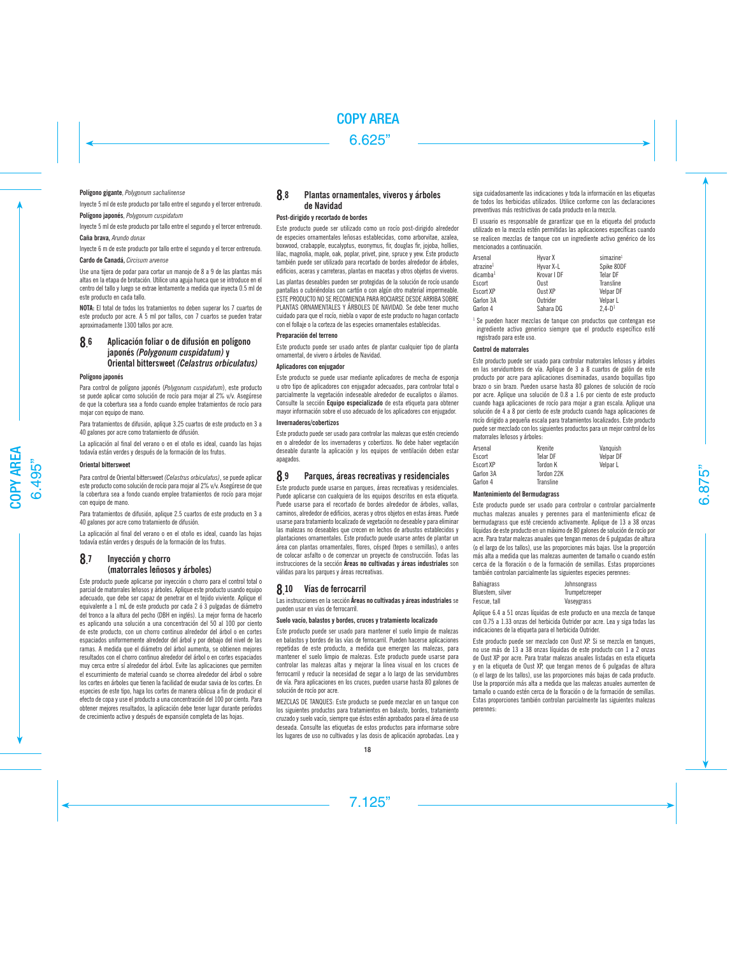#### **Polígono gigante**, *Polygonum sachalinense*

Inyecte 5 ml de este producto por tallo entre el segundo y el tercer entrenudo.

**Polígono japonés**, *Polygonum cuspidatum*

Inyecte 5 ml de este producto por tallo entre el segundo y el tercer entrenudo. **Caña brava,** *Arundo donax* 

Inyecte 6 m de este producto por tallo entre el segundo y el tercer entrenudo.

**Cardo de Canadá,** *Circisum arvense*

Use una tijera de podar para cortar un manojo de 8 a 9 de las plantas más altas en la etapa de brotación. Utilice una aguja hueca que se introduce en el centro del tallo y luego se extrae lentamente a medida que inyecta 0.5 ml de este producto en cada tallo.

**NOTA:** El total de todos los tratamientos no deben superar los 7 cuartos de este producto por acre. A 5 ml por tallos, con 7 cuartos se pueden tratar aproximadamente 1300 tallos por acre.

#### 8. 6 Aplicación foliar o de difusión en polígono japonés *(Polygonum cuspidatum)* y Oriental bittersweet *(Celastrus orbiculatus)*

#### **Polígono japonés**

Para control de polígono japonés (*Polygonum cuspidatum*), este producto se puede aplicar como solución de rocío para mojar al 2% v/v. Asegúrese de que la cobertura sea a fondo cuando emplee tratamientos de rocío para mojar con equipo de mano.

Para tratamientos de difusión, aplique 3.25 cuartos de este producto en 3 a 40 galones por acre como tratamiento de difusión.

La aplicación al final del verano o en el otoño es ideal, cuando las hojas todavía están verdes y después de la formación de los frutos.

#### **Oriental bittersweet**

Para control de Oriental bittersweet *(Celastrus orbiculatus)*, se puede aplicar este producto como solución de rocío para mojar al 2% v/v. Asegúrese de que la cobertura sea a fondo cuando emplee tratamientos de rocío para mojar con equipo de mano.

Para tratamientos de difusión, aplique 2.5 cuartos de este producto en 3 a 40 galones por acre como tratamiento de difusión.

La aplicación al final del verano o en el otoño es ideal, cuando las hojas todavía están verdes y después de la formación de los frutos.

#### **8.** Invección y chorro (matorrales leñosos y árboles)

Este producto puede aplicarse por inyección o chorro para el control total o parcial de matorrales leñosos y árboles. Aplique este producto usando equipo adecuado, que debe ser capaz de penetrar en el tejido viviente. Aplique el equivalente a 1 mL de este producto por cada 2 ó 3 pulgadas de diámetro del tronco a la altura del pecho (DBH en inglés). La mejor forma de hacerlo es aplicando una solución a una concentración del 50 al 100 por ciento de este producto, con un chorro continuo alrededor del árbol o en cortes espaciados uniformemente alrededor del árbol y por debajo del nivel de las ramas. A medida que el diámetro del árbol aumenta, se obtienen mejores resultados con el chorro continuo alrededor del árbol o en cortes espaciados muy cerca entre sí alrededor del árbol. Evite las aplicaciones que permiten el escurrimiento de material cuando se chorrea alrededor del árbol o sobre los cortes en árboles que tienen la facilidad de exudar savia de los cortes. En especies de este tipo, haga los cortes de manera oblicua a fin de producir el efecto de copa y use el producto a una concentración del 100 por ciento. Para obtener mejores resultados, la aplicación debe tener lugar durante períodos de crecimiento activo y después de expansión completa de las hojas.

#### 8. 8 Plantas ornamentales, viveros y árboles de Navidad

#### **Post-dirigido y recortado de bordes**

Este producto puede ser utilizado como un rocío post-dirigido alrededor de especies ornamentales leñosas establecidas, como arborvitae, azalea, boxwood, crabapple, eucalyptus, euonymus, fir, douglas fir, jojoba, hollies, lilac, magnolia, maple, oak, poplar, privet, pine, spruce y yew. Este producto también puede ser utilizado para recortado de bordes alrededor de árboles, edificios, aceras y carreteras, plantas en macetas y otros objetos de viveros.

Las plantas deseables pueden ser protegidas de la solución de rocío usando pantallas o cubriéndolas con cartón o con algún otro material impermeable. ESTE PRODUCTO NO SE RECOMIENDA PARA ROCIARSE DESDE ARRIBA SOBRE PLANTAS ORNAMENTALES Y ÁRBOLES DE NAVIDAD. Se debe tener mucho cuidado para que el rocío, niebla o vapor de este producto no hagan contacto con el follaje o la corteza de las especies ornamentales establecidas.

## **Preparación del terreno**

Este producto puede ser usado antes de plantar cualquier tipo de planta ornamental, de vivero o árboles de Navidad.

#### **Aplicadores con enjugador**

Este producto se puede usar mediante aplicadores de mecha de esponja u otro tipo de aplicadores con enjugador adecuados, para controlar total o parcialmente la vegetación indeseable alrededor de eucaliptos o álamos. Consulte la sección **Equipo especializado** de esta etiqueta para obtener mayor información sobre el uso adecuado de los aplicadores con enjugador.

#### **Invernaderos/cobertizos**

Este producto puede ser usado para controlar las malezas que estén creciendo en o alrededor de los invernaderos y cobertizos. No debe haber vegetación deseable durante la aplicación y los equipos de ventilación deben estar apagados.

#### 8. Parques, áreas recreativas y residenciales

Este producto puede usarse en parques, áreas recreativas y residenciales. Puede aplicarse con cualquiera de los equipos descritos en esta etiqueta. Puede usarse para el recortado de bordes alrededor de árboles, vallas, caminos, alrededor de edificios, aceras y otros objetos en estas áreas. Puede usarse para tratamiento localizado de vegetación no deseable y para eliminar las malezas no deseables que crecen en lechos de arbustos establecidos y plantaciones ornamentales. Este producto puede usarse antes de plantar un área con plantas ornamentales, flores, césped (tepes o semillas), o antes de colocar asfalto o de comenzar un proyecto de construcción. Todas las instrucciones de la sección Áreas no cultivadas y áreas industriales son válidas para los parques y áreas recreativas.

#### 8.10 Vías de ferrocarril

Las instrucciones en la sección Áreas no cultivadas y áreas industriales se pueden usar en vías de ferrocarril.

#### **Suelo vacío, balastos y bordes, cruces y tratamiento localizado**

Este producto puede ser usado para mantener el suelo limpio de malezas en balastos y bordes de las vías de ferrocarril. Pueden hacerse aplicaciones repetidas de este producto, a medida que emergen las malezas, para mantener el suelo limpio de malezas. Este producto puede usarse para controlar las malezas altas y mejorar la línea visual en los cruces de ferrocarril y reducir la necesidad de segar a lo largo de las servidumbres de vía. Para aplicaciones en los cruces, pueden usarse hasta 80 galones de solución de rocío por acre.

MEZCLAS DE TANQUES: Este producto se puede mezclar en un tanque con los siguientes productos para tratamientos en balasto, bordes, tratamiento cruzado y suelo vacío, siempre que éstos estén aprobados para el área de uso deseada. Consulte las etiquetas de estos productos para informarse sobre los lugares de uso no cultivados y las dosis de aplicación aprobadas. Lea y siga cuidadosamente las indicaciones y toda la información en las etiquetas de todos los herbicidas utilizados. Utilice conforme con las declaraciones preventivas más restrictivas de cada producto en la mezcla.

El usuario es responsable de garantizar que en la etiqueta del producto utilizado en la mezcla estén permitidas las aplicaciones específicas cuando se realicen mezclas de tanque con un ingrediente activo genérico de los mencionados a continuación.

| Arsenal               | Hyvar X     | simazine <sup>1</sup> |
|-----------------------|-------------|-----------------------|
| atrazine <sup>1</sup> | Hyvar X-L   | Spike 80DF            |
| dicamba <sup>1</sup>  | Krovar I DF | <b>Telar DF</b>       |
| Escort                | Oust        | Transline             |
| Escort XP             | Oust XP     | Velpar DF             |
| Garlon 3A             | Outrider    | Velpar L              |
| Garlon 4              | Sahara DG   | $2.4 - D1$            |

Se pueden hacer mezclas de tanque con productos que contengan ese ingrediente activo generico siempre que el producto específico esté registrado para este uso.

#### **Control de matorrales**

Este producto puede ser usado para controlar matorrales leñosos y árboles en las servidumbres de vía. Aplique de 3 a 8 cuartos de galón de este producto por acre para aplicaciones diseminadas, usando boquillas tipo brazo o sin brazo. Pueden usarse hasta 80 galones de solución de rocío por acre. Aplique una solución de 0.8 a 1.6 por ciento de este producto cuando haga aplicaciones de rocío para mojar a gran escala. Aplique una solución de 4 a 8 por ciento de este producto cuando haga aplicaciones de rocío dirigido a pequeña escala para tratamientos localizados. Este producto puede ser mezclado con los siguientes productos para un mejor control de los matorrales leñosos y árboles:

| Arsenal   | Krenite    | Vanguish  |
|-----------|------------|-----------|
| Escort    | Telar DF   | Velpar DF |
| Escort XP | Tordon K   | Velpar L  |
| Garlon 3A | Tordon 22K |           |
| Garlon 4  | Transline  |           |

#### **Mantenimiento del Bermudagrass**

Este producto puede ser usado para controlar o controlar parcialmente muchas malezas anuales y perennes para el mantenimiento eficaz de bermudagrass que esté creciendo activamente. Aplique de 13 a 38 onzas líquidas de este producto en un máximo de 80 galones de solución de rocío por acre. Para tratar malezas anuales que tengan menos de 6 pulgadas de altura (o el largo de los tallos), use las proporciones más bajas. Use la proporción más alta a medida que las malezas aumenten de tamaño o cuando estén cerca de la floración o de la formación de semillas. Estas proporciones también controlan parcialmente las siguientes especies perennes:

| <b>Bahiagrass</b> | Johnsongrass   |
|-------------------|----------------|
| Bluestem, silver  | Trumpetcreeper |
| Fescue, tall      | Vaseygrass     |

Aplique 6.4 a 51 onzas líquidas de este producto en una mezcla de tanque con 0.75 a 1.33 onzas del herbicida Outrider por acre. Lea y siga todas las indicaciones de la etiqueta para el herbicida Outrider.

Este producto puede ser mezclado con Oust XP. Si se mezcla en tanques, no use más de 13 a 38 onzas líquidas de este producto con 1 a 2 onzas de Oust XP por acre. Para tratar malezas anuales listadas en esta etiqueta y en la etiqueta de Oust XP, que tengan menos de 6 pulgadas de altura (o el largo de los tallos), use las proporciones más bajas de cada producto. Use la proporción más alta a medida que las malezas anuales aumenten de tamaño o cuando estén cerca de la floración o de la formación de semillas. Estas proporciones también controlan parcialmente las siguientes malezas perennes: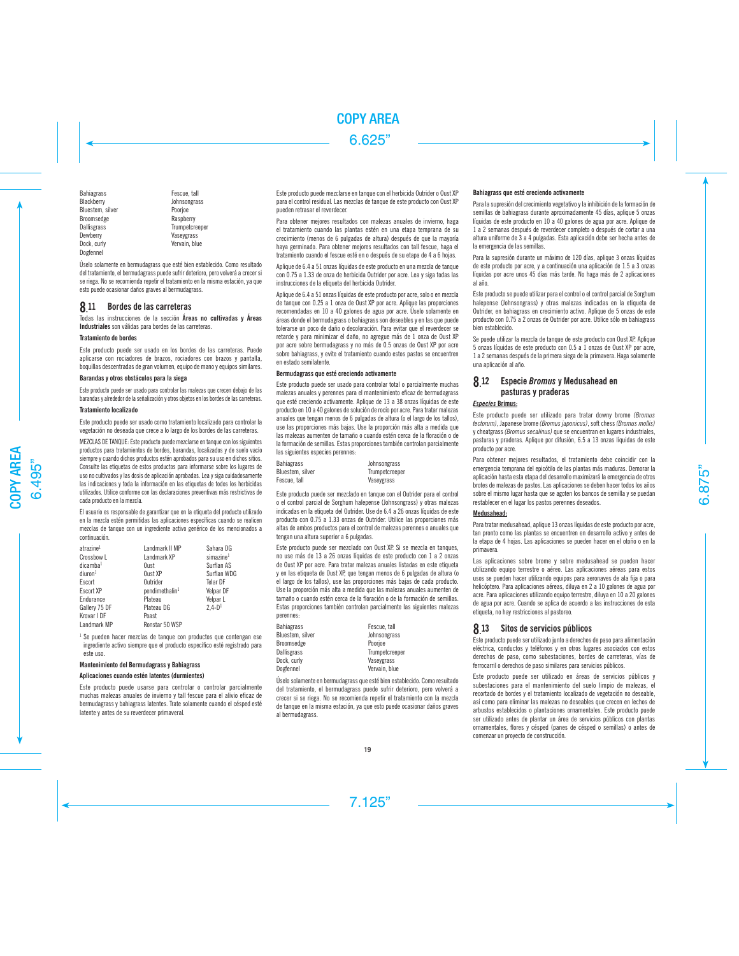Bahiagrass Fescue, tall<br>Blackberry **Fescue**, tall Bluestem, silver Broomsedge Raspberry<br>Dallisgrass Trumpetcro Dallisgrass Trumpetcreeper Dock, curly **Vervain, blue** Dogfennel

Johnsongrass<br>Poorioe Vaseygrass

Úselo solamente en bermudagrass que esté bien establecido. Como resultado del tratamiento, el bermudagrass puede sufrir deterioro, pero volverá a crecer si se riega. No se recomienda repetir el tratamiento en la misma estación, ya que esto puede ocasionar daños graves al bermudagrass.

#### **8.** 11 Bordes de las carreteras

Todas las instrucciones de la sección Áreas no cultivadas y Áreas Industriales son válidas para bordes de las carreteras.

## **Tratamiento de bordes**

Este producto puede ser usado en los bordes de las carreteras. Puede aplicarse con rociadores de brazos, rociadores con brazos y pantalla, boquillas descentradas de gran volumen, equipo de mano y equipos similares.

## **Barandas y otros obstáculos para la siega**

Este producto puede ser usado para controlar las malezas que crecen debajo de las barandas y alrededor de la señalización y otros objetos en los bordes de las carreteras.

#### **Tratamiento localizado**

Este producto puede ser usado como tratamiento localizado para controlar la vegetación no deseada que crece a lo largo de los bordes de las carreteras.

MEZCLAS DE TANQUE: Este producto puede mezclarse en tanque con los siguientes productos para tratamientos de bordes, barandas, localizados y de suelo vacío siempre y cuando dichos productos estén aprobados para su uso en dichos sitios. Consulte las etiquetas de estos productos para informarse sobre los lugares de uso no cultivados y las dosis de aplicación aprobadas. Lea y siga cuidadosamente las indicaciones y toda la información en las etiquetas de todos los herbicidas utilizados. Utilice conforme con las declaraciones preventivas más restrictivas de cada producto en la mezcla.

El usuario es responsable de garantizar que en la etiqueta del producto utilizado en la mezcla estén permitidas las aplicaciones específicas cuando se realicen mezclas de tanque con un ingrediente activo genérico de los mencionados a continuación.

| atrazine <sup>1</sup> | Landmark II MP             | Sahara DG             |
|-----------------------|----------------------------|-----------------------|
| Crossbow L            | Landmark XP                | simazine <sup>1</sup> |
| dicamba <sup>1</sup>  | Oust                       | Surflan AS            |
| diuron <sup>1</sup>   | Oust XP                    | Surflan WDG           |
| Escort                | Outrider                   | <b>Telar DF</b>       |
| Escort XP             | pendimethalin <sup>1</sup> | Velpar DF             |
| Endurance             | Plateau                    | Velpar L              |
| Gallery 75 DF         | Plateau DG                 | $2.4 - D1$            |
| Krovar I DF           | Poast                      |                       |
| Landmark MP           | Ronstar 50 WSP             |                       |

<sup>1</sup> Se pueden hacer mezclas de tanque con productos que contengan ese ingrediente activo siempre que el producto específico esté registrado para este uso.

## **Mantenimiento del Bermudagrass y Bahiagrass**

## **Aplicaciones cuando estén latentes (durmientes)**

Este producto puede usarse para controlar o controlar parcialmente muchas malezas anuales de invierno y tall fescue para el alivio eficaz de bermudagrass y bahiagrass latentes. Trate solamente cuando el césped esté latente y antes de su reverdecer primaveral.

Este producto puede mezclarse en tanque con el herbicida Outrider o Oust XP para el control residual. Las mezclas de tanque de este producto con Oust XP pueden retrasar el reverdecer.

Para obtener mejores resultados con malezas anuales de invierno, haga el tratamiento cuando las plantas estén en una etapa temprana de su crecimiento (menos de 6 pulgadas de altura) después de que la mayoría haya germinado. Para obtener mejores resultados con tall fescue, haga el tratamiento cuando el fescue esté en o después de su etapa de 4 a 6 hojas.

Aplique de 6.4 a 51 onzas líquidas de este producto en una mezcla de tanque con 0.75 a 1.33 de onza de herbicida Outrider por acre. Lea y siga todas las instrucciones de la etiqueta del herbicida Outrider.

Aplique de 6.4 a 51 onzas líquidas de este producto por acre, solo o en mezcla de tanque con 0.25 a 1 onza de Oust XP por acre. Aplique las proporciones recomendadas en 10 a 40 galones de agua por acre. Úselo solamente en áreas donde el bermudagrass o bahiagrass son deseables y en las que puede tolerarse un poco de daño o decoloración. Para evitar que el reverdecer se retarde y para minimizar el daño, no agregue más de 1 onza de Oust XP por acre sobre bermudagrass y no más de 0.5 onzas de Oust XP por acre sobre bahiagrass, y evite el tratamiento cuando estos pastos se encuentren en estado semilatente.

## **Bermudagrass que esté creciendo activamente**

Este producto puede ser usado para controlar total o parcialmente muchas malezas anuales y perennes para el mantenimiento eficaz de bermudagrass que esté creciendo activamente. Aplique de 13 a 38 onzas líquidas de este producto en 10 a 40 galones de solución de rocío por acre. Para tratar malezas anuales que tengan menos de 6 pulgadas de altura (o el largo de los tallos), use las proporciones más bajas. Use la proporción más alta a medida que las malezas aumenten de tamaño o cuando estén cerca de la floración o de la formación de semillas. Estas proporciones también controlan parcialmente las siguientes especies perennes:

| Bahiagrass       | Johnsongrass   |
|------------------|----------------|
| Bluestem, silver | Trumpetcreeper |
| Fescue, tall     | Vaseygrass     |

Este producto puede ser mezclado en tanque con el Outrider para el control o el control parcial de Sorghum halepense (Johnsongrass) y otras malezas indicadas en la etiqueta del Outrider. Use de 6.4 a 26 onzas líquidas de este producto con 0.75 a 1.33 onzas de Outrider. Utilice las proporciones más altas de ambos productos para el control de malezas perennes o anuales que tengan una altura superior a 6 pulgadas.

Este producto puede ser mezclado con Oust XP. Si se mezcla en tanques, no use más de 13 a 26 onzas líquidas de este producto con 1 a 2 onzas de Oust XP por acre. Para tratar malezas anuales listadas en este etiqueta y en las etiqueta de Oust XP, que tengan menos de 6 pulgadas de altura (o el largo de los tallos), use las proporciones más bajas de cada producto. Use la proporción más alta a medida que las malezas anuales aumenten de tamaño o cuando estén cerca de la floración o de la formación de semillas. Estas proporciones también controlan parcialmente las siguientes malezas perennes:

| Bahiagrass       | Fescue, tall   |
|------------------|----------------|
| Bluestem, silver | Johnsongrass   |
| Broomsedge       | Poorioe        |
| Dallisgrass      | Trumpetcreeper |
| Dock, curly      | Vaseygrass     |
| Dogfennel        | Vervain, blue  |

Úselo solamente en bermudagrass que esté bien establecido. Como resultado del tratamiento, el bermudagrass puede sufrir deterioro, pero volverá a crecer si se riega. No se recomienda repetir el tratamiento con la mezcla de tanque en la misma estación, ya que esto puede ocasionar daños graves al bermudagrass.

## **Bahiagrass que esté creciendo activamente**

Para la supresión del crecimiento vegetativo y la inhibición de la formación de semillas de bahiagrass durante aproximadamente 45 días, aplique 5 onzas líquidas de este producto en 10 a 40 galones de agua por acre. Aplique de 1 a 2 semanas después de reverdecer completo o después de cortar a una altura uniforme de 3 a 4 pulgadas. Esta aplicación debe ser hecha antes de la emergencia de las semillas.

Para la supresión durante un máximo de 120 días, aplique 3 onzas líquidas de este producto por acre, y a continuación una aplicación de 1.5 a 3 onzas líquidas por acre unos 45 días más tarde. No haga más de 2 aplicaciones al año.

Este producto se puede utilizar para el control o el control parcial de Sorghum halepense (Johnsongrass) y otras malezas indicadas en la etiqueta de Outrider, en bahiagrass en crecimiento activo. Aplique de 5 onzas de este producto con 0.75 a 2 onzas de Outrider por acre. Utilice sólo en bahiagrass bien establecido.

Se puede utilizar la mezcla de tanque de este producto con Oust XP. Aplique 5 onzas líquidas de este producto con 0.5 a 1 onzas de Oust XP por acre, 1 a 2 semanas después de la primera siega de la primavera. Haga solamente una aplicación al año.

#### **8.12** 12 Especie *Bromus* y Medusahead en pasturas y praderas

## *Especies* **Brimus:**

Este producto puede ser utilizado para tratar downy brome *(Bromus tectorum)*, Japanese brome *(Bromus japonicus)*, soft chess *(Bromus mollis)* y cheatgrass *(Bromus secalinus)* que se encuentran en lugares industriales, pasturas y praderas. Aplique por difusión, 6.5 a 13 onzas líquidas de este producto por acre.

Para obtener mejores resultados, el tratamiento debe coincidir con la emergencia temprana del epicótilo de las plantas más maduras. Demorar la aplicación hasta esta etapa del desarrollo maximizará la emergencia de otros brotes de malezas de pastos. Las aplicaciones se deben hacer todos los años sobre el mismo lugar hasta que se agoten los bancos de semilla y se puedan restablecer en el lugar los pastos perennes deseados.

## **Medusahead:**

Para tratar medusahead, aplique 13 onzas líquidas de este producto por acre, tan pronto como las plantas se encuentren en desarrollo activo y antes de la etapa de 4 hojas. Las aplicaciones se pueden hacer en el otoño o en la primavera.

Las aplicaciones sobre brome y sobre medusahead se pueden hacer utilizando equipo terrestre o aéreo. Las aplicaciones aéreas para estos usos se pueden hacer utilizando equipos para aeronaves de ala fija o para helicóptero. Para aplicaciones aéreas, diluya en 2 a 10 galones de agua por acre. Para aplicaciones utilizando equipo terrestre, diluya en 10 a 20 galones de agua por acre. Cuando se aplica de acuerdo a las instrucciones de esta etiqueta, no hay restricciones al pastoreo.

# 8. 13 Sitos de servicios públicos

Este producto puede ser utilizado junto a derechos de paso para alimentación eléctrica, conductos y teléfonos y en otros lugares asociados con estos derechos de paso, como subestaciones, bordes de carreteras, vías de ferrocarril o derechos de paso similares para servicios públicos.

Este producto puede ser utilizado en áreas de servicios públicos y subestaciones para el mantenimiento del suelo limpio de malezas, el recortado de bordes y el tratamiento localizado de vegetación no deseable, así como para eliminar las malezas no deseables que crecen en lechos de arbustos establecidos o plantaciones ornamentales. Este producto puede ser utilizado antes de plantar un área de servicios públicos con plantas ornamentales, flores y césped (panes de césped o semillas) o antes de comenzar un proyecto de construcción.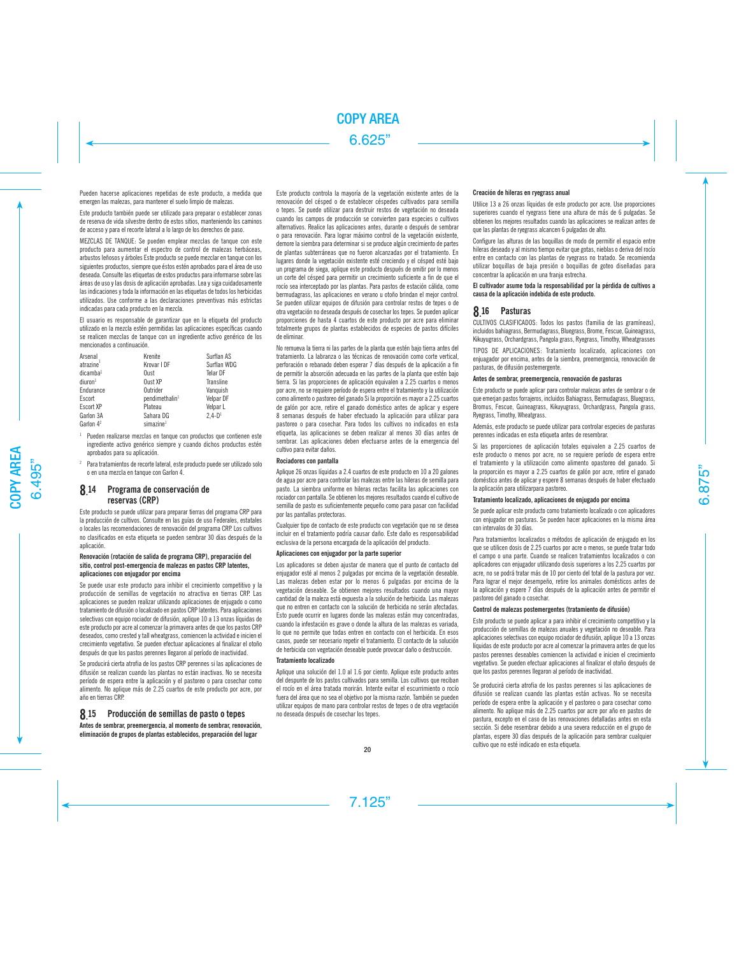Pueden hacerse aplicaciones repetidas de este producto, a medida que emergen las malezas, para mantener el suelo limpio de malezas.

Este producto también puede ser utilizado para preparar o establecer zonas de reserva de vida silvestre dentro de estos sitios, manteniendo los caminos de acceso y para el recorte lateral a lo largo de los derechos de paso.

MEZCLAS DE TANQUE: Se pueden emplear mezclas de tanque con este producto para aumentar el espectro de control de malezas herbáceas, arbustos leñosos y árboles Este producto se puede mezclar en tanque con los siguientes productos, siempre que éstos estén aprobados para el área de uso deseada. Consulte las etiquetas de estos productos para informarse sobre las áreas de uso y las dosis de aplicación aprobadas. Lea y siga cuidadosamente las indicaciones y toda la información en las etiquetas de todos los herbicidas utilizados. Use conforme a las declaraciones preventivas más estrictas indicadas para cada producto en la mezcla.

El usuario es responsable de garantizar que en la etiqueta del producto utilizado en la mezcla estén permitidas las aplicaciones específicas cuando se realicen mezclas de tanque con un ingrediente activo genérico de los mencionados a continuación.

| Arsenal               | Krenite                    | Surflan AS  |
|-----------------------|----------------------------|-------------|
| atrazine              | Krovar I DF                | Surflan WDG |
| dicamba <sup>1</sup>  | Oust                       | Telar DF    |
| diuron <sup>1</sup>   | Oust XP                    | Transline   |
| Endurance             | Outrider                   | Vanquish    |
| Escort                | pendimethalin <sup>1</sup> | Velpar DF   |
| Escort XP             | Plateau                    | Velpar L    |
| Garlon 3A             | Sahara DG                  | $2.4 - D1$  |
| Garlon 4 <sup>2</sup> | simazine <sup>1</sup>      |             |

<sup>1</sup> Pueden realizarse mezclas en tanque con productos que contienen este ingrediente activo genérico siempre y cuando dichos productos estén aprobados para su aplicación.

<sup>2</sup> Para tratamientos de recorte lateral, este producto puede ser utilizado solo o en una mezcla en tanque con Garlon 4.

#### 8.14 14 Programa de conservación de reservas (CRP)

Este producto se puede utilizar para preparar tierras del programa CRP para la producción de cultivos. Consulte en las guías de uso Federales, estatales o locales las recomendaciones de renovación del programa CRP. Los cultivos no clasificados en esta etiqueta se pueden sembrar 30 días después de la aplicación.

#### **Renovación (rotación de salida de programa CRP), preparación del sitio, control post-emergencia de malezas en pastos CRP latentes, aplicaciones con enjugador por encima**

Se puede usar este producto para inhibir el crecimiento competitivo y la producción de semillas de vegetación no atractiva en tierras CRP. Las aplicaciones se pueden realizar utilizando aplicaciones de enjugado o como tratamiento de difusión o localizado en pastos CRP latentes. Para aplicaciones selectivas con equipo rociador de difusión, aplique 10 a 13 onzas líquidas de este producto por acre al comenzar la primavera antes de que los pastos CRP deseados, como crested y tall wheatgrass, comiencen la actividad e inicien el crecimiento vegetativo. Se pueden efectuar aplicaciones al finalizar el otoño después de que los pastos perennes llegaron al período de inactividad.

Se producirá cierta atrofia de los pastos CRP perennes si las aplicaciones de difusión se realizan cuando las plantas no están inactivas. No se necesita período de espera entre la aplicación y el pastoreo o para cosechar como alimento. No aplique más de 2.25 cuartos de este producto por acre, por año en tierras CRP.

#### **8.** 15 Producción de semillas de pasto o tepes

**Antes de sembrar, preemergencia, al momento de sembrar, renovación, eliminación de grupos de plantas establecidos, preparación del lugar**

Este producto controla la mayoría de la vegetación existente antes de la renovación del césped o de establecer céspedes cultivados para semilla o tepes. Se puede utilizar para destruir restos de vegetación no deseada cuando los campos de producción se convierten para especies o cultivos alternativos. Realice las aplicaciones antes, durante o después de sembrar o para renovación. Para lograr máximo control de la vegetación existente, demore la siembra para determinar si se produce algún crecimiento de partes de plantas subterráneas que no fueron alcanzadas por el tratamiento. En lugares donde la vegetación existente esté creciendo y el césped esté bajo un programa de siega, aplique este producto después de omitir por lo menos un corte del césped para permitir un crecimiento suficiente a fin de que el rocío sea interceptado por las plantas. Para pastos de estación cálida, como bermudagrass, las aplicaciones en verano u otoño brindan el mejor control. Se pueden utilizar equipos de difusión para controlar restos de tepes o de otra vegetación no deseada después de cosechar los tepes. Se pueden aplicar proporciones de hasta 4 cuartos de este producto por acre para eliminar totalmente grupos de plantas establecidos de especies de pastos difíciles de eliminar.

No remueva la tierra ni las partes de la planta que estén bajo tierra antes del tratamiento. La labranza o las técnicas de renovación como corte vertical, perforación o rebanado deben esperar 7 días después de la aplicación a fin de permitir la absorción adecuada en las partes de la planta que estén bajo tierra. Si las proporciones de aplicación equivalen a 2.25 cuartos o menos por acre, no se requiere período de espera entre el tratamiento y la utilización como alimento o pastoreo del ganado Si la proporción es mayor a 2.25 cuartos de galón por acre, retire el ganado doméstico antes de aplicar y espere 8 semanas después de haber efectuado la aplicación para utilizar para pastoreo o para cosechar. Para todos los cultivos no indicados en esta etiqueta, las aplicaciones se deben realizar al menos 30 días antes de sembrar. Las aplicaciones deben efectuarse antes de la emergencia del cultivo para evitar daños.

#### **Rociadores con pantalla**

Aplique 26 onzas líquidas a 2.4 cuartos de este producto en 10 a 20 galones de agua por acre para controlar las malezas entre las hileras de semilla para pasto. La siembra uniforme en hileras rectas facilita las aplicaciones con rociador con pantalla. Se obtienen los mejores resultados cuando el cultivo de semilla de pasto es suficientemente pequeño como para pasar con facilidad por las pantallas protectoras.

Cualquier tipo de contacto de este producto con vegetación que no se desea incluir en el tratamiento podría causar daño. Este daño es responsabilidad exclusiva de la persona encargada de la aplicación del producto.

#### **Aplicaciones con enjugador por la parte superior**

Los aplicadores se deben ajustar de manera que el punto de contacto del enjugador esté al menos 2 pulgadas por encima de la vegetación deseable. Las malezas deben estar por lo menos 6 pulgadas por encima de la vegetación deseable. Se obtienen mejores resultados cuando una mayor cantidad de la maleza está expuesta a la solución de herbicida. Las malezas que no entren en contacto con la solución de herbicida no serán afectadas. Esto puede ocurrir en lugares donde las malezas están muy concentradas, cuando la infestación es grave o donde la altura de las malezas es variada, lo que no permite que todas entren en contacto con el herbicida. En esos casos, puede ser necesario repetir el tratamiento. El contacto de la solución de herbicida con vegetación deseable puede provocar daño o destrucción.

#### **Tratamiento localizado**

Aplique una solución del 1.0 al 1.6 por ciento. Aplique este producto antes del despunte de los pastos cultivados para semilla. Los cultivos que reciban el rocío en el área tratada morirán. Intente evitar el escurrimiento o rocío fuera del área que no sea el objetivo por la misma razón. También se pueden utilizar equipos de mano para controlar restos de tepes o de otra vegetación no deseada después de cosechar los tepes.

### **Creación de hileras en ryegrass anual**

Utilice 13 a 26 onzas líquidas de este producto por acre. Use proporciones superiores cuando el ryegrass tiene una altura de más de 6 pulgadas. Se obtienen los mejores resultados cuando las aplicaciones se realizan antes de que las plantas de ryegrass alcancen 6 pulgadas de alto.

Configure las alturas de las boquillas de modo de permitir el espacio entre hileras deseado y al mismo tiempo evitar que gotas, nieblas o deriva del rocío entre en contacto con las plantas de ryegrass no tratado. Se recomienda utilizar boquillas de baja presión o boquillas de goteo diseñadas para concentrar la aplicación en una franja estrecha.

El cultivador asume toda la responsabilidad por la pérdida de cultivos a causa de la aplicación indebida de este producto.

# 8. 16 Pasturas

CULTIVOS CLASIFICADOS: Todos los pastos (familia de las gramíneas), incluidos bahiagrass, Bermudagrass, Bluegrass, Brome, Fescue, Guineagrass, Kikuyugrass, Orchardgrass, Pangola grass, Ryegrass, Timothy, Wheatgrasses

TIPOS DE APLICACIONES: Tratamiento localizado, aplicaciones con enjuagador por encima, antes de la siembra, preemergencia, renovación de pasturas, de difusión postemergente.

#### **Antes de sembrar, preemergencia, renovación de pasturas**

Este producto se puede aplicar para controlar malezas antes de sembrar o de que emerjan pastos forrajeros, incluidos Bahiagrass, Bermudagrass, Bluegrass, Bromus, Fescue, Guineagrass, Kikuyugrass, Orchardgrass, Pangola grass, Ryegrass, Timothy, Wheatgrass.

Además, este producto se puede utilizar para controlar especies de pasturas perennes indicadas en esta etiqueta antes de resembrar.

Si las proporciones de aplicación totales equivalen a 2.25 cuartos de este producto o menos por acre, no se requiere período de espera entre el tratamiento y la utilización como alimento opastoreo del ganado. Si la proporción es mayor a 2.25 cuartos de galón por acre, retire el ganado doméstico antes de aplicar y espere 8 semanas después de haber efectuado la aplicación para utilizarpara pastoreo.

## **Tratamiento localizado, aplicaciones de enjugado por encima**

Se puede aplicar este producto como tratamiento localizado o con aplicadores con enjugador en pasturas. Se pueden hacer aplicaciones en la misma área con intervalos de 30 días.

Para tratamientos localizados o métodos de aplicación de enjugado en los que se utilicen dosis de 2.25 cuartos por acre o menos, se puede tratar todo el campo o una parte. Cuando se realicen tratamientos localizados o con aplicadores con enjugador utilizando dosis superiores a los 2.25 cuartos por acre, no se podrá tratar más de 10 por ciento del total de la pastura por vez. Para lograr el mejor desempeño, retire los animales domésticos antes de la aplicación y espere 7 días después de la aplicación antes de permitir el pastoreo del ganado o cosechar.

## **Control de malezas postemergentes (tratamiento de difusión)**

Este producto se puede aplicar a para inhibir el crecimiento competitivo y la producción de semillas de malezas anuales y vegetación no deseable. Para aplicaciones selectivas con equipo rociador de difusión, aplique 10 a 13 onzas líquidas de este producto por acre al comenzar la primavera antes de que los pastos perennes deseables comiencen la actividad e inicien el crecimiento vegetativo. Se pueden efectuar aplicaciones al finalizar el otoño después de que los pastos perennes llegaron al período de inactividad.

Se producirá cierta atrofia de los pastos perennes si las aplicaciones de difusión se realizan cuando las plantas están activas. No se necesita período de espera entre la aplicación y el pastoreo o para cosechar como alimento. No aplique más de 2.25 cuartos por acre por año en pastos de pastura, excepto en el caso de las renovaciones detalladas antes en esta sección. Si debe resembrar debido a una severa reducción en el grupo de plantas, espere 30 días después de la aplicación para sembrar cualquier cultivo que no esté indicado en esta etiqueta.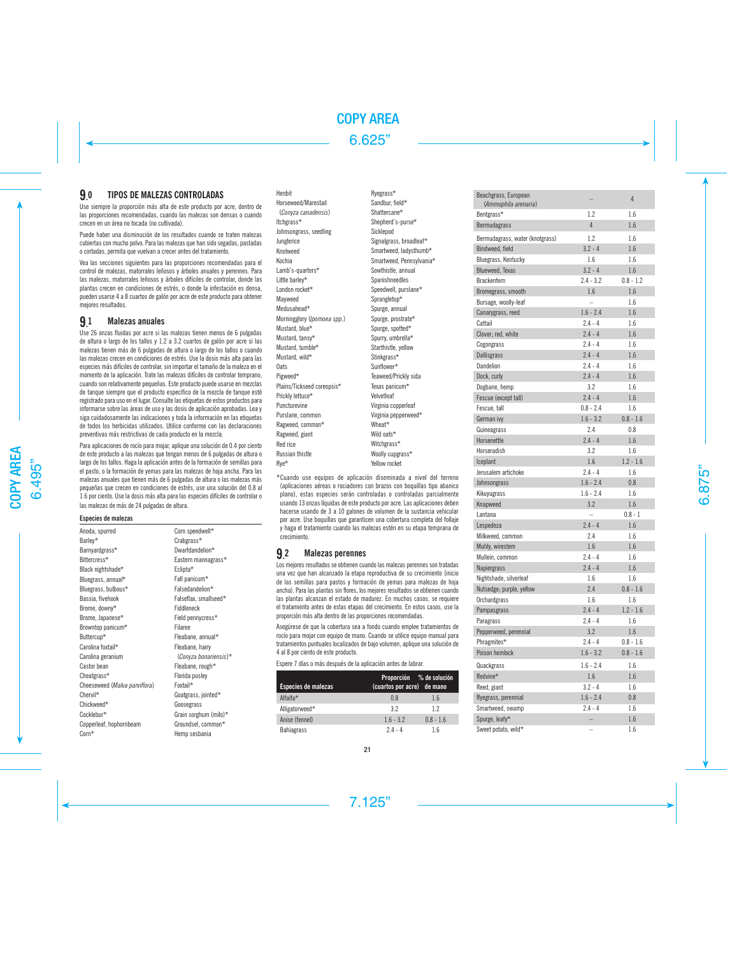## TIPOS DE MALEZAS CONTROLADAS

9. Use siempre la proporción más alta de este producto por acre, dentro de las proporciones recomendadas, cuando las malezas son densas o cuando crecen en un área no tocada (no cultivada).

Puede haber una disminución de los resultados cuando se traten malezas cubiertas con mucho polvo. Para las malezas que han sido segadas, pastadas o cortadas, permita que vuelvan a crecer antes del tratamiento.

Vea las secciones siguientes para las proporciones recomendadas para el control de malezas, matorrales leñosos y árboles anuales y perennes. Para las malezas, matorrales leñosos y árboles difíciles de controlar, donde las plantas crecen en condiciones de estrés, o donde la infestación es densa, pueden usarse 4 a 8 cuartos de galón por acre de este producto para obtener mejores resultados.

#### 9. Malezas anuales

Use 26 onzas fluidas por acre si las malezas tienen menos de 6 pulgadas de altura o largo de los tallos y 1.2 a 3.2 cuartos de galón por acre si las malezas tienen más de 6 pulgadas de altura o largo de los tallos o cuando las malezas crecen en condiciones de estrés. Use la dosis más alta para las especies más difíciles de controlar, sin importar el tamaño de la maleza en el momento de la aplicación. Trate las malezas difíciles de controlar temprano, cuando son relativamente pequeñas. Este producto puede usarse en mezclas de tanque siempre que el producto específico de la mezcla de tanque esté registrado para uso en el lugar. Consulte las etiquetas de estos productos para informarse sobre las áreas de uso y las dosis de aplicación aprobadas. Lea y siga cuidadosamente las indicaciones y toda la información en las etiquetas de todos los herbicidas utilizados. Utilice conforme con las declaraciones preventivas más restrictivas de cada producto en la mezcla.

Para aplicaciones de rocío para mojar, aplique una solución de 0.4 por ciento de este producto a las malezas que tengan menos de 6 pulgadas de altura o largo de los tallos. Haga la aplicación antes de la formación de semillas para el pasto, o la formación de yemas para las malezas de hoja ancha. Para las malezas anuales que tienen más de 6 pulgadas de altura o las malezas más pequeñas que crecen en condiciones de estrés, use una solución del 0.8 al 1.6 por ciento. Use la dosis más alta para las especies difíciles de controlar o las malezas de más de 24 pulgadas de altura.

## **Especies de malezas**

| Anoda, spurred                | Corn speedwell*       |
|-------------------------------|-----------------------|
| Barley*                       | Crabgrass*            |
| Barnyardgrass*                | Dwarfdandelion*       |
| Rittercress*                  | Eastern mannagrass*   |
| Black nightshade*             | Eclipta*              |
| Bluegrass, annual*            | Fall panicum*         |
| Bluegrass, bulbous*           | Falsedandelion*       |
| Bassia, fivehook              | Falseflax, smallseed* |
| Brome, downy*                 | Fiddleneck            |
| Brome, Japanese*              | Field pennycress*     |
| Browntop panicum*             | Filaree               |
| Buttercup*                    | Fleabane, annual*     |
| Carolina foxtail*             | Fleabane, hairy       |
| Carolina geranium             | (Conyza bonariensis)* |
| Castor bean                   | Fleabane, rough*      |
| Cheatgrass*                   | Florida pusley        |
| Cheeseweed (Malva parviflora) | Foxtail*              |
| Chervil*                      | Goatgrass, jointed*   |
| Chickweed*                    | Goosegrass            |
| Cocklebur*                    | Grain sorghum (milo)* |
| Copperleaf, hophornbeam       | Groundsel, common*    |
| $Corn*$                       | Hemp sesbania         |

Horseweed/Marestail (*Conyza canadensis*) Itchgrass\* Johnsongrass, seedling Junglerice Knotweed Kochia Lamb's-quarters\* Little barley\* London rocket\* Mayweed Medusahead\* Morningglory (*Ipomoea spp.*) Mustard, blue\* Mustard, tansy\* Mustard, tumble\* Mustard, wild\* **Oats** Pigweed\* Plains/Tickseed coreopsis\* Prickly lettuce\* Puncturevine Purslane, common Ragweed, common\* Ragweed, giant Red rice Russian thistle Rye\*

Henbit

Ryegrass\* Sandbur, field\* Shattercane\* Shepherd's-purse\* Sicklepod Signalgrass, broadleaf\* Smartweed, ladysthumb\* Smartweed, Pennsylvania\* Sowthistle, annual Spanishneedles Speedwell, purslane\* Sprangletop\* Spurge, annual Spurge, prostrate\* Spurge, spotted\* Spurry, umbrella\* Starthistle, yellow Stinkgrass\* Sunflower\* Teaweed/Prickly sida Texas panicum\* Velvetleaf Virginia copperleaf Virginia pepperweed\* Wheat\* Wild oats\* Witchgrass\* Woolly cupgrass\* Yellow rocket

\*Cuando use equipos de aplicación diseminada a nivel del terreno (aplicaciones aéreas o rociadores con brazos con boquillas tipo abanico plano), estas especies serán controladas o controladas parcialmente usando 13 onzas líquidas de este producto por acre. Las aplicaciones deben hacerse usando de 3 a 10 galones de volumen de la sustancia vehicular por acre. Use boquillas que garanticen una cobertura completa del follaje y haga el tratamiento cuando las malezas estén en su etapa temprana de crecimiento.

#### 9. Malezas perennes

Los mejores resultados se obtienen cuando las malezas perennes son tratadas una vez que han alcanzado la etapa reproductiva de su crecimiento (inicio de las semillas para pastos y formación de yemas para malezas de hoja ancha). Para las plantas sin flores, los mejores resultados se obtienen cuando las plantas alcanzan el estado de madurez. En muchos casos, se requiere el tratamiento antes de estas etapas del crecimiento. En estos casos, use la proporción más alta dentro de las proporciones recomendadas.

Asegúrese de que la cobertura sea a fondo cuando emplee tratamientos de rocío para mojar con equipo de mano. Cuando se utilice equipo manual para tratamientos puntuales localizados de bajo volumen, aplique una solución de 4 al 8 por ciento de este producto.

Espere 7 días o más después de la aplicación antes de labrar.

| Especies de malezas | Proporción % de solución<br>(cuartos por acre) de mano |             |
|---------------------|--------------------------------------------------------|-------------|
| Alfalfa*            | 0.8                                                    | 1.6         |
| Alligatorweed*      | 32                                                     | 12          |
| Anise (fennel)      | $1.6 - 3.2$                                            | $0.8 - 1.6$ |
| <b>Bahiagrass</b>   | $24 - 4$                                               | 1.6         |

| Beachgrass, European               |             | 4           |
|------------------------------------|-------------|-------------|
| (Ammophila arenaria)<br>Bentgrass* | 1.2         | 1.6         |
| Bermudagrass                       | 4           | 1.6         |
| Bermudagrass, water (knotgrass)    | 1.2         | 1.6         |
|                                    | $3.2 - 4$   | 1.6         |
| Bindweed, field                    |             | 1.6         |
| Bluegrass, Kentucky                | 1.6         |             |
| Blueweed, Texas                    | $3.2 - 4$   | 1.6         |
| Brackenfern                        | $2.4 - 3.2$ | $0.8 - 1.2$ |
| Bromegrass, smooth                 | 1.6         | 1.6         |
| Bursage, woolly-leaf               |             | 1.6         |
| Canarygrass, reed                  | $1.6 - 2.4$ | 1.6         |
| Cattail                            | $2.4 - 4$   | 1.6         |
| Clover; red, white                 | $2.4 - 4$   | 1.6         |
| Cogongrass                         | $2.4 - 4$   | 1.6         |
| Dallisgrass                        | $2.4 - 4$   | 1.6         |
| Dandelion                          | $2.4 - 4$   | 1.6         |
| Dock, curly                        | $2.4 - 4$   | 1.6         |
| Dogbane, hemp                      | 3.2         | 1.6         |
| Fescue (except tall)               | $2.4 - 4$   | 1.6         |
| Fescue, tall                       | $0.8 - 2.4$ | 1.6         |
| German ivy                         | $1.6 - 3.2$ | $0.8 - 1.6$ |
| Guineagrass                        | 2.4         | 0.8         |
| Horsenettle                        | $2.4 - 4$   | 1.6         |
| Horseradish                        | 3.2         | 1.6         |
| Iceplant                           | 1.6         | $1.2 - 1.6$ |
| Jerusalem artichoke                | $2.4 - 4$   | 1.6         |
| Johnsongrass                       | $1.6 - 2.4$ | 0.8         |
| Kikuyugrass                        | $1.6 - 2.4$ | 1.6         |
| Knapweed                           | 3.2         | 1.6         |
| Lantana                            | L.          | $0.8 - 1$   |
| Lespedeza                          | $2.4 - 4$   | 1.6         |
| Milkweed, common                   | 2.4         | 1.6         |
| Muhly, wirestem                    | 1.6         | 1.6         |
| Mullein, common                    | $2.4 - 4$   | 1.6         |
| Napiergrass                        | $2.4 - 4$   | 1.6         |
| Nightshade, silverleaf             | 1.6         | 1.6         |
| Nutsedge; purple, yellow           | 2.4         | $0.8 - 1.6$ |
| Orchardgrass                       | 1.6         | 1.6         |
| Pampasgrass                        | $2.4 - 4$   | $1.2 - 1.6$ |
| Paragrass                          | $2.4 - 4$   | 1.6         |
| Pepperweed, perennial              | 3.2         | 1.6         |
| Phragmites*                        | $2.4 - 4$   | $0.8 - 1.6$ |
| Poison hemlock                     | $1.6 - 3.2$ | $0.8 - 1.6$ |
| Quackgrass                         | $1.6 - 2.4$ | 1.6         |
| Redvine*                           | 1.6         | 1.6         |
| Reed, giant                        | $3.2 - 4$   | 1.6         |
| Ryegrass, perennial                | $1.6 - 2.4$ | 0.8         |
| Smartweed, swamp                   | $2.4 - 4$   | 1.6         |
| Spurge, leafy*                     | -           | 1.6         |
| Sweet potato, wild*                |             | 1.6         |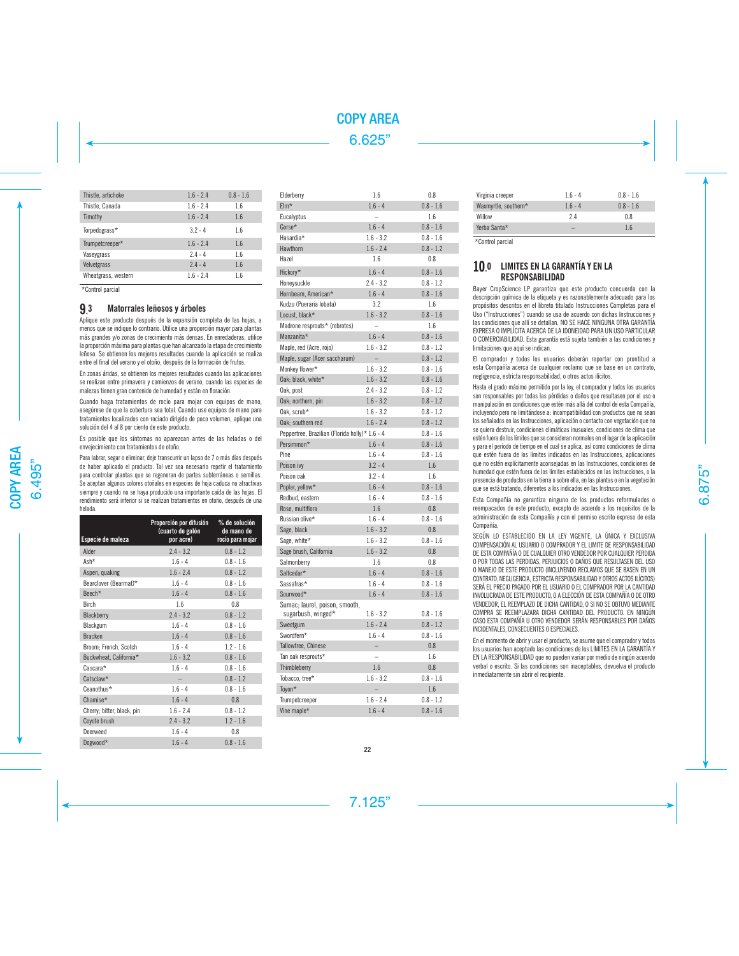| Thistle, artichoke  | $1.6 - 2.4$ | $0.8 - 1.6$ |
|---------------------|-------------|-------------|
| Thistle, Canada     | $1.6 - 2.4$ | 1.6         |
| Timothy             | $1.6 - 2.4$ | 1.6         |
| Torpedograss*       | $32 - 4$    | 1.6         |
| Trumpetcreeper*     | $1.6 - 2.4$ | 1.6         |
| Vaseygrass          | $2.4 - 4$   | 1.6         |
| Velvetgrass         | $24 - 4$    | 1.6         |
| Wheatgrass, western | $1.6 - 2.4$ | 1.6         |

\*Control parcial

#### **9.** Matorrales leñosos y árboles

Aplique este producto después de la expansión completa de las hojas, a menos que se indique lo contrario. Utilice una proporción mayor para plantas más grandes y/o zonas de crecimiento más densas. En enredaderas, utilice la proporción máxima para plantas que han alcanzado la etapa de crecimiento leñoso. Se obtienen los mejores resultados cuando la aplicación se realiza entre el final del verano y el otoño, después de la formación de frutos.

En zonas áridas, se obtienen los mejores resultados cuando las aplicaciones se realizan entre primavera y comienzos de verano, cuando las especies de malezas tienen gran contenido de humedad y están en floración.

Cuando haga tratamientos de rocío para mojar con equipos de mano, asegúrese de que la cobertura sea total. Cuando use equipos de mano para tratamientos localizados con rociado dirigido de poco volumen, aplique una solución del 4 al 8 por ciento de este producto.

Es posible que los síntomas no aparezcan antes de las heladas o del envejecimiento con tratamientos de otoño.

Para labrar, segar o eliminar, deje transcurrir un lapso de 7 o más días después de haber aplicado el producto. Tal vez sea necesario repetir el tratamiento para controlar plantas que se regeneran de partes subterráneas o semillas. Se aceptan algunos colores otoñales en especies de hoja caduca no atractivas siempre y cuando no se haya producido una importante caída de las hojas. El rendimiento será inferior si se realizan tratamientos en otoño, después de una helada.

| Especie de maleza          | Proporción por difusión<br>(cuarto de galón<br>por acre) | % de solución<br>de mano de<br>rocío para mojar |
|----------------------------|----------------------------------------------------------|-------------------------------------------------|
| Alder                      | $2.4 - 3.2$                                              | $0.8 - 1.2$                                     |
| Ash*                       | $1.6 - 4$                                                | $0.8 - 1.6$                                     |
| Aspen, quaking             | $1.6 - 2.4$                                              | $0.8 - 1.2$                                     |
| Bearclover (Bearmat)*      | $1.6 - 4$                                                | $0.8 - 1.6$                                     |
| Beech*                     | $1.6 - 4$                                                | $0.8 - 1.6$                                     |
| <b>Birch</b>               | 1.6                                                      | 0.8                                             |
| Blackberry                 | $2.4 - 3.2$                                              | $0.8 - 1.2$                                     |
| Blackgum                   | $1.6 - 4$                                                | $0.8 - 1.6$                                     |
| <b>Bracken</b>             | $1.6 - 4$                                                | $0.8 - 1.6$                                     |
| Broom; French, Scotch      | $1.6 - 4$                                                | $1.2 - 1.6$                                     |
| Buckwheat, California*     | $1.6 - 3.2$                                              | $0.8 - 1.6$                                     |
| Cascara*                   | $1.6 - 4$                                                | $0.8 - 1.6$                                     |
| Catsclaw*                  |                                                          | $0.8 - 1.2$                                     |
| Ceanothus*                 | $1.6 - 4$                                                | $0.8 - 1.6$                                     |
| Chamise*                   | $1.6 - 4$                                                | 0.8                                             |
| Cherry; bitter, black, pin | $1.6 - 2.4$                                              | $0.8 - 1.2$                                     |
| Coyote brush               | $2.4 - 3.2$                                              | $1.2 - 1.6$                                     |
| Deerweed                   | $1.6 - 4$                                                | 0.8                                             |
| Dogwood*                   | $1.6 - 4$                                                | $0.8 - 1.6$                                     |

| Elderberry                                     | 1.6                      | 0.8         |
|------------------------------------------------|--------------------------|-------------|
| $EIm*$                                         | $1.6 - 4$                | $0.8 - 1.6$ |
| Eucalyptus                                     |                          | 1.6         |
| Gorse*                                         | $1.6 - 4$                | $0.8 - 1.6$ |
| Hasardia*                                      | $1.6 - 3.2$              | $0.8 - 1.6$ |
| Hawthorn                                       | $1.6 - 2.4$              | $0.8 - 1.2$ |
| Hazel                                          | 1.6                      | 0.8         |
| Hickorv*                                       | $1.6 - 4$                | $0.8 - 1.6$ |
| Honeysuckle                                    | $2.4 - 3.2$              | $0.8 - 1.2$ |
| Hornbeam, American*                            | $1.6 - 4$                | $0.8 - 1.6$ |
| Kudzu (Pueraria lobata)                        | 3.2                      | 1.6         |
| Locust, black*                                 | $1.6 - 3.2$              | $0.8 - 1.6$ |
| Madrone resprouts* (rebrotes)                  | $\equiv$                 | 1.6         |
| Manzanita*                                     | $1.6 - 4$                | $0.8 - 1.6$ |
| Maple, red (Acre, rojo)                        | $1.6 - 3.2$              | $0.8 - 1.2$ |
| Maple, sugar (Acer saccharum)                  |                          | $0.8 - 1.2$ |
| Monkey flower*                                 | $1.6 - 3.2$              | $0.8 - 1.6$ |
| Oak; black, white*                             | $1.6 - 3.2$              | $0.8 - 1.6$ |
| Oak, post                                      | $2.4 - 3.2$              | $0.8 - 1.2$ |
| Oak; northern, pin                             | $1.6 - 3.2$              | $0.8 - 1.2$ |
| Oak. scrub*                                    | $1.6 - 3.2$              | $0.8 - 1.2$ |
| Oak; southern red                              | $1.6 - 2.4$              | $0.8 - 1.2$ |
| Peppertree, Brazilian (Florida holly)* 1.6 - 4 |                          | $0.8 - 1.6$ |
| Persimmon*                                     | $1.6 - 4$                | $0.8 - 1.6$ |
| Pine                                           | $1.6 - 4$                | $0.8 - 1.6$ |
| Poison ivy                                     | $3.2 - 4$                | 1.6         |
| Poison oak                                     | $3.2 - 4$                | 1.6         |
| Poplar, yellow*                                | $1.6 - 4$                | $0.8 - 1.6$ |
| Redbud, eastern                                | $1.6 - 4$                | $0.8 - 1.6$ |
| Rose, multiflora                               | 1.6                      | 0.8         |
| Russian olive*                                 | $1.6 - 4$                | $0.8 - 1.6$ |
| Sage, black                                    | $1.6 - 3.2$              | 0.8         |
| Sage, white*                                   | $1.6 - 3.2$              | $0.8 - 1.6$ |
| Sage brush, California                         | $1.6 - 3.2$              | 0.8         |
| Salmonberry                                    | 1.6                      | 0.8         |
| Saltcedar*                                     | $1.6 - 4$                | $0.8 - 1.6$ |
| Sassafras*                                     | $1.6 - 4$                | $0.8 - 1.6$ |
| Sourwood*                                      | $1.6 - 4$                | $0.8 - 1.6$ |
| Sumac; laurel, poison, smooth,                 |                          |             |
| sugarbush, winged*                             | $1.6 - 3.2$              | $0.8 - 1.6$ |
| Sweetgum                                       | $1.6 - 2.4$              | $0.8 - 1.2$ |
| Swordfern*                                     | $1.6 - 4$                | $0.8 - 1.6$ |
| Tallowtree, Chinese                            | $\overline{\phantom{0}}$ | 0.8         |
| Tan oak resprouts*                             | $\overline{a}$           | 1.6         |
| Thimbleberry                                   | 1.6                      | 0.8         |
| Tobacco, tree*                                 | $1.6 - 3.2$              | $0.8 - 1.6$ |
| Toyon*                                         |                          | 1.6         |
| Trumpetcreeper                                 | $1.6 - 2.4$              | $0.8 - 1.2$ |
| Vine maple*                                    | $1.6 - 4$                | $0.8 - 1.6$ |

| Virginia creeper     | $1.6 - 4$ | $0.8 - 1.6$ |
|----------------------|-----------|-------------|
| Waxmyrtle, southern* | $1.6 - 4$ | $0.8 - 1.6$ |
| Willow               | 2.4       | 0.8         |
| Yerba Santa*         | -         | 1.6         |

\*Control parcial

## 10. 0 LIMITES EN LA GARANTÍA Y EN LA RESPONSABILIDAD

Bayer CropScience LP garantiza que este producto concuerda con la descripción química de la etiqueta y es razonablemente adecuado para los propósitos descritos en el libreto titulado Instrucciones Completas para el Uso ("Instrucciones") cuando se usa de acuerdo con dichas Instrucciones y las condiciones que allí se detallan. NO SE HACE NINGUNA OTRA GARANTÍA EXPRESA O IMPLÍCITA ACERCA DE LA IDONEIDAD PARA UN USO PARTICULAR O COMERCIABILIDAD. Esta garantía está sujeta también a las condiciones y limitaciones que aquí se indican.

El comprador y todos los usuarios deberán reportar con prontitud a esta Compañía acerca de cualquier reclamo que se base en un contrato, negligencia, estricta responsabilidad, o otros actos ilícitos.

Hasta el grado máximo permitido por la ley, el comprador y todos los usuarios son responsables por todas las pérdidas o daños que resultasen por el uso o manipulación en condiciones que estén más allá del control de esta Compañía, incluyendo pero no limitándose a: incompatibilidad con productos que no sean los señalados en las Instrucciones, aplicación o contacto con vegetación que no se quiera destruir, condiciones climáticas inusuales, condiciones de clima que estén fuera de los límites que se consideran normales en el lugar de la aplicación y para el período de tiempo en el cual se aplica, así como condiciones de clima que estén fuera de los límites indicados en las Instrucciones, aplicaciones que no estén explícitamente aconsejadas en las Instrucciones, condiciones de humedad que estén fuera de los límites establecidos en las Instrucciones, o la presencia de productos en la tierra o sobre ella, en las plantas o en la vegetación que se está tratando, diferentes a los indicados en las Instrucciones.

Esta Compañía no garantiza ninguno de los productos reformulados o reempacados de este producto, excepto de acuerdo a los requisitos de la administración de esta Compañía y con el permiso escrito expreso de esta Compañía.

SEGÚN LO ESTABLECIDO EN LA LEY VIGENTE, LA ÚNICA Y EXCLUSIVA COMPENSACIÓN AL USUARIO O COMPRADOR Y EL LIMITE DE RESPONSABILIDAD DE ESTA COMPAÑÍA O DE CUALQUIER OTRO VENDEDOR POR CUALQUIER PERDIDA O POR TODAS LAS PERDIDAS, PERJUICIOS O DAÑOS QUE RESULTASEN DEL USO O MANEJO DE ESTE PRODUCTO (INCLUYENDO RECLAMOS QUE SE BASEN EN UN CONTRATO, NEGLIGENCIA, ESTRICTA RESPONSABILIDAD Y OTROS ACTOS ILÍCITOS) SERÁ EL PRECIO PAGADO POR EL USUARIO O EL COMPRADOR POR LA CANTIDAD INVOLUCRADA DE ESTE PRODUCTO, O A ELECCIÓN DE ESTA COMPAÑÍA O DE OTRO VENDEDOR, EL REEMPLAZO DE DICHA CANTIDAD, O SI NO SE OBTUVO MEDIANTE COMPRA SE REEMPLAZARA DICHA CANTIDAD DEL PRODUCTO. EN NINGÚN CASO ESTA COMPAÑÍA U OTRO VENDEDOR SERÁN RESPONSABLES POR DAÑOS INCIDENTALES, CONSECUENTES O ESPECIALES.

En el momento de abrir y usar el producto, se asume que el comprador y todos los usuarios han aceptado las condiciones de los LIMITES EN LA GARANTÍA Y EN LA RESPONSABILIDAD que no pueden variar por medio de ningún acuerdo verbal o escrito. Si las condiciones son inaceptables, devuelva el producto inmediatamente sin abrir el recipiente.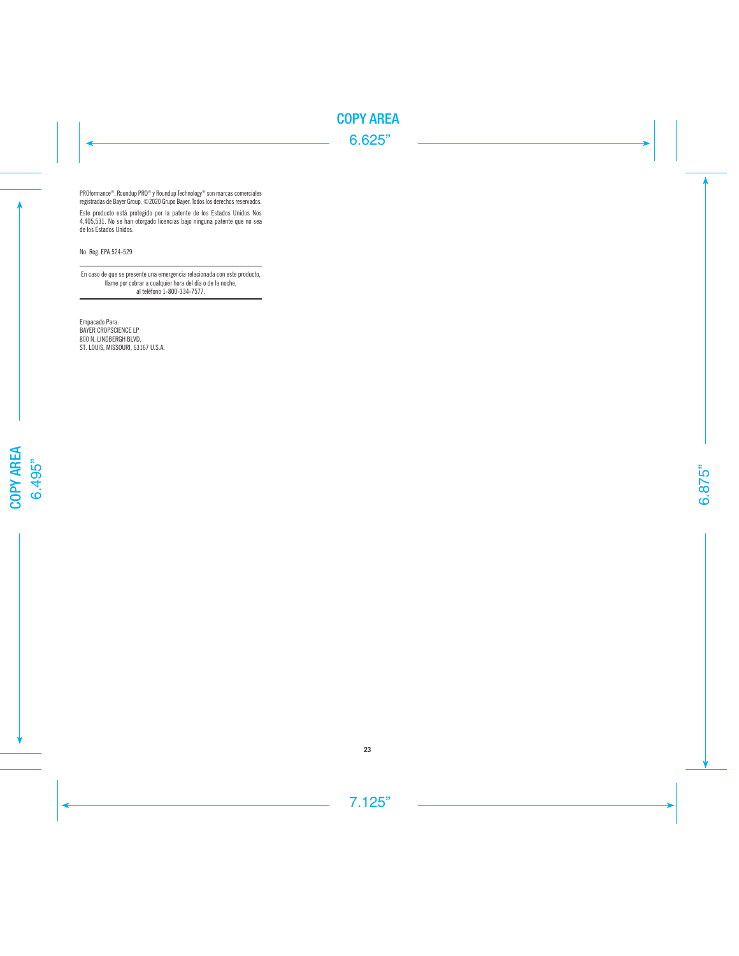PROformance®, Roundup PRO® y Roundup Technology® son marcas comerciales registradas de Bayer Group. ©2020 Grupo Bayer. Todos los derechos reservados.

Este producto está protegido por la patente de los Estados Unidos Nos 4,405,531. No se han otorgado licencias bajo ninguna patente que no sea de los Estados Unidos.

No. Reg. EPA 524-529

En caso de que se presente una emergencia relacionada con este producto, llame por cobrar a cualquier hora del día o de la noche, al teléfono 1-800-334-7577.

Empacado Para: BAYER CROPSCIENCE LP 800 N. LINDBERGH BLVD. ST. LOUIS, MISSOURI, 63167 U.S.A.